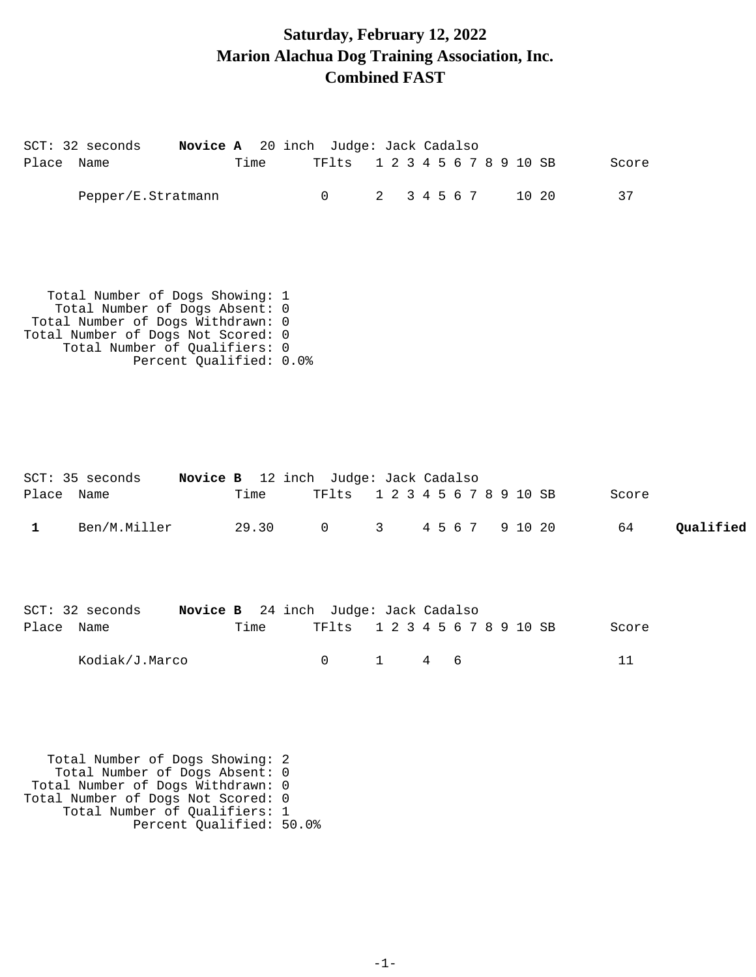### **Saturday, February 12, 2022 Marion Alachua Dog Training Association, Inc. Combined FAST**

|            | SCT: 32 seconds<br>Novice A 20 inch Judge: Jack Cadalso                                                                                                                                                  |       |                |                         |                 |   |  |       |       |           |
|------------|----------------------------------------------------------------------------------------------------------------------------------------------------------------------------------------------------------|-------|----------------|-------------------------|-----------------|---|--|-------|-------|-----------|
| Place Name |                                                                                                                                                                                                          | Time  | TFlts          | 1 2 3 4 5 6 7 8 9 10 SB |                 |   |  |       | Score |           |
|            | Pepper/E.Stratmann                                                                                                                                                                                       |       | $\overline{0}$ | 2 3 4 5 6 7             |                 |   |  | 10 20 | 37    |           |
|            | Total Number of Dogs Showing: 1<br>Total Number of Dogs Absent: 0<br>Total Number of Dogs Withdrawn: 0<br>Total Number of Dogs Not Scored: 0<br>Total Number of Qualifiers: 0<br>Percent Qualified: 0.0% |       |                |                         |                 |   |  |       |       |           |
| Place Name | SCT: 35 seconds Novice B 12 inch Judge: Jack Cadalso                                                                                                                                                     | Time  | TFlts          | 1 2 3 4 5 6 7 8 9 10 SB |                 |   |  |       | Score |           |
| 1          | Ben/M.Miller                                                                                                                                                                                             | 29.30 | $\overline{0}$ | 3 <sup>7</sup>          | 4 5 6 7 9 10 20 |   |  |       | 64    | Qualified |
| Place Name | SCT: 32 seconds Novice B 24 inch Judge: Jack Cadalso                                                                                                                                                     | Time  | TFlts          | 1 2 3 4 5 6 7 8 9 10 SB |                 |   |  |       | Score |           |
|            | Kodiak/J.Marco                                                                                                                                                                                           |       | $\mathbf 0$    | $\mathbf{1}$            | $4\degree$      | 6 |  |       | 11    |           |
|            | Total Number of Dogs Showing: 2<br>Total Number of Dogs Absent: 0                                                                                                                                        |       |                |                         |                 |   |  |       |       |           |

 Total Number of Dogs Withdrawn: 0 Total Number of Dogs Not Scored: 0 Total Number of Qualifiers: 1 Percent Qualified: 50.0%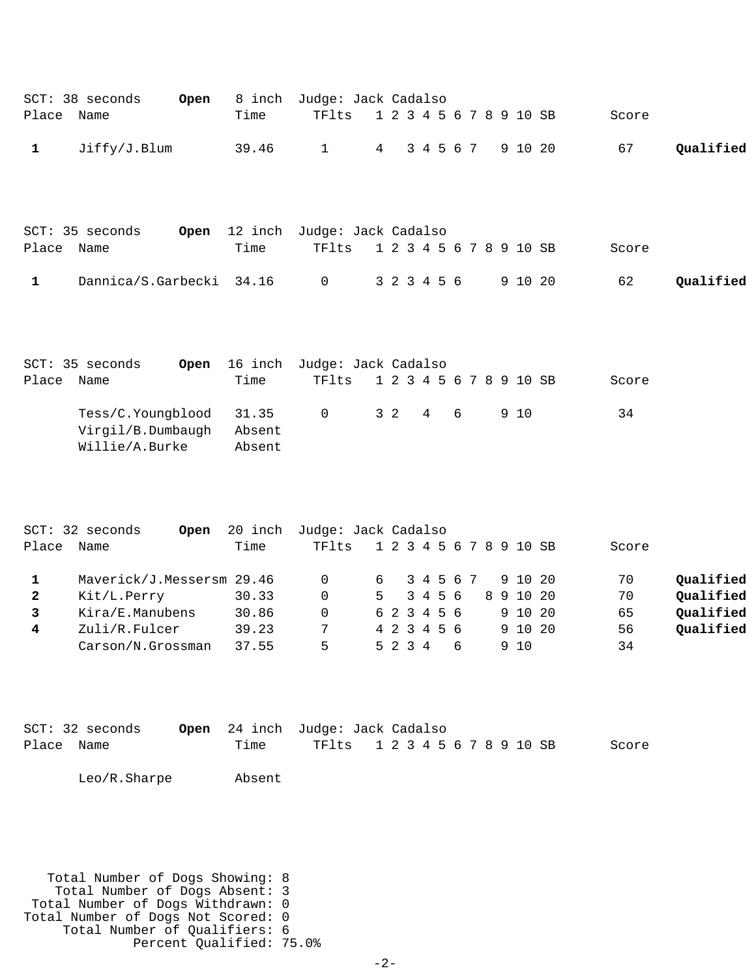| Place                                | SCT: 38 seconds<br>Open<br>Name                                                                                                      | 8 inch<br>Time                                      | Judge: Jack Cadalso<br>TFlts                                                     |                | 1 2 3 4 5 6 7 8 9 10 SB                                          |   |                      |   |  |                                                    | Score                               |                                                  |
|--------------------------------------|--------------------------------------------------------------------------------------------------------------------------------------|-----------------------------------------------------|----------------------------------------------------------------------------------|----------------|------------------------------------------------------------------|---|----------------------|---|--|----------------------------------------------------|-------------------------------------|--------------------------------------------------|
| $\mathbf{1}$                         | Jiffy/J.Blum                                                                                                                         | 39.46                                               | $\mathbf 1$                                                                      | 4              |                                                                  |   | 3 4 5 6 7            |   |  | 9 10 20                                            | 67                                  | Qualified                                        |
| Place<br>$\mathbf{1}$                | SCT: 35 seconds<br>Open<br>Name<br>Dannica/S.Garbecki                                                                                | 12 inch<br>Time<br>34.16                            | Judge: Jack Cadalso<br>TFlts<br>$\mathbf 0$                                      |                | 1 2 3 4 5 6 7 8 9 10 SB<br>3 2 3 4 5 6                           |   |                      |   |  | 9 10 20                                            | Score<br>62                         | Qualified                                        |
| Place                                | SCT: 35 seconds<br>Open<br>Name<br>Tess/C. Youngblood<br>Virgil/B.Dumbaugh<br>Willie/A.Burke                                         | 16 inch<br>Time<br>31.35<br>Absent<br>Absent        | Judge: Jack Cadalso<br>TFlts<br>$\mathbf 0$                                      | 3 <sub>2</sub> | 1 2 3 4 5 6 7 8 9 10 SB                                          | 4 |                      | 6 |  | 9 10                                               | Score<br>34                         |                                                  |
| Place<br>1<br>$\mathbf{2}$<br>3<br>4 | SCT: 32 seconds<br>Open<br>Name<br>Maverick/J.Messersm 29.46<br>Kit/L.Perry<br>Kira/E.Manubens<br>Zuli/R.Fulcer<br>Carson/N.Grossman | 20 inch<br>Time<br>30.33<br>30.86<br>39.23<br>37.55 | Judge: Jack Cadalso<br>TFlts<br>$\mathbf 0$<br>$\mathbf 0$<br>$\Omega$<br>7<br>5 | 6<br>5         | 1 2 3 4 5 6 7 8 9 10 SB<br>6 2 3 4 5 6<br>4 2 3 4 5 6<br>5 2 3 4 |   | 3 4 5 6 7<br>3 4 5 6 | 6 |  | 9 10 20<br>8 9 10 20<br>9 10 20<br>9 10 20<br>9 10 | Score<br>70<br>70<br>65<br>56<br>34 | Qualified<br>Qualified<br>Qualified<br>Qualified |
| Place Name                           | $SCT: 32$ seconds<br>Open<br>Leo/R.Sharpe                                                                                            | 24 inch<br>Time<br>Absent                           | Judge: Jack Cadalso<br>TFlts                                                     |                | 1 2 3 4 5 6 7 8 9 10 SB                                          |   |                      |   |  |                                                    | Score                               |                                                  |
|                                      | Total Number of Dogs Showing: 8<br>Total Number of Dogs Absent: 3<br>Total Number of Dogs Withdrawn: 0                               |                                                     |                                                                                  |                |                                                                  |   |                      |   |  |                                                    |                                     |                                                  |

Total Number of Dogs Not Scored: 0 Total Number of Qualifiers: 6 Percent Qualified: 75.0%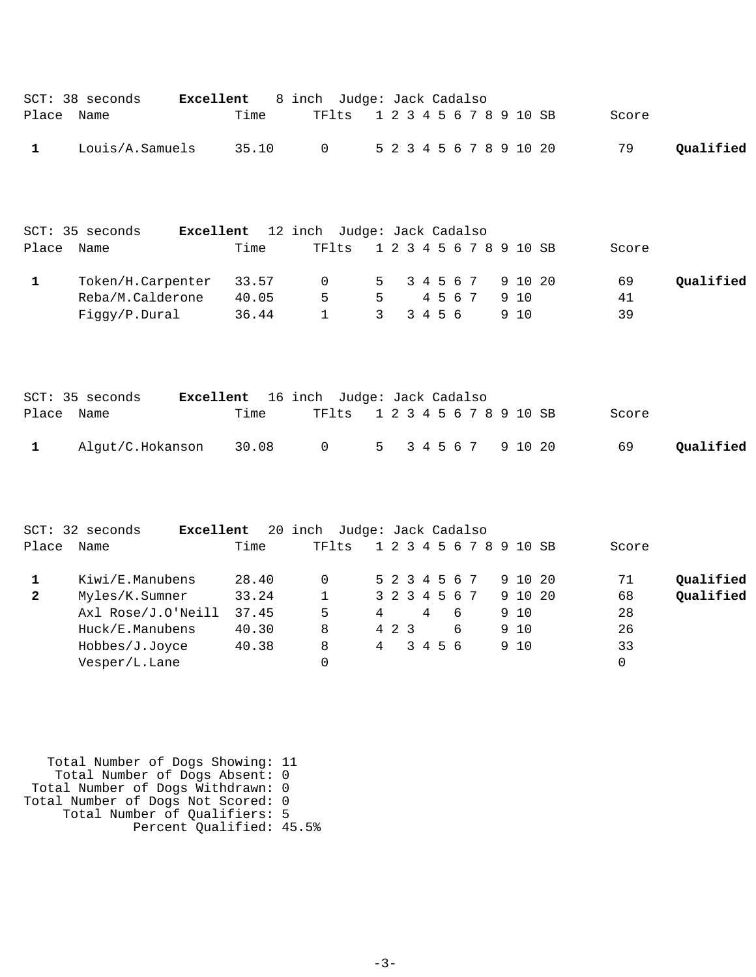|              | SCT: 38 seconds<br>Excellent         |       | 8 inch Judge: Jack Cadalso           |                |                |         |   |  |                         |                         |          |           |
|--------------|--------------------------------------|-------|--------------------------------------|----------------|----------------|---------|---|--|-------------------------|-------------------------|----------|-----------|
| Place        | Name                                 | Time  | TFlts                                |                |                |         |   |  |                         | 1 2 3 4 5 6 7 8 9 10 SB | Score    |           |
| 1            | Louis/A.Samuels                      | 35.10 | 0                                    |                |                |         |   |  | 5 2 3 4 5 6 7 8 9 10 20 |                         | 79       | Qualified |
| Place        | SCT: 35 seconds<br>Excellent<br>Name | Time  | 12 inch Judge: Jack Cadalso<br>TFlts |                |                |         |   |  |                         | 1 2 3 4 5 6 7 8 9 10 SB | Score    |           |
|              |                                      |       |                                      |                |                |         |   |  |                         |                         |          |           |
| 1            | Token/H.Carpenter                    | 33.57 | 0                                    | 5              | 3 4 5 6 7      |         |   |  | 9 10 20                 |                         | 69       | Qualified |
|              | Reba/M.Calderone                     | 40.05 | 5                                    | 5              |                | 4 5 6 7 |   |  | 9 10                    |                         | 41       |           |
|              | Figgy/P.Dural                        | 36.44 | $\mathbf{1}$                         | $\overline{3}$ | 3 4 5 6        |         |   |  | 9 10                    |                         | 39       |           |
| Place        | SCT: 35 seconds<br>Excellent<br>Name | Time  | 16 inch Judge: Jack Cadalso<br>TFlts |                |                |         |   |  |                         | 1 2 3 4 5 6 7 8 9 10 SB | Score    |           |
| $\mathbf{1}$ | Algut/C.Hokanson                     | 30.08 | $\mathsf{O}$                         | 5              | 3 4 5 6 7      |         |   |  | 9 10 20                 |                         | 69       | Qualified |
| Place        | SCT: 32 seconds<br>Excellent<br>Name | Time  | 20 inch Judge: Jack Cadalso<br>TFlts |                |                |         |   |  |                         | 1 2 3 4 5 6 7 8 9 10 SB | Score    |           |
| $\mathbf{1}$ | Kiwi/E.Manubens                      | 28.40 | $\mathbf 0$                          |                | 5 2 3 4 5 6 7  |         |   |  | 9 10 20                 |                         | 71       | Qualified |
| $\mathbf{2}$ | Myles/K.Sumner                       | 33.24 | $\mathbf 1$                          |                | 3 2 3 4 5 6 7  |         |   |  | 9 10 20                 |                         | 68       | Qualified |
|              | Axl Rose/J.O'Neill                   | 37.45 | 5                                    | 4              | $\overline{4}$ |         | 6 |  | 9 10                    |                         | 28       |           |
|              | Huck/E.Manubens                      | 40.30 | 8                                    | 4 2 3          |                |         | 6 |  | 9 10                    |                         | 26       |           |
|              | Hobbes/J.Joyce                       | 40.38 | 8                                    | 4              | 3 4 5 6        |         |   |  | 9 10                    |                         | 33       |           |
|              | Vesper/L.Lane                        |       | $\Omega$                             |                |                |         |   |  |                         |                         | $\Omega$ |           |
|              |                                      |       |                                      |                |                |         |   |  |                         |                         |          |           |

 Total Number of Dogs Showing: 11 Total Number of Dogs Absent: 0 Total Number of Dogs Withdrawn: 0 Total Number of Dogs Not Scored: 0 Total Number of Qualifiers: 5 Percent Qualified: 45.5%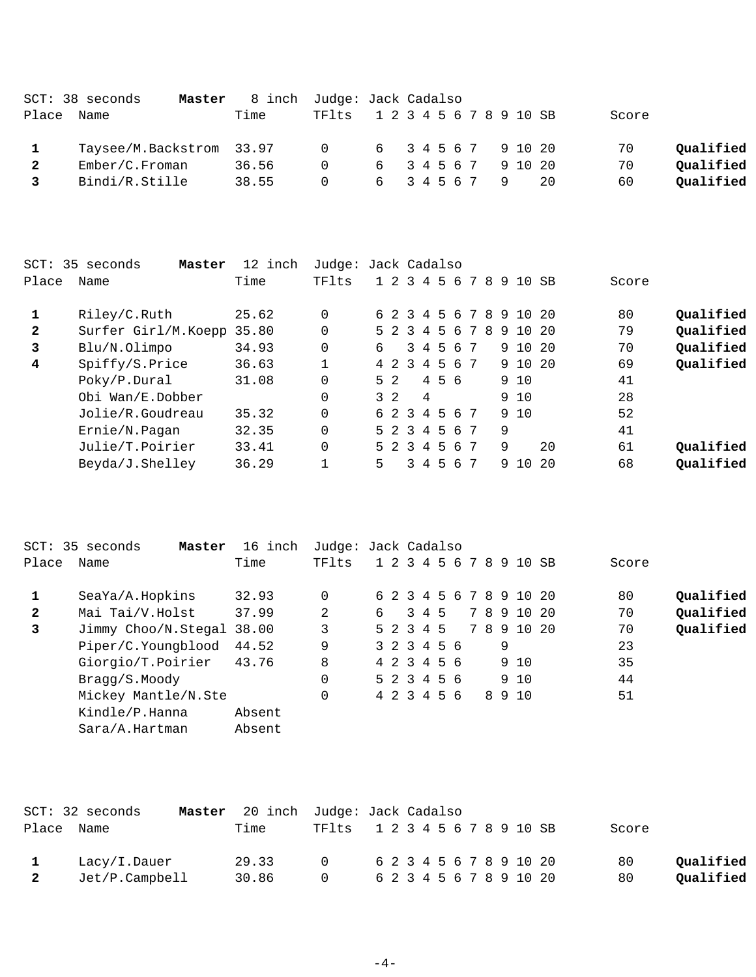|       | $SCT: 38$ seconds<br>Master |       | 8 inch Judge: Jack Cadalso    |                     |  |  |  |     |       |           |
|-------|-----------------------------|-------|-------------------------------|---------------------|--|--|--|-----|-------|-----------|
| Place | Name                        | Time  | TF1ts 1 2 3 4 5 6 7 8 9 10 SB |                     |  |  |  |     | Score |           |
|       | Taysee/M.Backstrom 33.97    |       | 0 6 3 4 5 6 7 9 10 20         |                     |  |  |  |     | 70    | Qualified |
|       | Ember/C.Froman              | 36.56 | $\Omega$                      | 6 3 4 5 6 7 9 10 20 |  |  |  |     | 70    | Oualified |
| 3     | Bindi/R.Stille              | 38.55 | $\Omega$                      | 6 3 4 5 6 7 9       |  |  |  | -20 | 60    | Oualified |

| SCT:  | 35 seconds<br>Master | 12 inch | Judge: Jack Cadalso |   |                |   |       |    |                 |   |   |              |      |       |           |
|-------|----------------------|---------|---------------------|---|----------------|---|-------|----|-----------------|---|---|--------------|------|-------|-----------|
| Place | Name                 | Time    | TFlts               |   | 1 2 3 4 5 6    |   |       |    | 7               | 8 | 9 | 10 SB        |      | Score |           |
|       | Riley/C.Ruth         | 25.62   |                     |   | 6 2 3 4        |   |       |    |                 |   |   | 5 6 7 8 9 10 | - 20 | 80    | Qualified |
| 2     | Surfer Girl/M.Koepp  | 35.80   |                     |   | 5 2 3          |   | 456   |    | $7\phantom{.0}$ | 8 |   | 9 10         | - 20 | 79    | Qualified |
| 3     | Blu/N.Olimpo         | 34.93   |                     | 6 |                |   | 3 4 5 | 6  | 7               |   |   | 9 10 20      |      | 70    | Qualified |
| 4     | Spiffy/S.Price       | 36.63   |                     |   | 4 2 3 4 5 6 7  |   |       |    |                 |   |   | 9 10 20      |      | 69    | Qualified |
|       | Poky/P.Dural         | 31.08   |                     |   | 5 <sub>2</sub> |   | 4 5 6 |    |                 |   |   | 9 10         |      | 41    |           |
|       | Obi Wan/E.Dobber     |         |                     |   | $3\quad2$      | 4 |       |    |                 |   |   | 9 10         |      | 28    |           |
|       | Jolie/R.Goudreau     | 35.32   |                     |   | 6 2 3 4 5 6    |   |       |    | 7               |   |   | 9 10         |      | 52    |           |
|       | Ernie/N.Pagan        | 32.35   |                     |   | 5 2 3 4 5 6    |   |       |    | 7               |   | 9 |              |      | 41    |           |
|       | Julie/T.Poirier      | 33.41   |                     |   | 5 2 3 4 5 6    |   |       |    | 7               |   | 9 |              | 20   | 61    | Qualified |
|       | Beyda/J.Shelley      | 36.29   |                     | 5 |                |   | 3 4 5 | -6 | 7               |   | 9 | 10           | - 20 | 68    | Qualified |
|       |                      |         |                     |   |                |   |       |    |                 |   |   |              |      |       |           |

|              | SCT: 35 seconds<br>Master | 16 inch | Judge: Jack Cadalso |   |  |             |  |   |                         |       |           |
|--------------|---------------------------|---------|---------------------|---|--|-------------|--|---|-------------------------|-------|-----------|
| Place        | Name                      | Time    | TFlts               |   |  |             |  |   | 1 2 3 4 5 6 7 8 9 10 SB | Score |           |
|              | SeaYa/A.Hopkins           | 32.93   | $\Omega$            |   |  |             |  |   | 6 2 3 4 5 6 7 8 9 10 20 | 80    | Qualified |
| $\mathbf{2}$ | Mai Tai/V.Holst           | 37.99   | 2                   | 6 |  | 3 4 5       |  |   | 7 8 9 10 20             | 70    | Qualified |
| 3            | Jimmy Choo/N.Stegal 38.00 |         | 3                   |   |  | 5 2 3 4 5   |  |   | 7 8 9 10 20             | 70    | Qualified |
|              | Piper/C.Youngblood        | 44.52   | 9                   |   |  | 3 2 3 4 5 6 |  | 9 |                         | 23    |           |
|              | Giorgio/T.Poirier         | 43.76   | 8                   |   |  | 4 2 3 4 5 6 |  |   | 9 10                    | 35    |           |
|              | Bragg/S.Moody             |         | 0                   |   |  | 5 2 3 4 5 6 |  |   | 9 10                    | 44    |           |
|              | Mickey Mantle/N.Ste       |         | $\Omega$            |   |  | 4 2 3 4 5 6 |  |   | 8 9 10                  | 51    |           |
|              | Kindle/P.Hanna            | Absent  |                     |   |  |             |  |   |                         |       |           |
|              | Sara/A.Hartman            | Absent  |                     |   |  |             |  |   |                         |       |           |

|                         | $SCT: 32$ seconds | Master 20 inch Judge: Jack Cadalso |                               |  |  |  |  |                         |                         |       |           |
|-------------------------|-------------------|------------------------------------|-------------------------------|--|--|--|--|-------------------------|-------------------------|-------|-----------|
|                         | Place Name        | Time                               | TF1ts 1 2 3 4 5 6 7 8 9 10 SB |  |  |  |  |                         |                         | Score |           |
|                         | Lacy/I.Dauer      | 29.33                              | $\cap$                        |  |  |  |  | 6 2 3 4 5 6 7 8 9 10 20 |                         | 80    | Oualified |
| $\overline{\mathbf{2}}$ | Jet/P.Campbell    | 30.86                              | $\cap$                        |  |  |  |  |                         | 6 2 3 4 5 6 7 8 9 10 20 | 80    | Oualified |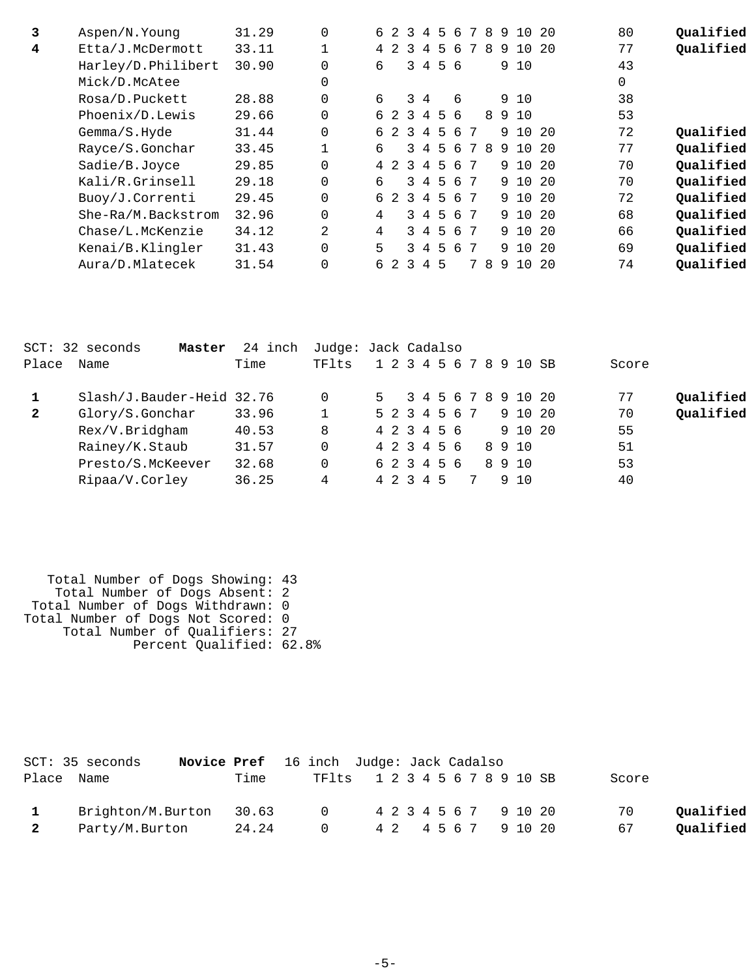| 3 | Aspen/N. Young     | 31.29 |          | б.             | $\overline{2}$ | 3              | 4               | 5           | 6        | 7 | 8  | 9  | 10      | -20  | 80 | Qualified |
|---|--------------------|-------|----------|----------------|----------------|----------------|-----------------|-------------|----------|---|----|----|---------|------|----|-----------|
| 4 | Etta/J.McDermott   | 33.11 |          | 4              | $\overline{2}$ | $\overline{3}$ | 4               | 5           | 6        | 7 | 8  |    | 9 10    | - 20 | 77 | Qualified |
|   | Harley/D.Philibert | 30.90 |          | 6              |                |                | 3 4             |             | 56       |   |    |    | 9 10    |      | 43 |           |
|   | Mick/D.McAtee      |       |          |                |                |                |                 |             |          |   |    |    |         |      | 0  |           |
|   | Rosa/D.Puckett     | 28.88 |          | 6              |                |                | $3\quad 4$      |             | 6        |   |    |    | 9 10    |      | 38 |           |
|   | Phoenix/D.Lewis    | 29.66 |          |                |                | 6 2 3          | $4\overline{ }$ |             | 56       |   |    |    | 8910    |      | 53 |           |
|   | Gemma/S.Hyde       | 31.44 |          |                | 6 2            | $\mathcal{R}$  | 4               | 5           | 6        | 7 |    |    | 9 10    | - 20 | 72 | Qualified |
|   | Rayce/S.Gonchar    | 33.45 |          | б.             |                | 3.             | $\overline{4}$  | 5           | -6       | 7 | 8  |    | 9 1 0   | 2.0  | 77 | Qualified |
|   | Sadie/B.Joyce      | 29.85 | $\Omega$ | $\overline{4}$ | $\overline{2}$ | $\mathcal{R}$  | $\overline{4}$  | 5           | 6        | 7 |    |    | 9 10 20 |      | 70 | Qualified |
|   | Kali/R.Grinsell    | 29.18 |          | б.             |                |                | $3 \quad 4$     | $5^{\circ}$ | <u>б</u> | 7 |    |    | 9 1 0   | - 20 | 70 | Qualified |
|   | Buoy/J.Correnti    | 29.45 | $\Omega$ | б.             | $\overline{2}$ |                |                 | 3 4 5       | 6        | 7 |    |    | 9 10 20 |      | 72 | Qualified |
|   | She-Ra/M.Backstrom | 32.96 | $\Omega$ | 4              |                |                | 34              | .5          | 6        | 7 |    |    | 9 10 20 |      | 68 | Qualified |
|   | Chase/L.McKenzie   | 34.12 | 2        | 4              |                |                |                 | 3 4 5       | 6        | 7 |    |    | 9 10 20 |      | 66 | Qualified |
|   | Kenai/B.Klingler   | 31.43 |          | 5              |                | 3              | $\overline{4}$  | 5           | -6       | 7 |    |    | 9 1 0   | - 20 | 69 | Qualified |
|   | Aura/D.Mlatecek    | 31.54 |          | 6              | 2              | $\mathcal{E}$  | 4               | 5           |          | 7 | -8 | -9 | 10      | -20  | 74 | Qualified |
|   |                    |       |          |                |                |                |                 |             |          |   |    |    |         |      |    |           |

|              | SCT: 32 seconds<br>Master | 24 inch | Judge: Jack Cadalso |               |  |  |  |  |                         |       |           |
|--------------|---------------------------|---------|---------------------|---------------|--|--|--|--|-------------------------|-------|-----------|
| Place        | Name                      | Time    | TF1ts               |               |  |  |  |  | 1 2 3 4 5 6 7 8 9 10 SB | Score |           |
|              | Slash/J.Bauder-Heid 32.76 |         | 0                   | $5 -$         |  |  |  |  | 3 4 5 6 7 8 9 10 20     | 77    | Qualified |
| $\mathbf{2}$ | Glory/S.Gonchar           | 33.96   |                     | 5 2 3 4 5 6 7 |  |  |  |  | 9 10 20                 | 70    | Qualified |
|              | Rex/V.Bridgham            | 40.53   | 8                   | 4 2 3 4 5 6   |  |  |  |  | 9 10 20                 | 55    |           |
|              | Rainey/K.Staub            | 31.57   | 0                   | 4 2 3 4 5 6   |  |  |  |  | 8910                    | 51    |           |
|              | Presto/S.McKeever         | 32.68   | 0                   | 6 2 3 4 5 6   |  |  |  |  | 8910                    | 53    |           |
|              | Ripaa/V.Corley            | 36.25   | 4                   | 4 2 3 4 5     |  |  |  |  | 9 1 N                   | 40    |           |

 Total Number of Dogs Showing: 43 Total Number of Dogs Absent: 2 Total Number of Dogs Withdrawn: 0 Total Number of Dogs Not Scored: 0 Total Number of Qualifiers: 27 Percent Qualified: 62.8%

|              | SCT: 35 seconds         | <b>Novice Pref</b> 16 inch Judge: Jack Cadalso |                |  |                               |       |           |
|--------------|-------------------------|------------------------------------------------|----------------|--|-------------------------------|-------|-----------|
|              | Place Name              | Time                                           |                |  | TF1ts 1 2 3 4 5 6 7 8 9 10 SB | Score |           |
| $\mathbf{1}$ | Brighton/M.Burton 30.63 |                                                | $\overline{0}$ |  | 4 2 3 4 5 6 7 9 10 20         | 70    | Oualified |
| 2            | Party/M.Burton          | 24.24                                          | $\overline{0}$ |  | 4 2 4 5 6 7 9 10 20           | 67    | Qualified |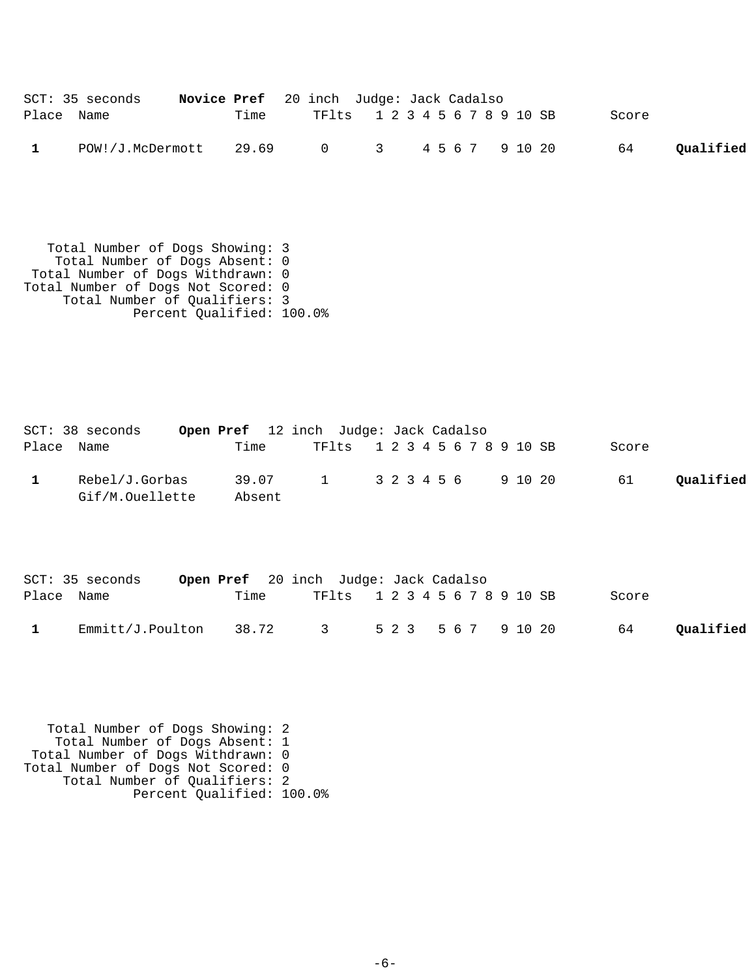|              | SCT: 35 seconds                       | <b>Novice Pref</b> 20 inch Judge: Jack Cadalso |                               |  |       |           |
|--------------|---------------------------------------|------------------------------------------------|-------------------------------|--|-------|-----------|
| Place Name   |                                       | Time                                           | TF1ts 1 2 3 4 5 6 7 8 9 10 SB |  | Score |           |
| $\mathbf{1}$ | POW!/J.McDermott 29.69 0 3 4567 91020 |                                                |                               |  | 64    | Qualified |

 Total Number of Dogs Showing: 3 Total Number of Dogs Absent: 0 Total Number of Dogs Withdrawn: 0 Total Number of Dogs Not Scored: 0 Total Number of Qualifiers: 3 Percent Qualified: 100.0%

| SCT: 38 seconds                   |                 | <b>Open Pref</b> 12 inch Judge: Jack Cadalso |  |  |  |  |       |           |
|-----------------------------------|-----------------|----------------------------------------------|--|--|--|--|-------|-----------|
| Place Name                        | Time            | TF1ts 1 2 3 4 5 6 7 8 9 10 SB                |  |  |  |  | Score |           |
| Rebel/J.Gorbas<br>Gif/M.Ouellette | 39.07<br>Absent | 1 3 2 3 4 5 6 9 10 20                        |  |  |  |  | 61    | Oualified |

|            | SCT: 35 seconds  |      | Open Pref 20 inch Judge: Jack Cadalso |  |                               |       |           |
|------------|------------------|------|---------------------------------------|--|-------------------------------|-------|-----------|
| Place Name |                  | Time |                                       |  | TF1ts 1 2 3 4 5 6 7 8 9 10 SB | Score |           |
|            | Emmitt/J.Poulton |      | 38.72 3 523 567 91020                 |  |                               | 64    | Oualified |

 Total Number of Dogs Showing: 2 Total Number of Dogs Absent: 1 Total Number of Dogs Withdrawn: 0 Total Number of Dogs Not Scored: 0 Total Number of Qualifiers: 2 Percent Qualified: 100.0%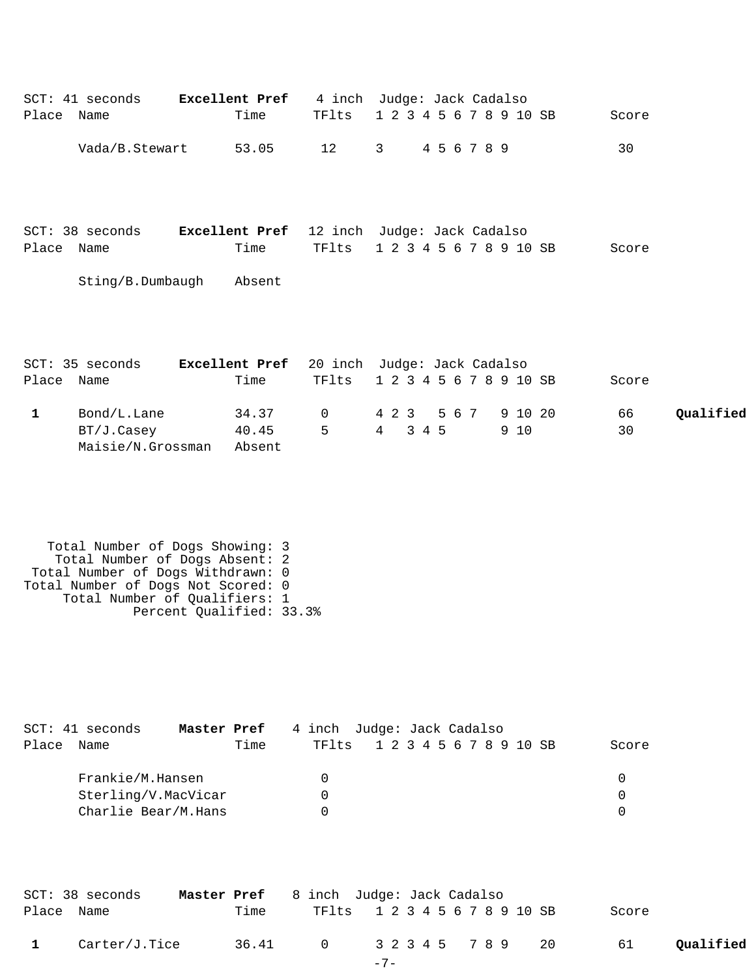| Place Name   | SCT: 41 seconds                                                                                                                                                               | Excellent Pref<br>Time   | TFlts       | 4 inch Judge: Jack Cadalso<br>1 2 3 4 5 6 7 8 9 10 SB                 | Score                 |
|--------------|-------------------------------------------------------------------------------------------------------------------------------------------------------------------------------|--------------------------|-------------|-----------------------------------------------------------------------|-----------------------|
|              | Vada/B.Stewart                                                                                                                                                                | 53.05                    | 12          | 4 5 6 7 8 9<br>$\mathbf{3}$                                           | 30                    |
| Place Name   | SCT: 38 seconds                                                                                                                                                               | Time                     | TFlts       | Excellent Pref 12 inch Judge: Jack Cadalso<br>1 2 3 4 5 6 7 8 9 10 SB | Score                 |
|              | Sting/B.Dumbaugh                                                                                                                                                              | Absent                   |             |                                                                       |                       |
| Place Name   | SCT: 35 seconds                                                                                                                                                               | Time                     | TFlts       | Excellent Pref 20 inch Judge: Jack Cadalso<br>1 2 3 4 5 6 7 8 9 10 SB | Score                 |
| $\mathbf{1}$ | Bond/L.Lane<br>BT/J.Casey<br>Maisie/N.Grossman                                                                                                                                | 34.37<br>40.45<br>Absent | 0<br>5      | 9 10 20<br>4 2 3<br>5 6 7<br>$4\overline{ }$<br>3 4 5<br>9 10         | 66<br>Qualified<br>30 |
|              | Total Number of Dogs Showing: 3<br>Total Number of Dogs Absent: 2<br>Total Number of Dogs Withdrawn: 0<br>Total Number of Dogs Not Scored: 0<br>Total Number of Qualifiers: 1 | Percent Qualified: 33.3% |             |                                                                       |                       |
| Place        | SCT: 41 seconds<br>Name                                                                                                                                                       | Master Pref<br>Time      | TFlts       | 4 inch Judge: Jack Cadalso<br>1 2 3 4 5 6 7 8 9 10 SB                 | Score                 |
|              | Frankie/M.Hansen<br>Sterling/V.MacVicar<br>Charlie Bear/M.Hans                                                                                                                |                          | 0<br>0<br>0 |                                                                       | 0<br>0<br>$\Omega$    |
| Place        | SCT: 38 seconds<br>Name                                                                                                                                                       | Master Pref<br>Time      | TFlts       | 8 inch Judge: Jack Cadalso<br>1 2 3 4 5 6 7 8 9 10 SB                 | Score                 |
| $\mathbf 1$  | Carter/J.Tice                                                                                                                                                                 | 36.41                    | 0           | 3 2 3 4 5<br>7 8 9<br>20                                              | Qualified<br>61       |

| ×<br>$\overline{\phantom{0}}$ |  |
|-------------------------------|--|
|-------------------------------|--|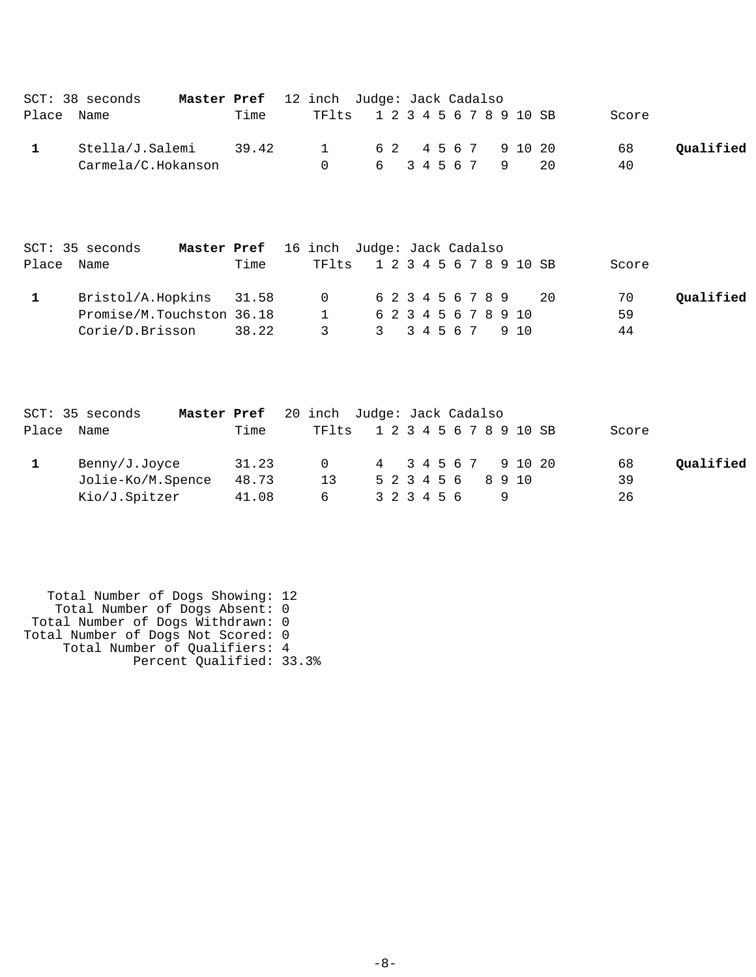| $SCT: 38$ seconds  | Master Pref 12 inch Judge: Jack Cadalso |       |                               |  |  |  |  |                  |       |           |
|--------------------|-----------------------------------------|-------|-------------------------------|--|--|--|--|------------------|-------|-----------|
| Place Name         |                                         | Time  | TF1ts 1 2 3 4 5 6 7 8 9 10 SB |  |  |  |  |                  | Score |           |
| Stella/J.Salemi    |                                         | 39.42 | 1 62 45 6 7 9 10 20           |  |  |  |  |                  | 68    | Oualified |
| Carmela/C.Hokanson |                                         |       | $\Omega$                      |  |  |  |  | 6 3 4 5 6 7 9 20 | 40    |           |

|            | Master Pref 16 inch Judge: Jack Cadalso<br>SCT: 35 seconds |       |                               |  |  |  |  |                      |       |           |
|------------|------------------------------------------------------------|-------|-------------------------------|--|--|--|--|----------------------|-------|-----------|
| Place Name |                                                            | Time  | TF1ts 1 2 3 4 5 6 7 8 9 10 SB |  |  |  |  |                      | Score |           |
|            | Bristol/A.Hopkins 31.58                                    |       | 0 6 2 3 4 5 6 7 8 9 20        |  |  |  |  |                      | 70    | Oualified |
|            | Promise/M.Touchston 36.18                                  |       | $\sim$ 1                      |  |  |  |  | 6 2 3 4 5 6 7 8 9 10 | 59    |           |
|            | Corie/D.Brisson                                            | 38.22 | $\overline{3}$                |  |  |  |  | 3 34567 910          | 44    |           |

|       | SCT: 35 seconds   | Master Pref 20 inch Judge: Jack Cadalso |                               |                     |  |  |                    |  |  |       |           |
|-------|-------------------|-----------------------------------------|-------------------------------|---------------------|--|--|--------------------|--|--|-------|-----------|
| Place | Name              | Time                                    | TF1ts 1 2 3 4 5 6 7 8 9 10 SB |                     |  |  |                    |  |  | Score |           |
|       | Benny/J.Joyce     | 31.23                                   | $\cap$                        | 4 3 4 5 6 7 9 10 20 |  |  |                    |  |  | 68    | Qualified |
|       | Jolie-Ko/M.Spence | 48.73                                   | 13                            |                     |  |  | 5 2 3 4 5 6 8 9 10 |  |  | 39    |           |
|       | Kio/J.Spitzer     | 41.08                                   | 6                             |                     |  |  | 3 2 3 4 5 6        |  |  | 26    |           |

 Total Number of Dogs Showing: 12 Total Number of Dogs Absent: 0 Total Number of Dogs Withdrawn: 0 Total Number of Dogs Not Scored: 0 Total Number of Qualifiers: 4 Percent Qualified: 33.3%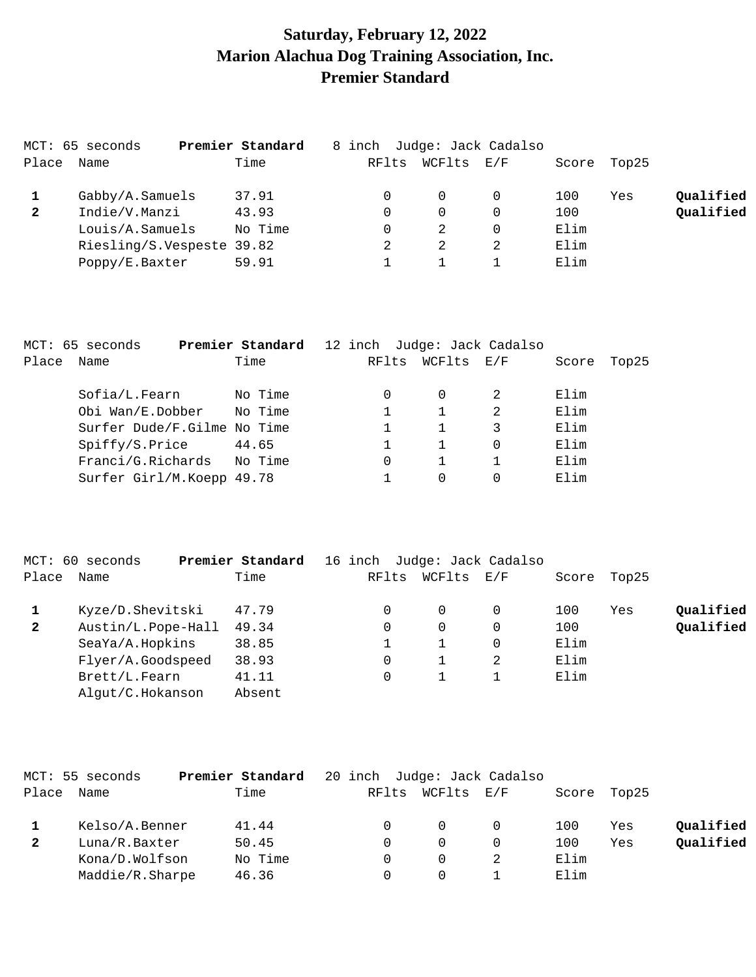# **Saturday, February 12, 2022 Marion Alachua Dog Training Association, Inc. Premier Standard**

|              | MCT: 65 seconds           | Premier Standard | 8 inch Judge: Jack Cadalso |          |          |       |       |           |
|--------------|---------------------------|------------------|----------------------------|----------|----------|-------|-------|-----------|
| Place        | Name                      | Time             | RFlts                      | WCFlts   | E/F      | Score | Top25 |           |
|              | Gabby/A.Samuels           | 37.91            |                            | $\Omega$ |          | 100   | Yes   | Qualified |
| $\mathbf{2}$ | Indie/V.Manzi             | 43.93            |                            | $\Omega$ | $\Omega$ | 100   |       | Qualified |
|              | Louis/A.Samuels           | No Time          |                            |          |          | Elim  |       |           |
|              | Riesling/S.Vespeste 39.82 |                  |                            |          |          | Elim  |       |           |
|              | Poppy/E.Baxter            | 59.91            |                            |          |          | Elim  |       |           |

|            | MCT: 65 seconds             | Premier Standard | 12 inch Judge: Jack Cadalso |            |   |       |       |
|------------|-----------------------------|------------------|-----------------------------|------------|---|-------|-------|
| Place Name |                             | Time             | RFlts                       | WCFlts E/F |   | Score | Top25 |
|            | Sofia/L.Fearn               | No Time          | 0                           |            |   | Elim  |       |
|            | Obi Wan/E.Dobber            | No Time          |                             |            | 2 | Elim  |       |
|            | Surfer Dude/F.Gilme No Time |                  |                             |            |   | Elim  |       |
|            | Spiffy/S.Price              | 44.65            |                             |            | 0 | Elim  |       |
|            | Franci/G.Richards No Time   |                  | 0                           |            |   | Elim  |       |
|            | Surfer Girl/M.Koepp 49.78   |                  |                             | 0          |   | Elim  |       |
|            |                             |                  |                             |            |   |       |       |

|              | MCT: 60 seconds    | Premier Standard | 16 inch |       |        | Judge: Jack Cadalso |       |       |           |
|--------------|--------------------|------------------|---------|-------|--------|---------------------|-------|-------|-----------|
| Place        | Name               | Time             |         | RFlts | WCFlts | E/F                 | Score | Top25 |           |
|              | Kyze/D.Shevitski   | 47.79            |         |       | 0      |                     | 100   | Yes   | Qualified |
| $\mathbf{2}$ | Austin/L.Pope-Hall | 49.34            |         |       | 0      |                     | 100   |       | Qualified |
|              | SeaYa/A.Hopkins    | 38.85            |         |       |        |                     | Elim  |       |           |
|              | Flyer/A.Goodspeed  | 38.93            |         |       |        |                     | Elim  |       |           |
|              | Brett/L.Fearn      | 41.11            |         |       |        |                     | Elim  |       |           |
|              | Algut/C.Hokanson   | Absent           |         |       |        |                     |       |       |           |

|              | MCT: 55 seconds | Premier Standard |       |        | 20 inch Judge: Jack Cadalso |       |       |           |
|--------------|-----------------|------------------|-------|--------|-----------------------------|-------|-------|-----------|
| Place        | Name            | Time             | RFlts | WCFlts | E/F                         | Score | Top25 |           |
|              | Kelso/A.Benner  | 41.44            |       |        |                             | 100   | Yes   | Qualified |
| $\mathbf{2}$ | Luna/R.Baxter   | 50.45            |       | 0      |                             | 100   | Yes   | Qualified |
|              | Kona/D.Wolfson  | No Time          |       | 0      |                             | Elim  |       |           |
|              | Maddie/R.Sharpe | 46.36            |       |        |                             | Elim  |       |           |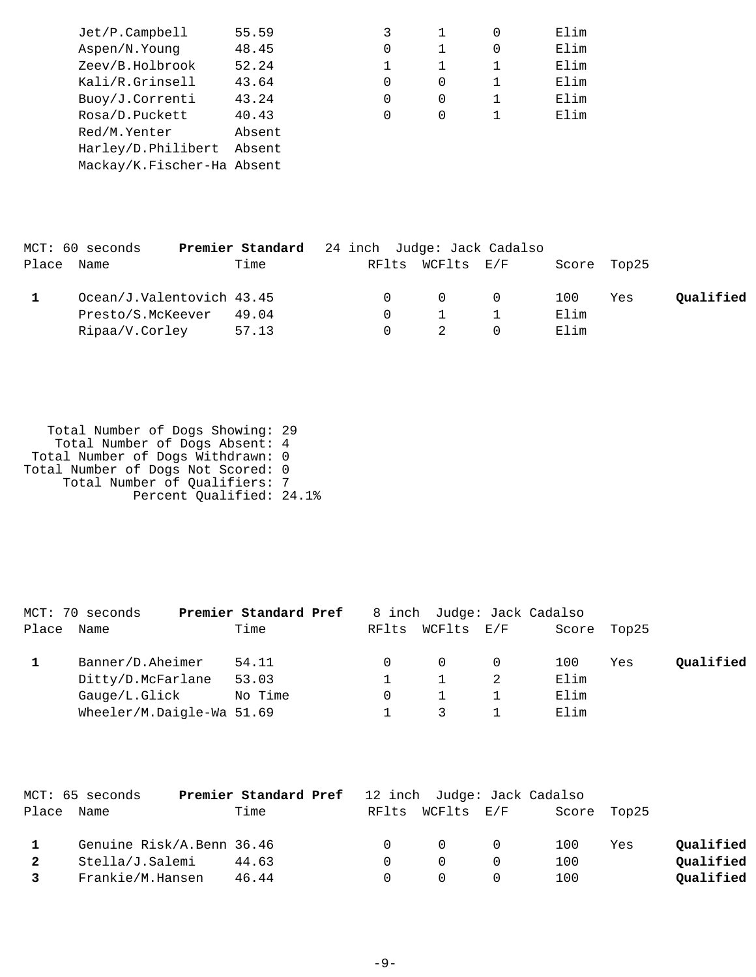| $Jet/P$ . Campbell         | 55.59  |   |   |   | Elim |
|----------------------------|--------|---|---|---|------|
| Aspen/N.Young              | 48.45  | 0 |   | 0 | Elim |
| Zeev/B.Holbrook            | 52.24  |   |   |   | Elim |
| Kali/R.Grinsell            | 43.64  | 0 | 0 |   | Elim |
| Buoy/J.Correnti            | 43.24  | 0 | 0 |   | Elim |
| Rosa/D.Puckett             | 40.43  | 0 | 0 |   | Elim |
| Red/M.Yenter               | Absent |   |   |   |      |
| Harley/D.Philibert         | Absent |   |   |   |      |
| Mackay/K.Fischer-Ha Absent |        |   |   |   |      |
|                            |        |   |   |   |      |

| MCT: 60 seconds           | <b>Premier Standard</b> 24 inch Judge: Jack Cadalso |  |                  |      |             |           |
|---------------------------|-----------------------------------------------------|--|------------------|------|-------------|-----------|
| Place Name                | Time                                                |  | RFlts WCFlts E/F |      | Score Top25 |           |
| Ocean/J.Valentovich 43.45 |                                                     |  | $\Omega$ 0       | 100  | Yes         | Qualified |
| Presto/S.McKeever         | 49.04                                               |  |                  | Elim |             |           |
| Ripaa/V.Corley            | 57.13                                               |  |                  | Elim |             |           |

 Total Number of Dogs Showing: 29 Total Number of Dogs Absent: 4 Total Number of Dogs Withdrawn: 0 Total Number of Dogs Not Scored: 0 Total Number of Qualifiers: 7 Percent Qualified: 24.1%

|       | MCT: 70 seconds           | Premier Standard Pref |       |            | 8 inch Judge: Jack Cadalso |       |       |           |
|-------|---------------------------|-----------------------|-------|------------|----------------------------|-------|-------|-----------|
| Place | Name                      | Time                  | RFlts | WCFlts E/F |                            | Score | Top25 |           |
|       | Banner/D.Aheimer          | 54.11                 |       | $\Omega$   |                            | 100   | Yes   | Qualified |
|       | Ditty/D.McFarlane         | 53.03                 |       |            |                            | Elim  |       |           |
|       | Gauge/L.Glick             | No Time               |       |            |                            | Elim  |       |           |
|       | Wheeler/M.Daigle-Wa 51.69 |                       |       |            |                            | Elim  |       |           |

|            | MCT: 65 seconds           | <b>Premier Standard Pref</b> 12 inch Judge: Jack Cadalso |        |                                     |             |     |           |
|------------|---------------------------|----------------------------------------------------------|--------|-------------------------------------|-------------|-----|-----------|
| Place Name |                           | Time                                                     |        | RFlts WCFlts E/F                    | Score Top25 |     |           |
|            | Genuine Risk/A.Benn 36.46 |                                                          | $\cap$ | $\begin{matrix} 0 & 0 \end{matrix}$ | 100         | Yes | Qualified |
| 2          | Stella/J.Salemi           | 44.63                                                    |        | $\cap$                              | 100         |     | Qualified |
| 3          | Frankie/M.Hansen          | 46.44                                                    |        |                                     | 100         |     | Qualified |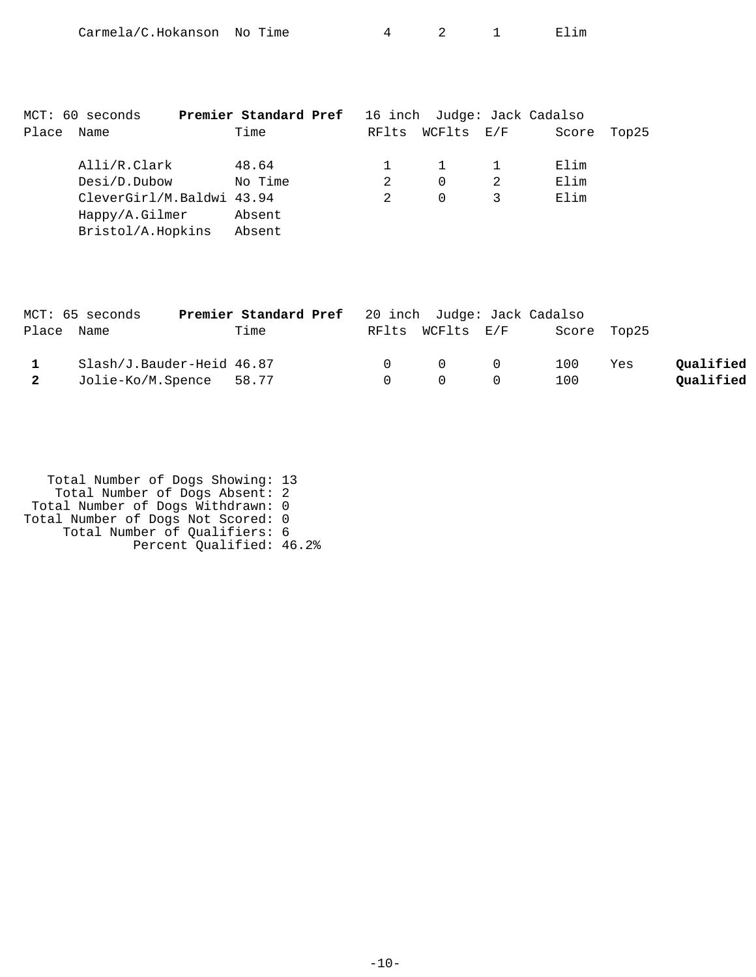| Carmela/C.Hokanson No Time |  |  |  |  | E⊥ım |
|----------------------------|--|--|--|--|------|
|----------------------------|--|--|--|--|------|

|       | MCT: 60 seconds           | Premier Standard Pref |               |            | 16 inch Judge: Jack Cadalso |       |
|-------|---------------------------|-----------------------|---------------|------------|-----------------------------|-------|
| Place | Name                      | Time                  | RFlts         | WCFlts E/F | Score                       | Top25 |
|       | Alli/R.Clark              | 48.64                 |               |            | Elim                        |       |
|       | Desi/D.Dubow              | No Time               | $\mathcal{L}$ | $\Omega$   | Elim                        |       |
|       | CleverGirl/M.Baldwi 43.94 |                       |               | $\Omega$   | Elim                        |       |
|       | Happy/A.Gilmer            | Absent                |               |            |                             |       |
|       | Bristol/A.Hopkins         | Absent                |               |            |                             |       |

|                | MCT: 65 seconds           | <b>Premier Standard Pref</b> 20 inch Judge: Jack Cadalso |        |                                         |                              |     |           |
|----------------|---------------------------|----------------------------------------------------------|--------|-----------------------------------------|------------------------------|-----|-----------|
| Place Name     |                           | Time                                                     |        |                                         | RFlts WCFlts E/F Score Top25 |     |           |
| $\mathbf{1}$   | Slash/J.Bauder-Heid 46.87 |                                                          |        | $\begin{matrix} 0 & 0 & 0 \end{matrix}$ | 100                          | Yes | Qualified |
| $\overline{2}$ | Jolie-Ko/M.Spence 58.77   |                                                          | $\cap$ | $\Omega$ $\Omega$                       | 100                          |     | Qualified |

| Total Number of Dogs Showing: 13   |  |
|------------------------------------|--|
| Total Number of Dogs Absent: 2     |  |
| Total Number of Dogs Withdrawn: 0  |  |
| Total Number of Dogs Not Scored: 0 |  |
| Total Number of Qualifiers: 6      |  |
| Percent Qualified: 46.2%           |  |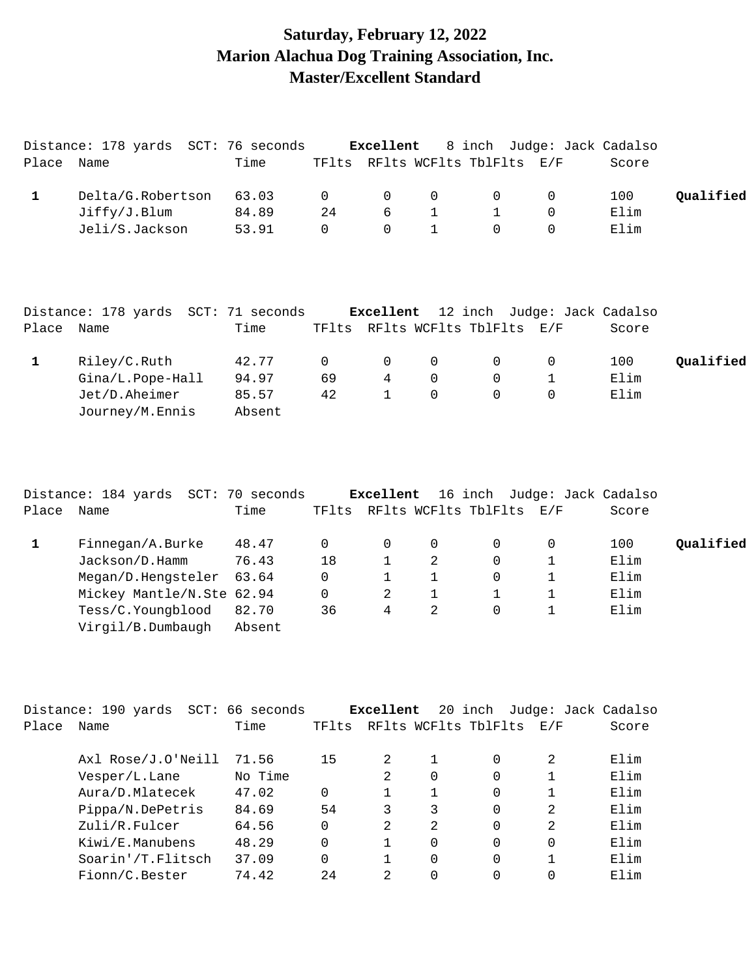## **Saturday, February 12, 2022 Marion Alachua Dog Training Association, Inc. Master/Excellent Standard**

| Place        | Distance: 178 yards SCT: 76 seconds<br>Name          | Time                     |                   | Excellent                      |                   | 8 inch Judge: Jack Cadalso<br>TFlts RFlts WCFlts TblFlts E/F |                            | Score        |           |
|--------------|------------------------------------------------------|--------------------------|-------------------|--------------------------------|-------------------|--------------------------------------------------------------|----------------------------|--------------|-----------|
| $\mathbf{1}$ | Delta/G.Robertson<br>Jiffy/J.Blum                    | 63.03<br>84.89           | $\mathbf 0$<br>24 | 0<br>$6\overline{6}$           | 0<br>$\mathbf{1}$ | $\mathsf{O}$<br>$\mathbf{1}$                                 | 0<br>$\mathbf 0$           | 100<br>Elim  | Qualified |
|              | Jeli/S.Jackson                                       | 53.91                    | $\mathbf 0$       | $\Omega$                       | 1                 | $\Omega$                                                     | $\mathbf 0$                | Elim         |           |
|              | Distance: 178 yards SCT: 71 seconds                  |                          |                   | Excellent                      |                   | 12 inch Judge: Jack Cadalso                                  |                            |              |           |
| Place        | Name                                                 | Time                     | TFlts             |                                |                   | RFlts WCFlts TblFlts E/F                                     |                            | Score        |           |
| $\mathbf{1}$ | Riley/C.Ruth                                         | 42.77                    | $\Omega$          | $\mathbf 0$                    | 0                 | $\mathbf 0$                                                  | $\mathbf 0$                | 100          | Qualified |
|              | Gina/L.Pope-Hall<br>Jet/D.Aheimer<br>Journey/M.Ennis | 94.97<br>85.57<br>Absent | 69<br>42          | $\overline{4}$<br>$\mathbf{1}$ | $\mathbf 0$<br>0  | $\mathbf 0$<br>$\mathbf 0$                                   | $\mathbf 1$<br>$\mathbf 0$ | Elim<br>Elim |           |
|              |                                                      |                          |                   |                                |                   |                                                              |                            |              |           |
|              |                                                      |                          |                   |                                |                   |                                                              |                            |              |           |
|              |                                                      |                          |                   |                                |                   |                                                              |                            |              |           |

| Place | Distance: 184 yards SCT:<br>Name                                     | 70 seconds<br>Time | TFlts        | Excellent |   | 16 inch Judge: Jack Cadalso<br>RFlts WCFlts TblFlts | E/F | Score                |           |
|-------|----------------------------------------------------------------------|--------------------|--------------|-----------|---|-----------------------------------------------------|-----|----------------------|-----------|
|       | Finnegan/A.Burke<br>Jackson/D.Hamm                                   | 48.47<br>76.43     | 0<br>18      | 0         | 2 | $\Omega$<br>$\Omega$                                | 0   | 100<br>Elim          | Oualified |
|       | Megan/D.Hengsteler<br>Mickey Mantle/N.Ste 62.94<br>Tess/C.Youngblood | 63.64<br>82.70     | 0<br>0<br>36 | 2<br>4    | 2 | $\Omega$<br>$\Omega$                                |     | Elim<br>Elim<br>Elim |           |
|       | Virgil/B.Dumbaugh                                                    | Absent             |              |           |   |                                                     |     |                      |           |

|       | Distance: 190 yards | SCT: 66 seconds |          | Excellent     |          | 20 inch              | Judge: Jack Cadalso |       |
|-------|---------------------|-----------------|----------|---------------|----------|----------------------|---------------------|-------|
| Place | Name                | Time            | TFlts    |               |          | RFlts WCFlts TblFlts | E/F                 | Score |
|       | Axl Rose/J.O'Neill  | 71.56           | 15       | 2             |          | $\Omega$             | 2                   | Elim  |
|       | Vesper/L.Lane       | No Time         |          |               | 0        | $\Omega$             |                     | Elim  |
|       | Aura/D.Mlatecek     | 47.02           | 0        |               |          | 0                    |                     | Elim  |
|       | Pippa/N.DePetris    | 84.69           | 54       | 3             | 3        | $\Omega$             | 2                   | Elim  |
|       | Zuli/R.Fulcer       | 64.56           | $\Omega$ | $\mathcal{L}$ | 2        | $\Omega$             | 2                   | Elim  |
|       | Kiwi/E.Manubens     | 48.29           | $\Omega$ |               | O        | $\Omega$             | $\Omega$            | Elim  |
|       | Soarin'/T.Flitsch   | 37.09           | $\Omega$ |               | $\Omega$ | $\Omega$             |                     | Elim  |
|       | Fionn/C.Bester      | 74.42           | 2.4      | $\mathcal{L}$ |          | $\Omega$             | $\Omega$            | Elim  |
|       |                     |                 |          |               |          |                      |                     |       |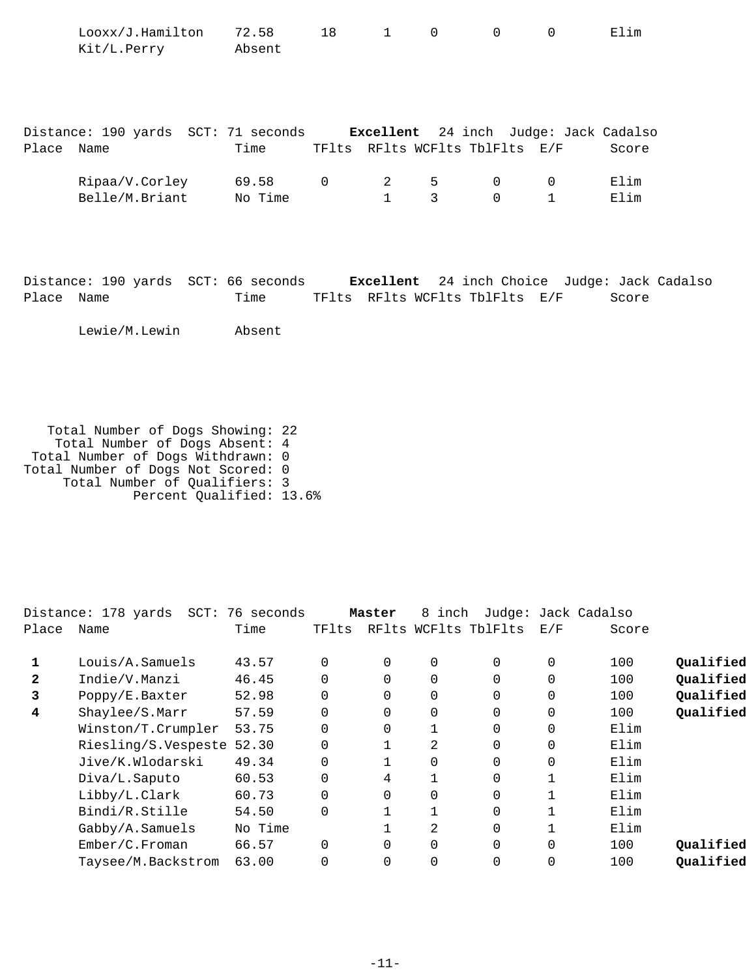|            | Looxx/J.Hamilton<br>Kit/L.Perry Absent                                                                    | 72.58          | 18          | $\mathbf{1}$              | $\mathbf 0$ | $\overline{0}$                 | $\Omega$                    | Elim         |  |
|------------|-----------------------------------------------------------------------------------------------------------|----------------|-------------|---------------------------|-------------|--------------------------------|-----------------------------|--------------|--|
| Place Name | Distance: 190 yards SCT: 71 seconds Excellent 24 inch Judge: Jack Cadalso                                 | Time           |             |                           |             | TFlts RFlts WCFlts TblFlts E/F |                             | Score        |  |
|            | Ripaa/V.Corley 69.58<br>Belle/M.Briant No Time                                                            |                | $\mathbf 0$ | $2 \quad$<br>$\mathbf{1}$ | 5<br>3      | $\mathbf 0$<br>$\Omega$        | $\mathbf 0$<br>$\mathbf{1}$ | Elim<br>Elim |  |
| Place      | Distance: 190 yards SCT: 66 seconds Excellent 24 inch Choice Judge: Jack Cadalso<br>Name<br>Lewie/M.Lewin | Time<br>Absent |             |                           |             | TFlts RFlts WCFlts TblFlts E/F |                             | Score        |  |

 Total Number of Dogs Showing: 22 Total Number of Dogs Absent: 4 Total Number of Dogs Withdrawn: 0 Total Number of Dogs Not Scored: 0 Total Number of Qualifiers: 3 Percent Qualified: 13.6%

|              | Distance: 178 yards<br>SCT: | 76 seconds |             | Master   | 8 inch |                      |          | Judge: Jack Cadalso |           |
|--------------|-----------------------------|------------|-------------|----------|--------|----------------------|----------|---------------------|-----------|
| Place        | Name                        | Time       | TFlts       |          |        | RFlts WCFlts TblFlts | E/F      | Score               |           |
| 1            | Louis/A.Samuels             | 43.57      | $\Omega$    | 0        | 0      | $\Omega$             | 0        | 100                 | Qualified |
| $\mathbf{2}$ | Indie/V.Manzi               | 46.45      | $\Omega$    | $\Omega$ | 0      | $\Omega$             | $\Omega$ | 100                 | Qualified |
| 3            | Poppy/E.Baxter              | 52.98      | $\Omega$    | $\Omega$ | 0      | $\Omega$             | $\Omega$ | 100                 | Qualified |
| 4            | Shaylee/S.Marr              | 57.59      | $\mathbf 0$ | 0        | 0      | 0                    | 0        | 100                 | Qualified |
|              | Winston/T.Crumpler          | 53.75      | $\Omega$    | $\Omega$ |        | $\Omega$             | $\Omega$ | Elim                |           |
|              | Riesling/S.Vespeste 52.30   |            | $\Omega$    |          | 2      | $\Omega$             | 0        | Elim                |           |
|              | Jive/K.Wlodarski            | 49.34      | $\Omega$    |          | 0      | $\Omega$             | $\Omega$ | Elim                |           |
|              | Diva/L.Saputo               | 60.53      | $\Omega$    | 4        |        | $\Omega$             |          | Elim                |           |
|              | Libby/L.Clark               | 60.73      | $\Omega$    | $\Omega$ | 0      | $\Omega$             |          | Elim                |           |
|              | Bindi/R.Stille              | 54.50      | $\Omega$    |          |        | $\Omega$             |          | Elim                |           |
|              | Gabby/A.Samuels             | No Time    |             |          | 2      | $\Omega$             |          | Elim                |           |
|              | Ember/C.Froman              | 66.57      | $\Omega$    | $\Omega$ | 0      | $\overline{0}$       | $\Omega$ | 100                 | Qualified |
|              | Taysee/M.Backstrom          | 63.00      | $\Omega$    | $\Omega$ | 0      | 0                    | 0        | 100                 | Qualified |
|              |                             |            |             |          |        |                      |          |                     |           |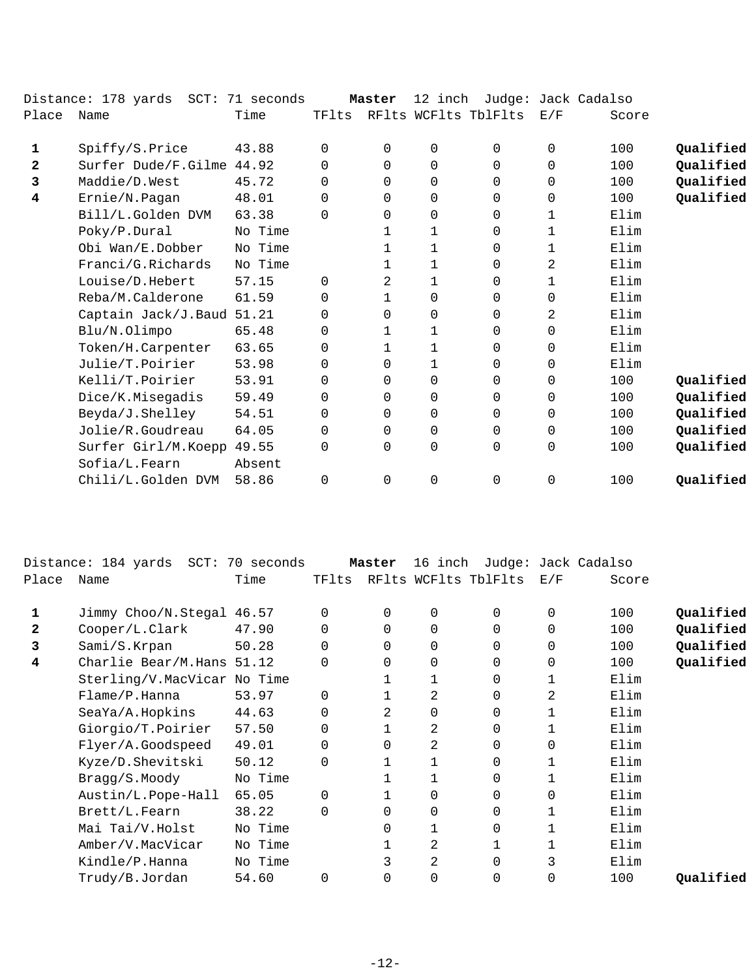|              | Distance: 178 yards SCT: 71 seconds |         |          | Master         | 12 inch     |                      |             | Judge: Jack Cadalso |           |
|--------------|-------------------------------------|---------|----------|----------------|-------------|----------------------|-------------|---------------------|-----------|
| Place        | Name                                | Time    | TFlts    |                |             | RFlts WCFlts TblFlts | E/F         | Score               |           |
| 1            | Spiffy/S.Price                      | 43.88   | $\Omega$ | $\Omega$       | 0           | $\Omega$             | 0           | 100                 | Qualified |
| $\mathbf{2}$ | Surfer Dude/F.Gilme 44.92           |         | $\Omega$ | $\Omega$       | $\mathbf 0$ | 0                    | 0           | 100                 | Qualified |
| 3            | Maddie/D.West                       | 45.72   | $\Omega$ | $\Omega$       | $\mathbf 0$ | $\Omega$             | $\Omega$    | 100                 | Qualified |
| 4            | Ernie/N.Pagan                       | 48.01   | 0        | $\Omega$       | $\mathbf 0$ | $\Omega$             | $\mathbf 0$ | 100                 | Qualified |
|              | Bill/L.Golden DVM                   | 63.38   | $\Omega$ | $\Omega$       | $\mathbf 0$ | $\Omega$             | 1           | Elim                |           |
|              | Poky/P.Dural                        | No Time |          | $\mathbf{1}$   | 1           | $\Omega$             | 1           | Elim                |           |
|              | Obi Wan/E.Dobber                    | No Time |          | 1              | 1           | 0                    | 1           | Elim                |           |
|              | Franci/G.Richards                   | No Time |          | $\mathbf{1}$   | 1           | 0                    | 2           | Elim                |           |
|              | Louise/D.Hebert                     | 57.15   | $\Omega$ | 2              | 1           | 0                    | 1           | Elim                |           |
|              | Reba/M.Calderone                    | 61.59   | 0        | 1              | 0           | 0                    | 0           | Elim                |           |
|              | Captain Jack/J.Baud                 | 51.21   | 0        | 0              | $\mathbf 0$ | 0                    | 2           | Elim                |           |
|              | Blu/N.Olimpo                        | 65.48   | $\Omega$ | 1              | 1           | $\Omega$             | $\mathbf 0$ | Elim                |           |
|              | Token/H.Carpenter                   | 63.65   | $\Omega$ | $\mathbf{1}$   | 1           | $\Omega$             | $\mathbf 0$ | Elim                |           |
|              | Julie/T.Poirier                     | 53.98   | $\Omega$ | $\Omega$       | 1           | $\Omega$             | 0           | Elim                |           |
|              | Kelli/T.Poirier                     | 53.91   | 0        | 0              | 0           | 0                    | 0           | 100                 | Qualified |
|              | Dice/K.Misegadis                    | 59.49   | 0        | $\Omega$       | 0           | 0                    | $\Omega$    | 100                 | Qualified |
|              | Beyda/J.Shelley                     | 54.51   | $\Omega$ | $\Omega$       | $\mathbf 0$ | $\Omega$             | 0           | 100                 | Qualified |
|              | Jolie/R.Goudreau                    | 64.05   | 0        | 0              | 0           | 0                    | 0           | 100                 | Qualified |
|              | Surfer Girl/M.Koepp                 | 49.55   | $\Omega$ | $\Omega$       | 0           | $\Omega$             | $\mathbf 0$ | 100                 | Qualified |
|              | Sofia/L.Fearn                       | Absent  |          |                |             |                      |             |                     |           |
|              | Chili/L.Golden DVM                  | 58.86   | $\Omega$ | $\overline{0}$ | 0           | 0                    | $\mathbf 0$ | 100                 | Qualified |
|              |                                     |         |          |                |             |                      |             |                     |           |

|              | Distance: 184 yards SCT:    | 70 seconds |          | Master   | 16 inch        |                      |             | Judge: Jack Cadalso |           |
|--------------|-----------------------------|------------|----------|----------|----------------|----------------------|-------------|---------------------|-----------|
| Place        | Name                        | Time       | TFlts    |          |                | RFlts WCFlts TblFlts | E/F         | Score               |           |
|              | Jimmy Choo/N.Stegal 46.57   |            | 0        | 0        | 0              | 0                    | 0           | 100                 | Qualified |
| $\mathbf{2}$ | Cooper/L.Clark              | 47.90      | 0        | 0        | 0              | 0                    | 0           | 100                 | Qualified |
| 3            | Sami/S.Krpan                | 50.28      | 0        | $\Omega$ | 0              | 0                    | $\mathbf 0$ | 100                 | Qualified |
| 4            | Charlie Bear/M.Hans 51.12   |            | $\Omega$ | 0        | 0              | 0                    | 0           | 100                 | Qualified |
|              | Sterling/V.MacVicar No Time |            |          |          | 1              | 0                    |             | Elim                |           |
|              | Flame/P.Hanna               | 53.97      | $\Omega$ |          | 2              | 0                    | 2           | Elim                |           |
|              | SeaYa/A.Hopkins             | 44.63      | $\Omega$ | 2        | $\Omega$       | 0                    |             | Elim                |           |
|              | Giorgio/T.Poirier           | 57.50      | $\Omega$ |          | 2              | 0                    |             | Elim                |           |
|              | Flyer/A.Goodspeed           | 49.01      | 0        | 0        | 2              | 0                    | 0           | Elim                |           |
|              | Kyze/D.Shevitski            | 50.12      | $\Omega$ |          |                | 0                    |             | Elim                |           |
|              | Bragg/S.Moody               | No Time    |          |          |                | 0                    |             | Elim                |           |
|              | Austin/L.Pope-Hall          | 65.05      | $\Omega$ |          | 0              | 0                    | 0           | Elim                |           |
|              | Brett/L.Fearn               | 38.22      | $\Omega$ | 0        | 0              | 0                    | 1           | Elim                |           |
|              | Mai Tai/V.Holst             | No Time    |          | $\Omega$ |                | 0                    |             | Elim                |           |
|              | Amber/V.MacVicar            | No Time    |          |          | 2              |                      |             | Elim                |           |
|              | Kindle/P.Hanna              | No Time    |          |          | $\overline{2}$ | 0                    | 3           | Elim                |           |
|              | Trudy/B.Jordan              | 54.60      |          | 0        | 0              | 0                    | 0           | 100                 | Qualified |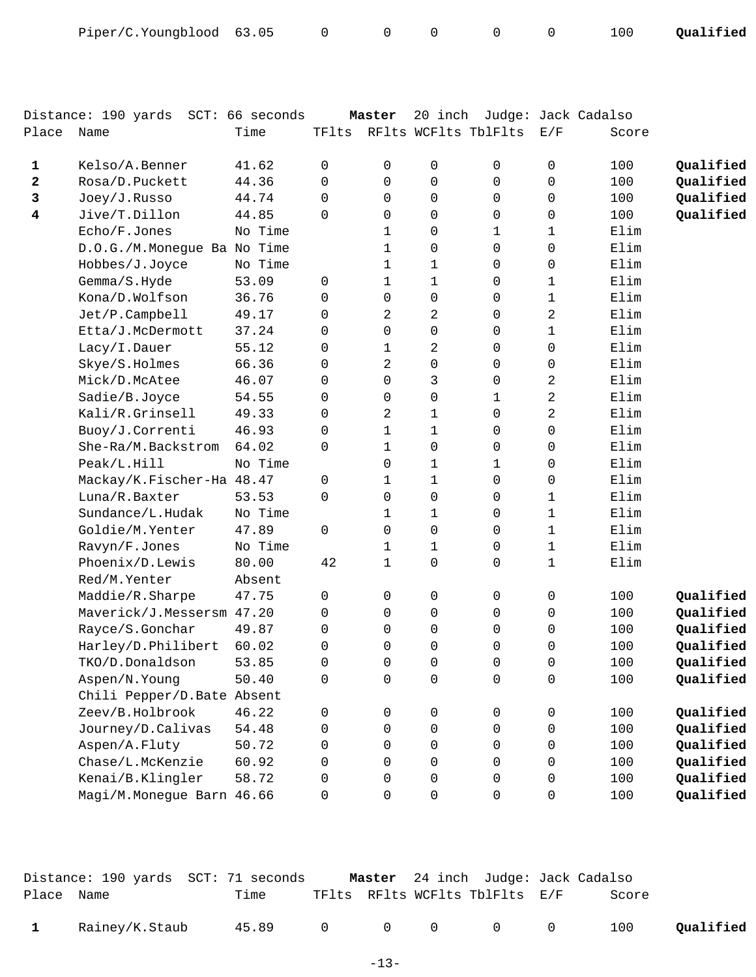| Piper/C.Youngblood 63.05 0 |  |  |  |  |  |  |  | 100 Qualified |
|----------------------------|--|--|--|--|--|--|--|---------------|
|----------------------------|--|--|--|--|--|--|--|---------------|

|                         | Distance: 190 yards SCT: 66 seconds |         |          | Master         | 20 inch             |                      |                     | Judge: Jack Cadalso |           |
|-------------------------|-------------------------------------|---------|----------|----------------|---------------------|----------------------|---------------------|---------------------|-----------|
| Place                   | Name                                | Time    | TFlts    |                |                     | RFlts WCFlts TblFlts | E/F                 | Score               |           |
|                         |                                     |         |          |                |                     |                      |                     |                     |           |
| 1                       | Kelso/A.Benner                      | 41.62   | 0        | 0              | 0                   | 0                    | 0                   | 100                 | Qualified |
| 2                       | Rosa/D.Puckett                      | 44.36   | $\Omega$ | $\Omega$       | 0                   | $\Omega$             | 0                   | 100                 | Qualified |
| 3                       | Joey/J.Russo                        | 44.74   | $\Omega$ | 0              | 0                   | 0                    | 0                   | 100                 | Qualified |
| $\overline{\mathbf{4}}$ | Jive/T.Dillon                       | 44.85   | $\Omega$ | 0              | 0                   | 0                    | 0                   | 100                 | Qualified |
|                         | Echo/F.Jones                        | No Time |          | 1              | 0                   | 1                    | 1                   | Elim                |           |
|                         | D.O.G./M.Monegue Ba No Time         |         |          | 1              | 0                   | 0                    | 0                   | Elim                |           |
|                         | Hobbes/J.Joyce                      | No Time |          | $\mathbf{1}$   | $\mathbf{1}$        | 0                    | 0                   | Elim                |           |
|                         | Gemma/S.Hyde                        | 53.09   | 0        | $\mathbf 1$    | $\mathbf{1}$        | 0                    | 1                   | Elim                |           |
|                         | Kona/D.Wolfson                      | 36.76   | 0        | $\mathbf 0$    | 0                   | 0                    | $\mathbf 1$         | Elim                |           |
|                         | Jet/P.Campbell                      | 49.17   | 0        | 2              | 2                   | 0                    | 2                   | Elim                |           |
|                         | Etta/J.McDermott                    | 37.24   | 0        | 0              | $\mathbf 0$         | 0                    | 1                   | Elim                |           |
|                         | Lacy/I.Dauer                        | 55.12   | 0        | $\mathbf 1$    | $\overline{a}$      | 0                    | $\mathbf 0$         | Elim                |           |
|                         | Skye/S.Holmes                       | 66.36   | 0        | 2              | $\mathbf 0$         | 0                    | 0                   | Elim                |           |
|                         | Mick/D.McAtee                       | 46.07   | $\Omega$ | $\Omega$       | 3                   | 0                    | 2                   | Elim                |           |
|                         | Sadie/B.Joyce                       | 54.55   | 0        | $\Omega$       | 0                   | 1                    | 2                   | Elim                |           |
|                         | Kali/R.Grinsell                     | 49.33   | 0        | $\overline{a}$ | $\mathbf{1}$        | 0                    | 2                   | Elim                |           |
|                         | Buoy/J.Correnti                     | 46.93   | 0        | 1              | $\mathbf{1}$        | 0                    | 0                   | Elim                |           |
|                         | She-Ra/M.Backstrom                  | 64.02   | $\Omega$ | $\mathbf 1$    | 0                   | 0                    | 0                   | Elim                |           |
|                         | Peak/L.Hill                         | No Time |          | 0              | $\mathbf 1$         | 1                    | 0                   | Elim                |           |
|                         | Mackay/K.Fischer-Ha 48.47           |         | 0        | $\mathbf 1$    | 1                   | 0                    | 0                   | Elim                |           |
|                         | Luna/R.Baxter                       | 53.53   | 0        | 0              | 0                   | 0                    | 1                   | Elim                |           |
|                         | Sundance/L.Hudak                    | No Time |          | 1              | $\mathbf{1}$        | 0                    | 1                   | Elim                |           |
|                         | Goldie/M. Yenter                    | 47.89   | 0        | 0              | 0                   | 0                    | 1                   | Elim                |           |
|                         | Ravyn/F.Jones                       | No Time |          | 1              | $\mathbf 1$         | 0                    | 1                   | Elim                |           |
|                         | Phoenix/D.Lewis                     | 80.00   | 42       | $\mathbf 1$    | 0                   | 0                    | 1                   | Elim                |           |
|                         | Red/M.Yenter                        | Absent  |          |                |                     |                      |                     |                     |           |
|                         | Maddie/R.Sharpe                     | 47.75   | 0        | 0              | 0                   | 0                    | 0                   | 100                 | Qualified |
|                         | Maverick/J.Messersm 47.20           |         | 0        | 0              | 0                   | 0                    | 0                   | 100                 | Qualified |
|                         | Rayce/S.Gonchar                     | 49.87   | 0        | 0              | 0                   | 0                    | 0                   | 100                 | Qualified |
|                         | Harley/D.Philibert                  | 60.02   | $\Omega$ | $\Omega$       | 0                   | $\Omega$             | 0                   | 100                 | Qualified |
|                         | TKO/D.Donaldson                     | 53.85   | 0        | $\mathsf 0$    | 0                   | 0                    | 0                   | 100                 | Qualified |
|                         | Aspen/N.Young                       | 50.40   | 0        | 0              | $\mathsf{O}\xspace$ | $\mathsf{O}\xspace$  | $\mathsf{O}\xspace$ | 100                 | Qualified |
|                         | Chili Pepper/D. Bate Absent         |         |          |                |                     |                      |                     |                     |           |
|                         | Zeev/B.Holbrook                     | 46.22   | 0        | 0              | 0                   | 0                    | 0                   | 100                 | Qualified |
|                         | Journey/D.Calivas                   | 54.48   | 0        | $\Omega$       | 0                   | 0                    | 0                   | 100                 | Qualified |
|                         | Aspen/A.Fluty                       | 50.72   | 0        | $\Omega$       | 0                   | 0                    | 0                   | 100                 | Qualified |
|                         | Chase/L.McKenzie                    | 60.92   | 0        | 0              | 0                   | 0                    | 0                   | 100                 | Qualified |
|                         | Kenai/B.Klingler                    | 58.72   | 0        | 0              | 0                   | 0                    | 0                   | 100                 | Qualified |
|                         | Magi/M.Monegue Barn 46.66           |         | 0        | 0              | 0                   | $\mathsf{O}$         | 0                   | 100                 | Qualified |
|                         |                                     |         |          |                |                     |                      |                     |                     |           |

|              | Distance: 190 yards  SCT: 71 seconds |                 |  | <b>Master</b> 24 inch Judge: Jack Cadalso |       |           |
|--------------|--------------------------------------|-----------------|--|-------------------------------------------|-------|-----------|
| Place Name   |                                      | Time            |  | TFlts RFlts WCFlts TblFlts E/F            | Score |           |
| $\mathbf{1}$ | Rainey/K.Staub                       | 45.89 0 0 0 0 0 |  |                                           | 100   | Qualified |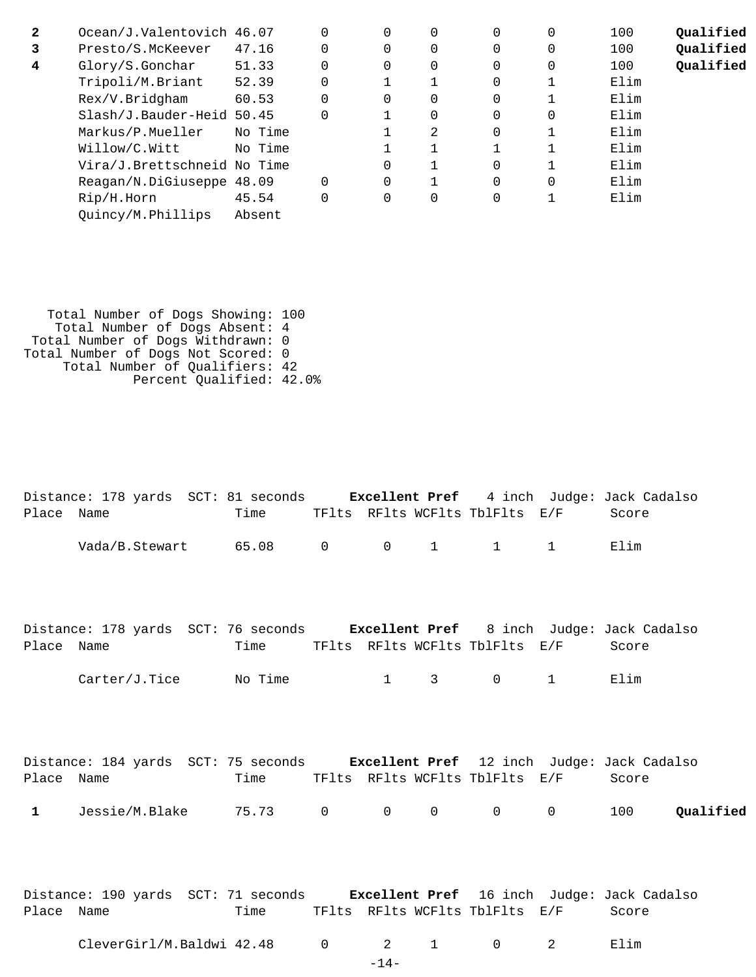| $\mathbf{2}$ | Ocean/J.Valentovich 46.07   |         | $\Omega$ | 0        | 0        | $\Omega$ | 100  | Oualified |
|--------------|-----------------------------|---------|----------|----------|----------|----------|------|-----------|
| 3            | Presto/S.McKeever           | 47.16   | $\Omega$ | $\Omega$ | 0        | $\Omega$ | 100  | Qualified |
| 4            | Glory/S.Gonchar             | 51.33   | $\Omega$ | $\Omega$ | 0        | $\Omega$ | 100  | Qualified |
|              | Tripoli/M.Briant            | 52.39   |          |          | 0        |          | Elim |           |
|              | Rex/V.Bridgham              | 60.53   | $\Omega$ | $\Omega$ | $\Omega$ |          | Elim |           |
|              | Slash/J.Bauder-Heid 50.45   |         |          | $\Omega$ | $\Omega$ | $\Omega$ | Elim |           |
|              | Markus/P.Mueller            | No Time |          | 2        | $\Omega$ |          | Elim |           |
|              | Willow/C.Witt               | No Time |          |          |          |          | Elim |           |
|              | Vira/J.Brettschneid No Time |         | 0        |          | $\Omega$ |          | Elim |           |
|              | Reagan/N.DiGiuseppe 48.09   |         | $\Omega$ | 1        | $\Omega$ | $\Omega$ | Elim |           |
|              | Rip/H.Horn                  | 45.54   | 0        | 0        | 0        | 1        | Elim |           |
|              | Quincy/M.Phillips           | Absent  |          |          |          |          |      |           |
|              |                             |         |          |          |          |          |      |           |

| Total Number of Dogs Showing: 100  |  |
|------------------------------------|--|
| Total Number of Dogs Absent: 4     |  |
| Total Number of Dogs Withdrawn: 0  |  |
| Total Number of Dogs Not Scored: 0 |  |
| Total Number of Qualifiers: 42     |  |
| Percent Qualified: 42.0%           |  |
|                                    |  |

|              | Distance: 178 yards SCT: 81 seconds Excellent Pref 4 inch Judge: Jack Cadalso  |                                     |                |                  |                        |                                |                        |       |           |
|--------------|--------------------------------------------------------------------------------|-------------------------------------|----------------|------------------|------------------------|--------------------------------|------------------------|-------|-----------|
| Place Name   |                                                                                | Time TFlts RFlts WCFlts TblFlts E/F |                |                  |                        |                                |                        | Score |           |
|              | Vada/B.Stewart 65.08                                                           |                                     | $\overline{0}$ | $\overline{0}$   | $1 \quad \blacksquare$ | $\mathbf{1}$                   | $1 \quad \blacksquare$ | Elim  |           |
| Place Name   | Distance: 178 yards SCT: 76 seconds Excellent Pref 8 inch Judge: Jack Cadalso  | Time                                |                |                  |                        | TFlts RFlts WCFlts TblFlts E/F |                        | Score |           |
|              | $Carter/J.Tice$ No Time                                                        |                                     |                | $1 \quad \cdots$ | $3 \sim$               | $0 \qquad \qquad$              | $\mathbf 1$            | Elim  |           |
|              |                                                                                |                                     |                |                  |                        |                                |                        |       |           |
|              | Distance: 184 yards SCT: 75 seconds Excellent Pref 12 inch Judge: Jack Cadalso |                                     |                |                  |                        |                                |                        |       |           |
| Place Name   |                                                                                | Time                                |                |                  |                        | TFlts RFlts WCFlts TblFlts E/F |                        | Score |           |
| $\mathbf{1}$ | Jessie/M.Blake 75.73 0                                                         |                                     |                | $\Omega$         | $\Omega$               | $\Omega$                       | $0 \qquad \qquad$      | 100   | Oualified |
| Place Name   | Distance: 190 yards SCT: 71 seconds Excellent Pref 16 inch Judge: Jack Cadalso | Time                                |                |                  |                        | TFlts RFlts WCFlts TblFlts E/F |                        | Score |           |

| CleverGirl/M.Baldwi 42.48 |  |  |  |  |  | E⊥ım |
|---------------------------|--|--|--|--|--|------|
|---------------------------|--|--|--|--|--|------|

-14-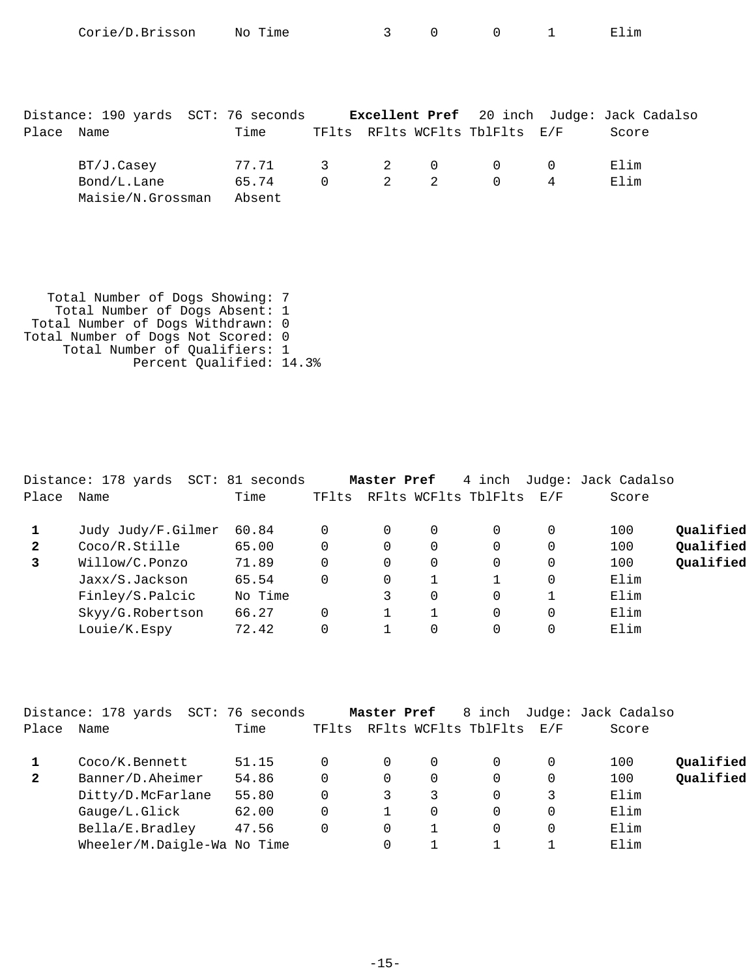| Corie/D.Brisson No Time |  |  | $\begin{array}{ccc} & & 1 \end{array}$<br><b>__</b> | Elim |
|-------------------------|--|--|-----------------------------------------------------|------|
|                         |  |  |                                                     |      |
|                         |  |  |                                                     |      |

|            | Distance: 190 yards SCT: 76 seconds |             |                                     |                                |   | <b>Excellent Pref</b> 20 inch Judge: Jack Cadalso |
|------------|-------------------------------------|-------------|-------------------------------------|--------------------------------|---|---------------------------------------------------|
| Place Name |                                     | Time        |                                     | TFlts RFlts WCFlts TblFlts E/F |   | Score                                             |
|            | BT/J.Casey                          | 77.71 3 2 0 |                                     | $\Omega$                       |   | Elim                                              |
|            | Bond/L.Lane                         | 65.74       | $0 \qquad \qquad 2 \qquad \qquad 2$ | $\Omega$                       | 4 | Elim                                              |
|            | Maisie/N.Grossman                   | Absent      |                                     |                                |   |                                                   |

 Total Number of Dogs Showing: 7 Total Number of Dogs Absent: 1 Total Number of Dogs Withdrawn: 0 Total Number of Dogs Not Scored: 0 Total Number of Qualifiers: 1 Percent Qualified: 14.3%

|              | Distance: 178 yards SCT: 81 seconds |         |       | Master Pref |          | 4 inch               |     | Judge: Jack Cadalso |           |
|--------------|-------------------------------------|---------|-------|-------------|----------|----------------------|-----|---------------------|-----------|
| Place        | Name                                | Time    | TFlts |             |          | RFlts WCFlts TblFlts | E/F | Score               |           |
|              | Judy Judy/F.Gilmer                  | 60.84   | 0     | 0           | $\Omega$ | $\Omega$             |     | 100                 | Qualified |
| $\mathbf{2}$ | Coco/R.Stille                       | 65.00   | 0     | 0           | $\Omega$ | $\Omega$             |     | 100                 | Qualified |
| 3            | Willow/C.Ponzo                      | 71.89   | 0     | $\Omega$    | $\Omega$ | $\Omega$             |     | 100                 | Qualified |
|              | Jaxx/S.Jackson                      | 65.54   | 0     | 0           |          |                      |     | Elim                |           |
|              | Finley/S.Palcic                     | No Time |       | 3           | $\Omega$ | $\Omega$             |     | Elim                |           |
|              | Skyy/G.Robertson                    | 66.27   | 0     |             |          | $\Omega$             |     | Elim                |           |
|              | Louie/K.Espy                        | 72.42   | 0     |             | $\Omega$ | $\Omega$             |     | Elim                |           |

|              | Distance: 178 yards<br>SCT: | 76 seconds |       | Master Pref |             | 8 inch               |     | Judge: Jack Cadalso |           |
|--------------|-----------------------------|------------|-------|-------------|-------------|----------------------|-----|---------------------|-----------|
| Place        | Name                        | Time       | TFlts |             |             | RFlts WCFlts TblFlts | E/F | Score               |           |
|              | Coco/K.Bennett              | 51.15      |       | 0           | 0           |                      | 0   | 100                 | Qualified |
| $\mathbf{2}$ | Banner/D.Aheimer            | 54.86      |       | 0           | $\mathbf 0$ |                      | 0   | 100                 | Qualified |
|              | Ditty/D.McFarlane           | 55.80      |       | 3           | 3           |                      |     | Elim                |           |
|              | Gauge/L.Glick               | 62.00      |       |             | $\Omega$    |                      | 0   | Elim                |           |
|              | Bella/E.Bradley             | 47.56      |       | 0           |             |                      | 0   | Elim                |           |
|              | Wheeler/M.Daigle-Wa No Time |            |       |             |             |                      |     | Elim                |           |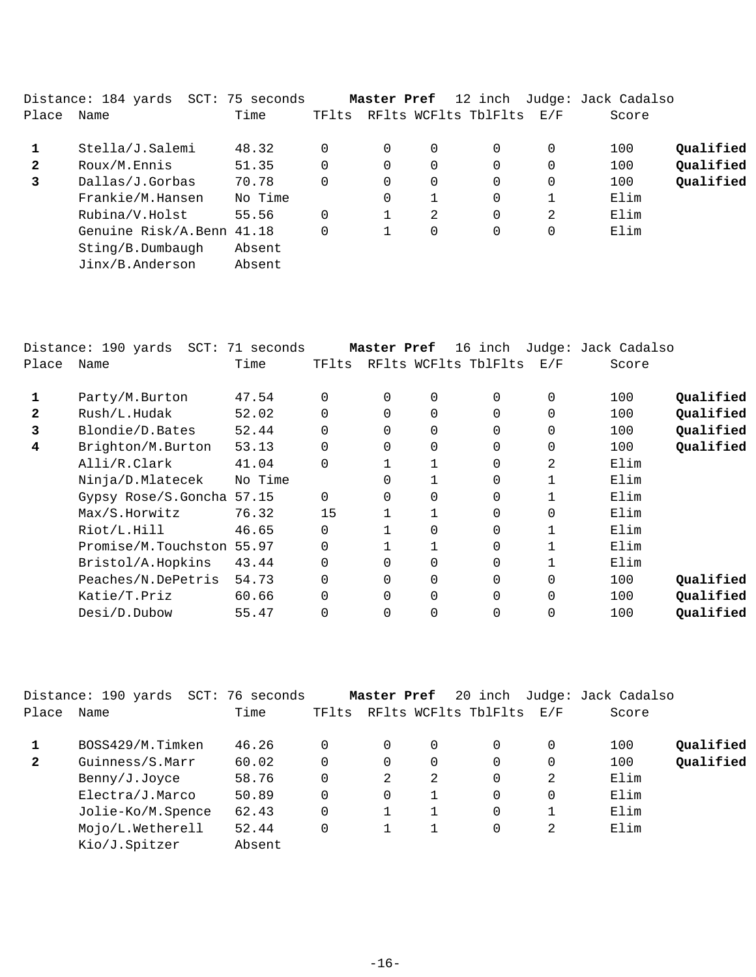|              | Distance: 184 yards SCT: 75 seconds |         |          | Master Pref |          | 12 inch              |                   | Judge: Jack Cadalso |           |
|--------------|-------------------------------------|---------|----------|-------------|----------|----------------------|-------------------|---------------------|-----------|
| Place        | Name                                | Time    | TFlts    |             |          | RFlts WCFlts TblFlts | $\rm E$ / $\rm F$ | Score               |           |
|              | Stella/J.Salemi                     | 48.32   |          | $\Omega$    | 0        | 0                    | $\Omega$          | 100                 | Qualified |
| $\mathbf{2}$ | Roux/M.Ennis                        | 51.35   | $\Omega$ | $\Omega$    | $\Omega$ | 0                    | 0                 | 100                 | Qualified |
| 3            | Dallas/J.Gorbas                     | 70.78   |          | 0           | 0        | 0                    | $\mathbf 0$       | 100                 | Qualified |
|              | Frankie/M.Hansen                    | No Time |          | 0           |          | $\Omega$             |                   | Elim                |           |
|              | Rubina/V.Holst                      | 55.56   |          |             | 2        | $\Omega$             | 2                 | Elim                |           |
|              | Genuine Risk/A.Benn 41.18           |         |          | 1           | 0        | 0                    | $\Omega$          | Elim                |           |
|              | Sting/B.Dumbaudh                    | Absent  |          |             |          |                      |                   |                     |           |
|              | Jinx/B.Anderson                     | Absent  |          |             |          |                      |                   |                     |           |
|              |                                     |         |          |             |          |                      |                   |                     |           |

|       | Distance: 190 yards<br>$SCT$ : | 71 seconds |          | Master Pref |             | 16 inch              |          | Judge: Jack Cadalso |           |
|-------|--------------------------------|------------|----------|-------------|-------------|----------------------|----------|---------------------|-----------|
| Place | Name                           | Time       | TFlts    |             |             | RFlts WCFlts TblFlts | E/F      | Score               |           |
|       | Party/M.Burton                 | 47.54      | 0        | $\Omega$    | $\mathbf 0$ | $\Omega$             | $\Omega$ | 100                 | Qualified |
| 2     | Rush/L.Hudak                   | 52.02      | 0        | 0           | $\mathbf 0$ | $\Omega$             | $\Omega$ | 100                 | Qualified |
| 3     | Blondie/D.Bates                | 52.44      | 0        | $\Omega$    | $\mathbf 0$ | $\Omega$             | 0        | 100                 | Qualified |
| 4     | Brighton/M.Burton              | 53.13      | $\Omega$ | $\Omega$    | $\mathbf 0$ | $\Omega$             | 0        | 100                 | Qualified |
|       | Alli/R.Clark                   | 41.04      | 0        |             |             | $\Omega$             | 2        | Elim                |           |
|       | Ninja/D.Mlatecek               | No Time    |          |             |             | $\Omega$             |          | Elim                |           |
|       | Gypsy Rose/S.Goncha 57.15      |            | 0        | $\Omega$    | $\Omega$    | $\Omega$             |          | Elim                |           |
|       | Max/S.Horwitz                  | 76.32      | 15       |             |             | $\Omega$             | 0        | Elim                |           |
|       | Riot/L.Hill                    | 46.65      | 0        |             | $\Omega$    | $\Omega$             | 1        | Elim                |           |
|       | Promise/M.Touchston 55.97      |            | 0        |             |             | $\Omega$             |          | Elim                |           |
|       | Bristol/A.Hopkins              | 43.44      | 0        | $\Omega$    | $\mathbf 0$ | $\Omega$             |          | Elim                |           |
|       | Peaches/N.DePetris             | 54.73      | 0        | $\Omega$    | $\mathbf 0$ | $\Omega$             | $\Omega$ | 100                 | Qualified |
|       | Katie/T.Priz                   | 60.66      | $\Omega$ | $\Omega$    | $\mathbf 0$ | $\Omega$             | $\Omega$ | 100                 | Qualified |
|       | Desi/D.Dubow                   | 55.47      | 0        | $\Omega$    | $\Omega$    | $\Omega$             | $\Omega$ | 100                 | Qualified |
|       |                                |            |          |             |             |                      |          |                     |           |

|              | Distance: 190 yards<br>SCT: | 76 seconds |          | Master Pref |   | 20 inch              |     | Judge: Jack Cadalso |           |
|--------------|-----------------------------|------------|----------|-------------|---|----------------------|-----|---------------------|-----------|
| Place        | Name                        | Time       | TFlts    |             |   | RFlts WCFlts TblFlts | E/F | Score               |           |
|              | BOSS429/M.Timken            | 46.26      |          |             | 0 | 0                    | 0   | 100                 | Qualified |
| $\mathbf{2}$ | Guinness/S.Marr             | 60.02      | 0        |             | 0 | 0                    | 0   | 100                 | Qualified |
|              | Benny/J.Joyce               | 58.76      | $\Omega$ | 2           | 2 | $\Omega$             | 2   | Elim                |           |
|              | Electra/J.Marco             | 50.89      | 0        |             |   | 0                    | 0   | Elim                |           |
|              | Jolie-Ko/M.Spence           | 62.43      | $\Omega$ |             |   | $\Omega$             |     | Elim                |           |
|              | Mojo/L.Wetherell            | 52.44      | 0        |             |   | 0                    | 2   | Elim                |           |
|              | Kio/J.Spitzer               | Absent     |          |             |   |                      |     |                     |           |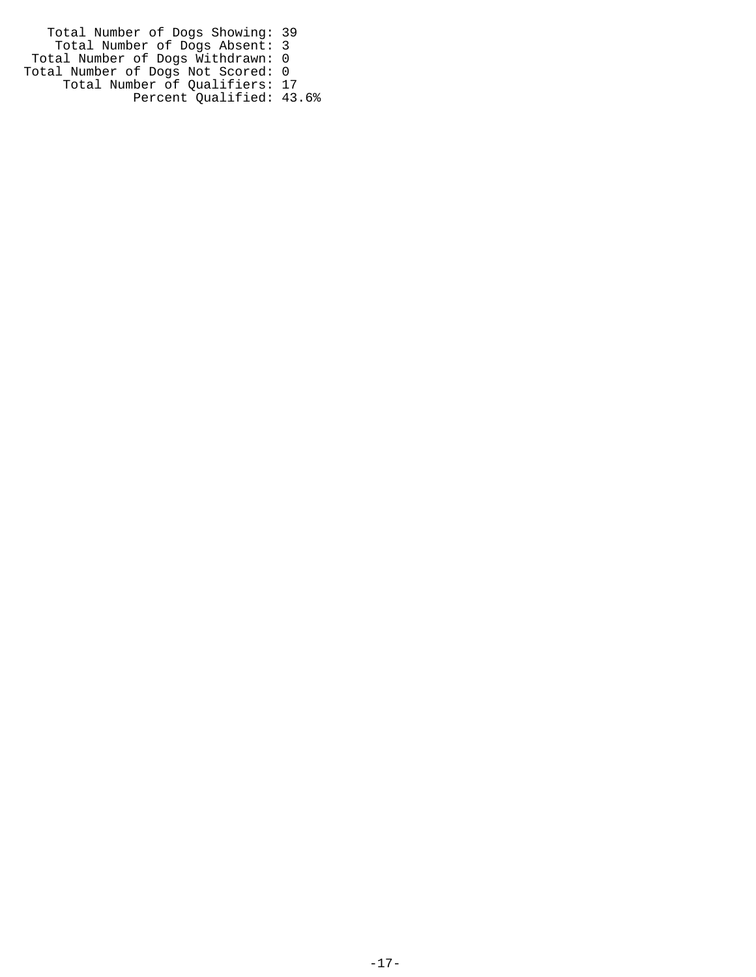Total Number of Dogs Showing: 39 Total Number of Dogs Absent: 3 Total Number of Dogs Withdrawn: 0 Total Number of Dogs Not Scored: 0 Total Number of Qualifiers: 17 Percent Qualified: 43.6%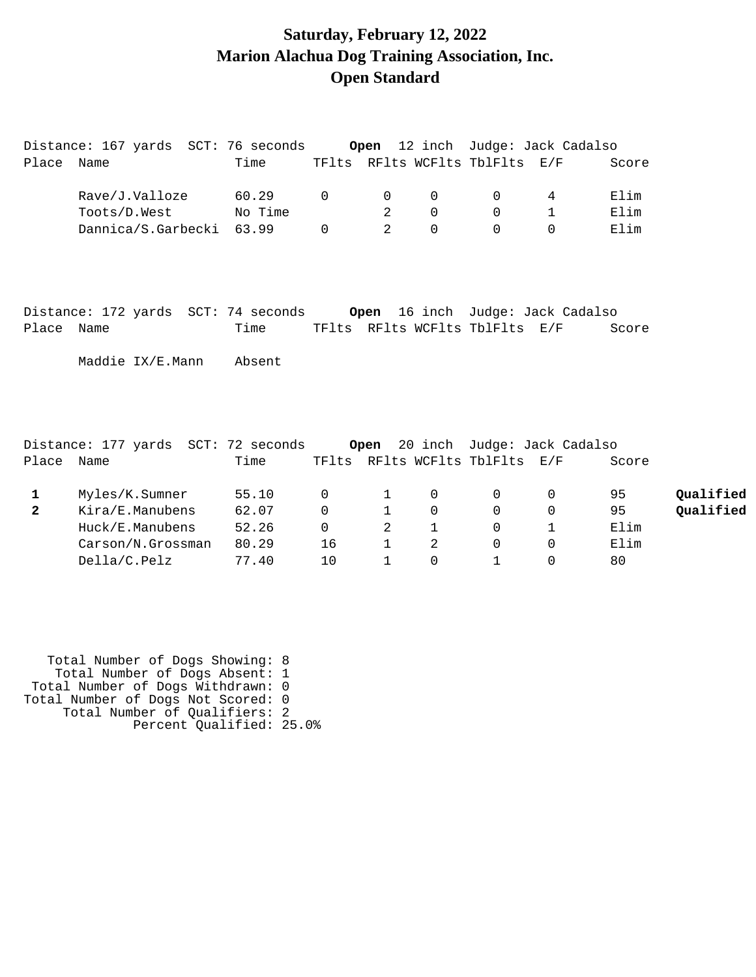## **Saturday, February 12, 2022 Marion Alachua Dog Training Association, Inc. Open Standard**

|                | Distance: 167 yards  SCT: 76 seconds                                          |         |             |                |                |                                | <b>Open</b> 12 inch Judge: Jack Cadalso |       |           |
|----------------|-------------------------------------------------------------------------------|---------|-------------|----------------|----------------|--------------------------------|-----------------------------------------|-------|-----------|
| Place Name     |                                                                               | Time    |             |                |                | TFlts RFlts WCFlts TblFlts E/F |                                         | Score |           |
|                | Rave/J.Valloze                                                                | 60.29   | $\Omega$    | $\Omega$       | $\overline{0}$ | $\mathbf{0}$                   | 4                                       | Elim  |           |
|                | Toots/D.West                                                                  | No Time |             | 2              | $\Omega$       | $\Omega$                       | $\mathbf{1}$                            | Elim  |           |
|                | Dannica/S.Garbecki                                                            | 63.99   | $\Omega$    | $\mathfrak{D}$ | $\Omega$       | $\Omega$                       | $\Omega$                                | Elim  |           |
| Place Name     |                                                                               | Time    |             |                |                | TFlts RFlts WCFlts TblFlts E/F |                                         | Score |           |
|                |                                                                               |         |             |                |                |                                |                                         |       |           |
|                | Maddie IX/E.Mann                                                              | Absent  |             |                |                |                                |                                         |       |           |
|                | Distance: 177 yards  SCT: 72 seconds <b>Open</b> 20 inch  Judge: Jack Cadalso |         |             |                |                |                                |                                         |       |           |
| Place Name     |                                                                               | Time    |             |                |                | TFlts RFlts WCFlts TblFlts E/F |                                         | Score |           |
| $\mathbf{1}$   | Myles/K.Sumner                                                                | 55.10   | $\mathbf 0$ | 1              | $\mathbf 0$    | $\Omega$                       | 0                                       | 95    | Qualified |
| $\overline{2}$ | Kira/E.Manubens                                                               | 62.07   | $\Omega$    | $\mathbf{1}$   | $\Omega$       | $\Omega$                       | $\mathbf 0$                             | 95    | Qualified |
|                | Huck/E.Manubens                                                               | 52.26   | $\mathbf 0$ | $\overline{c}$ | 1              | $\mathbf 0$                    | 1                                       | Elim  |           |
|                | Carson/N.Grossman                                                             | 80.29   | 16          | $\mathbf{1}$   | 2              | $\Omega$                       | $\Omega$                                | Elim  |           |
|                | Della/C.Pelz                                                                  | 77.40   | 10          | $\mathbf{1}$   | $\mathbf 0$    | 1                              | $\Omega$                                | 80    |           |

 Total Number of Dogs Showing: 8 Total Number of Dogs Absent: 1 Total Number of Dogs Withdrawn: 0 Total Number of Dogs Not Scored: 0 Total Number of Qualifiers: 2 Percent Qualified: 25.0%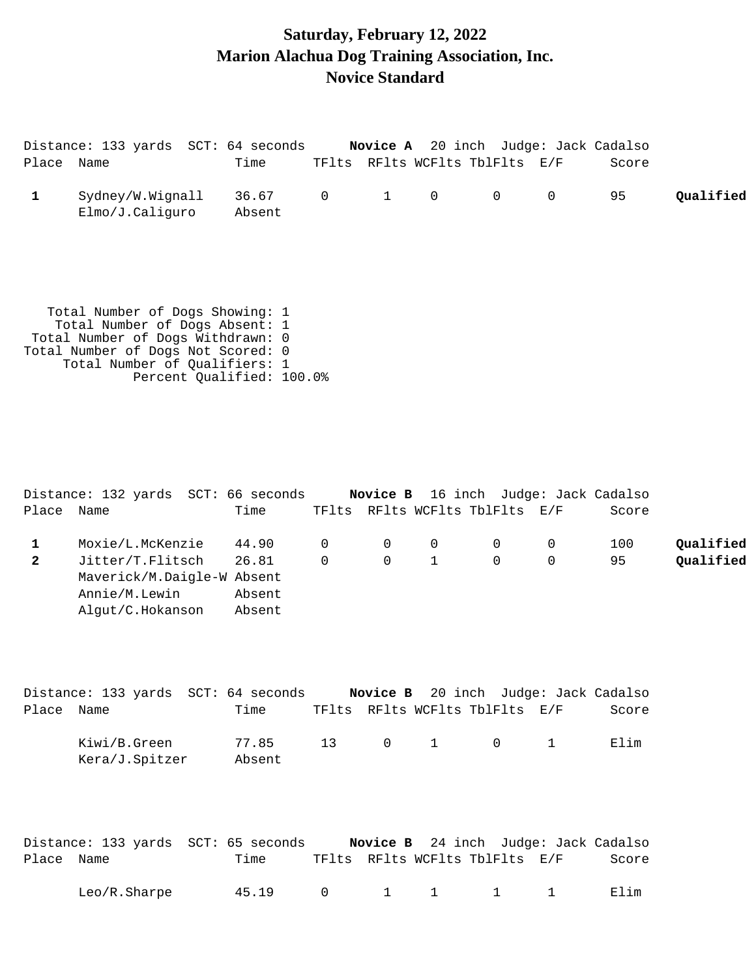## **Saturday, February 12, 2022 Marion Alachua Dog Training Association, Inc. Novice Standard**

|            | Distance: 133 yards SCT: 64 seconds                               |                 |                |              |                |                                |   | <b>Novice A</b> 20 inch Judge: Jack Cadalso |           |
|------------|-------------------------------------------------------------------|-----------------|----------------|--------------|----------------|--------------------------------|---|---------------------------------------------|-----------|
| Place Name |                                                                   | Time            |                |              |                | TFlts RFlts WCFlts TblFlts E/F |   | Score                                       |           |
|            | Sydney/W.Wignall<br>Elmo/J.Caliguro                               | 36.67<br>Absent | $\overline{0}$ | $\mathbf{1}$ | $\overline{0}$ | $\overline{0}$                 | 0 | 95                                          | Qualified |
|            | Total Number of Dogs Showing: 1<br>Total Number of Dogs Absent: 1 |                 |                |              |                |                                |   |                                             |           |

 Total Number of Dogs Withdrawn: 0 Total Number of Dogs Not Scored: 0 Total Number of Qualifiers: 1 Percent Qualified: 100.0%

|              | Distance: 132 yards SCT: 66 seconds |         |          |                |     | Novice B 16 inch Judge: Jack Cadalso |       |           |
|--------------|-------------------------------------|---------|----------|----------------|-----|--------------------------------------|-------|-----------|
| Place        | Name                                | Time    |          |                |     | TFlts RFlts WCFlts TblFlts E/F       | Score |           |
|              | Moxie/L.McKenzie                    | 44.90 0 |          | $\overline{0}$ | - 0 |                                      | 100   | Oualified |
| $\mathbf{2}$ | Jitter/T.Flitsch                    | 26.81   | $\Omega$ | $\Omega$       | 1   | $\Omega$                             | 95    | Oualified |
|              | Maverick/M.Daigle-W Absent          |         |          |                |     |                                      |       |           |
|              | Annie/M.Lewin                       | Absent  |          |                |     |                                      |       |           |
|              | Alqut/C.Hokanson                    | Absent  |          |                |     |                                      |       |           |

|            | Distance: 133 yards SCT: 64 seconds |                 |    |  | <b>Novice B</b> 20 inch Judge: Jack Cadalso |        |
|------------|-------------------------------------|-----------------|----|--|---------------------------------------------|--------|
| Place Name |                                     | Time            |    |  | TFlts RFlts WCFlts TblFlts E/F              | Score  |
|            | Kiwi/B.Green<br>Kera/J.Spitzer      | 77.85<br>Absent | 13 |  | $0 \qquad 1 \qquad 0 \qquad 1$              | F. lim |

|            | Distance: 133 yards SCT: 65 seconds |       |  |  | <b>Novice B</b> 24 inch Judge: Jack Cadalso                            |       |
|------------|-------------------------------------|-------|--|--|------------------------------------------------------------------------|-------|
| Place Name |                                     | Time  |  |  | TFlts RFlts WCFlts TblFlts E/F                                         | Score |
|            | Leo/R.Sharpe                        | 45.19 |  |  | $\begin{array}{ccccccccccccccccc}\n0 & 1 & 1 & 1 & 1 & 1\n\end{array}$ | Elim  |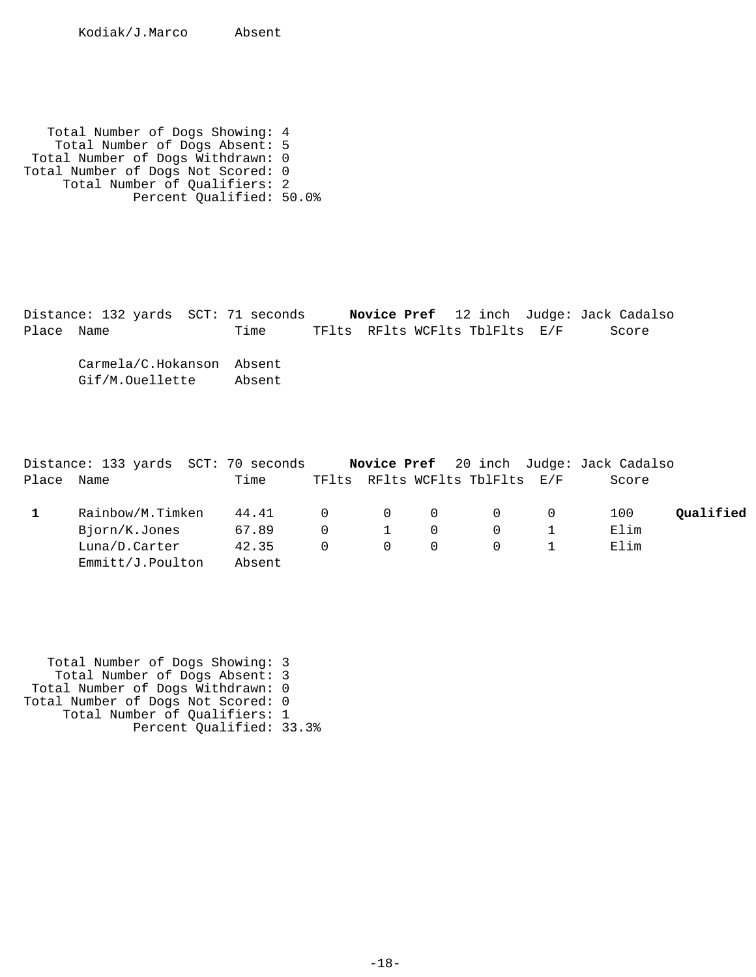Kodiak/J.Marco Absent

 Total Number of Dogs Showing: 4 Total Number of Dogs Absent: 5 Total Number of Dogs Withdrawn: 0 Total Number of Dogs Not Scored: 0 Total Number of Qualifiers: 2 Percent Qualified: 50.0%

Distance: 132 yards SCT: 71 seconds **Novice Pref** 12 inch Judge: Jack Cadalso Place Name Time TFlts RFlts WCFlts TblFlts E/F Score Carmela/C.Hokanson Absent Gif/M.Ouellette Absent

|       | Distance: 133 yards SCT: 70 seconds |        |           |          |          |                                | Novice Pref 20 inch Judge: Jack Cadalso |           |
|-------|-------------------------------------|--------|-----------|----------|----------|--------------------------------|-----------------------------------------|-----------|
| Place | Name                                | Time   |           |          |          | TFlts RFlts WCFlts TblFlts E/F | Score                                   |           |
|       | Rainbow/M.Timken                    | 44.41  | $\bigcap$ | $\Omega$ | $\Omega$ | $\Omega$                       | 100                                     | Oualified |
|       | Bjorn/K.Jones                       | 67.89  |           |          |          |                                | Elim                                    |           |
|       | Luna/D.Carter                       | 42.35  |           | $\Omega$ |          |                                | Elim                                    |           |
|       | Emmitt/J.Poulton                    | Absent |           |          |          |                                |                                         |           |

 Total Number of Dogs Showing: 3 Total Number of Dogs Absent: 3 Total Number of Dogs Withdrawn: 0 Total Number of Dogs Not Scored: 0 Total Number of Qualifiers: 1 Percent Qualified: 33.3%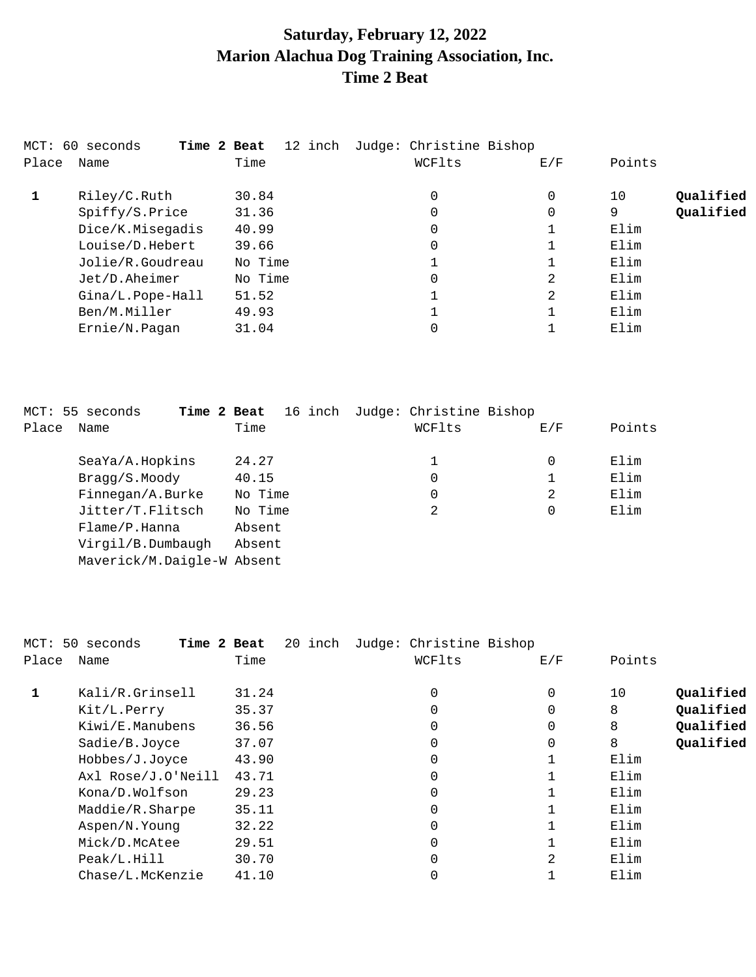# **Saturday, February 12, 2022 Marion Alachua Dog Training Association, Inc. Time 2 Beat**

|       | MCT: 60 seconds<br>Time 2 Beat |         | 12 inch Judge: Christine Bishop |     |                 |
|-------|--------------------------------|---------|---------------------------------|-----|-----------------|
| Place | Name                           | Time    | WCFlts                          | E/F | Points          |
| 1     | Riley/C.Ruth                   | 30.84   | 0                               | 0   | Qualified<br>10 |
|       | Spiffy/S.Price                 | 31.36   | 0                               | 0   | Qualified<br>9  |
|       | Dice/K.Misegadis               | 40.99   | 0                               |     | Elim            |
|       | Louise/D.Hebert                | 39.66   | 0                               |     | Elim            |
|       | Jolie/R.Goudreau               | No Time |                                 |     | Elim            |
|       | Jet/D.Aheimer                  | No Time | $\overline{0}$                  | 2   | Elim            |
|       | Gina/L.Pope-Hall               | 51.52   |                                 | 2   | Elim            |
|       | Ben/M.Miller                   | 49.93   |                                 |     | Elim            |
|       | Ernie/N.Pagan                  | 31.04   | 0                               |     | Elim            |

|       | MCT: 55 seconds            | Time 2 Beat |         |  | 16 inch | Judge: Christine Bishop |     |        |
|-------|----------------------------|-------------|---------|--|---------|-------------------------|-----|--------|
| Place | Name                       |             | Time    |  |         | WCFlts                  | E/F | Points |
|       | SeaYa/A.Hopkins            |             | 24.27   |  |         | 1                       | 0   | Elim   |
|       | Bragg/S.Moody              |             | 40.15   |  |         | 0                       |     | Elim   |
|       | Finnegan/A.Burke           |             | No Time |  |         | 0                       | 2   | Elim   |
|       | Jitter/T.Flitsch           |             | No Time |  |         | 2                       | 0   | Elim   |
|       | Flame/P.Hanna              |             | Absent  |  |         |                         |     |        |
|       | Virgil/B.Dumbaugh          |             | Absent  |  |         |                         |     |        |
|       | Maverick/M.Daigle-W Absent |             |         |  |         |                         |     |        |

|       | MCT: 50 seconds<br>Time 2 Beat | 20 inch | Judge: Christine Bishop |     |                 |
|-------|--------------------------------|---------|-------------------------|-----|-----------------|
| Place | Name                           | Time    | WCFlts                  | E/F | Points          |
| 1     | Kali/R.Grinsell                | 31.24   | 0                       | 0   | Qualified<br>10 |
|       | Kit/L.Perry                    | 35.37   | 0                       | 0   | Qualified<br>8  |
|       | Kiwi/E.Manubens                | 36.56   | 0                       | 0   | Qualified<br>8  |
|       | Sadie/B.Joyce                  | 37.07   | 0                       | 0   | Qualified<br>8  |
|       | Hobbes/J.Joyce                 | 43.90   | 0                       |     | Elim            |
|       | Axl Rose/J.O'Neill             | 43.71   | 0                       |     | Elim            |
|       | Kona/D.Wolfson                 | 29.23   | $\Omega$                |     | Elim            |
|       | Maddie/R.Sharpe                | 35.11   | 0                       |     | Elim            |
|       | Aspen/N.Young                  | 32.22   | $\Omega$                |     | Elim            |
|       | Mick/D.McAtee                  | 29.51   | 0                       |     | Elim            |
|       | Peak/L.Hill                    | 30.70   | $\Omega$                | 2   | Elim            |
|       | Chase/L.McKenzie               | 41.10   |                         |     | Elim            |
|       |                                |         |                         |     |                 |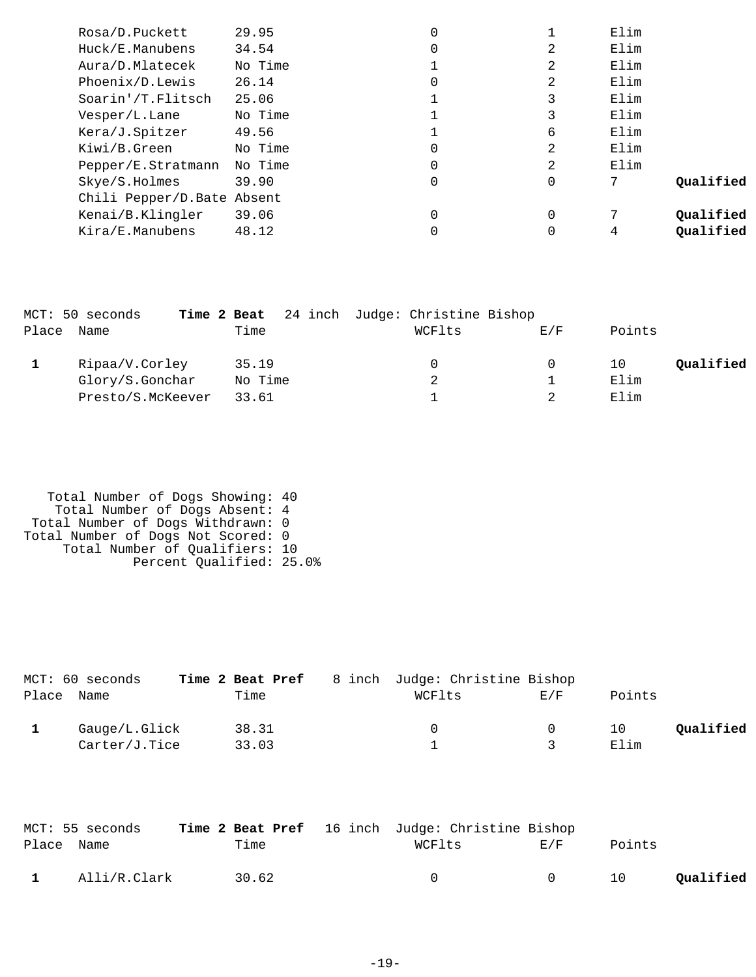| Rosa/D.Puckett              | 29.95   | 0 |          | Elim |           |
|-----------------------------|---------|---|----------|------|-----------|
| Huck/E.Manubens             | 34.54   | 0 | 2        | Elim |           |
| Aura/D.Mlatecek             | No Time |   | 2        | Elim |           |
| Phoenix/D.Lewis             | 26.14   | 0 | 2        | Elim |           |
| Soarin'/T.Flitsch           | 25.06   |   | 3        | Elim |           |
| Vesper/L.Lane               | No Time |   | 3        | Elim |           |
| Kera/J.Spitzer              | 49.56   |   | 6        | Elim |           |
| Kiwi/B.Green                | No Time | 0 | 2        | Elim |           |
| Pepper/E.Stratmann          | No Time | 0 | 2        | Elim |           |
| Skye/S.Holmes               | 39.90   | 0 | 0        | 7    | Oualified |
| Chili Pepper/D. Bate Absent |         |   |          |      |           |
| Kenai/B.Klingler            | 39.06   | 0 | $\Omega$ | 7    | Oualified |
| Kira/E.Manubens             | 48.12   |   |          | 4    | Oualified |
|                             |         |   |          |      |           |

|       | MCT: 50 seconds   | Time 2 Beat | 24 inch Judge: Christine Bishop |     |                 |
|-------|-------------------|-------------|---------------------------------|-----|-----------------|
| Place | Name              | Time        | WCFlts                          | E/F | Points          |
|       |                   |             |                                 |     |                 |
|       | Ripaa/V.Corley    | 35.19       | 0                               | 0   | Qualified<br>10 |
|       | Glory/S.Gonchar   | No Time     | 2                               |     | Elim            |
|       | Presto/S.McKeever | 33.61       |                                 |     | Elim            |

 Total Number of Dogs Showing: 40 Total Number of Dogs Absent: 4 Total Number of Dogs Withdrawn: 0 Total Number of Dogs Not Scored: 0 Total Number of Qualifiers: 10 Percent Qualified: 25.0%

|       | MCT: 60 seconds | Time 2 Beat Pref | 8 inch Judge: Christine Bishop |     |        |           |
|-------|-----------------|------------------|--------------------------------|-----|--------|-----------|
| Place | Name            | Time             | WCFlts                         | E/F | Points |           |
|       | Gauge/L.Glick   | 38.31            |                                |     | 10     | Qualified |
|       | Carter/J.Tice   | 33.03            |                                |     | Elim   |           |

|                | MCT: 55 seconds |       |  | <b>Time 2 Beat Pref</b> 16 inch Judge: Christine Bishop |        |        |           |
|----------------|-----------------|-------|--|---------------------------------------------------------|--------|--------|-----------|
| Place Name     |                 | Time  |  | WCFlts                                                  | F./F   | Points |           |
| $\blacksquare$ | Alli/R.Clark    | 30.62 |  | $\cap$                                                  | $\cap$ | 10     | Qualified |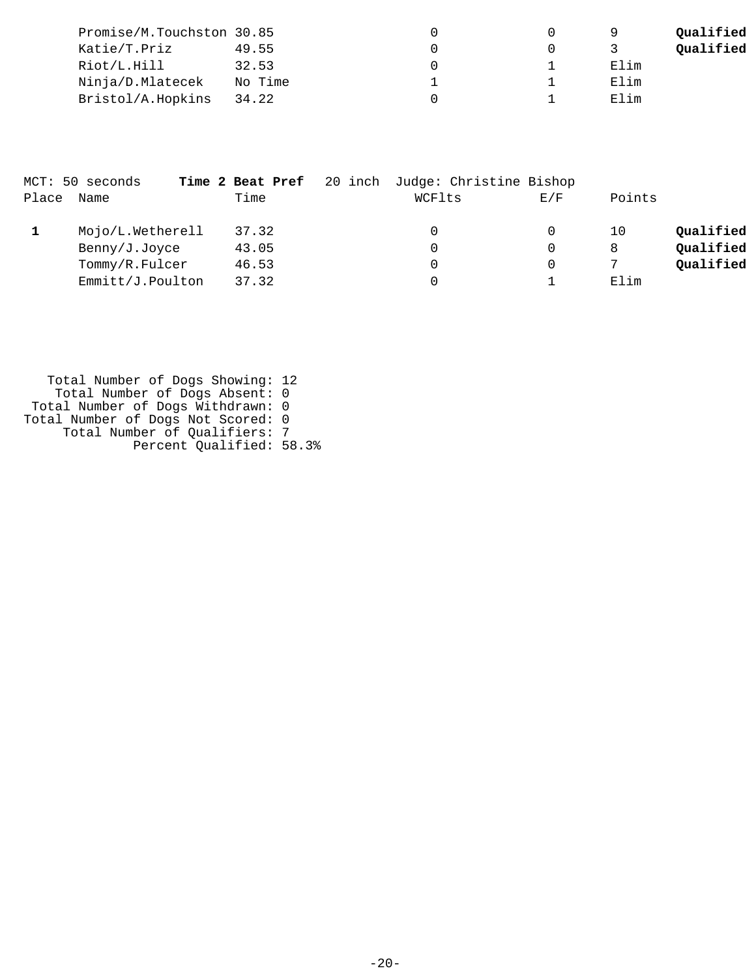| Promise/M.Touchston 30.85 |         |  | a    | Qualified |
|---------------------------|---------|--|------|-----------|
| Katie/T.Priz              | 49.55   |  |      | Qualified |
| Riot/L.Hill               | 32.53   |  | Elim |           |
| Ninja/D.Mlatecek          | No Time |  | Elim |           |
| Bristol/A.Hopkins         | 34.22   |  | Elim |           |

|       | MCT: 50 seconds  | Time 2 Beat Pref | 20 inch Judge: Christine Bishop |     |        |           |
|-------|------------------|------------------|---------------------------------|-----|--------|-----------|
| Place | Name             | Time             | WCFlts                          | E/F | Points |           |
|       | Mojo/L.Wetherell | 37.32            |                                 |     | 10     | Qualified |
|       | Benny/J.Joyce    | 43.05            | 0                               |     | 8      | Qualified |
|       | Tommy/R.Fulcer   | 46.53            | 0                               |     |        | Oualified |
|       | Emmitt/J.Poulton | 37.32            |                                 |     | Elim   |           |

 Total Number of Dogs Showing: 12 Total Number of Dogs Absent: 0 Total Number of Dogs Withdrawn: 0 Total Number of Dogs Not Scored: 0 Total Number of Qualifiers: 7 Percent Qualified: 58.3%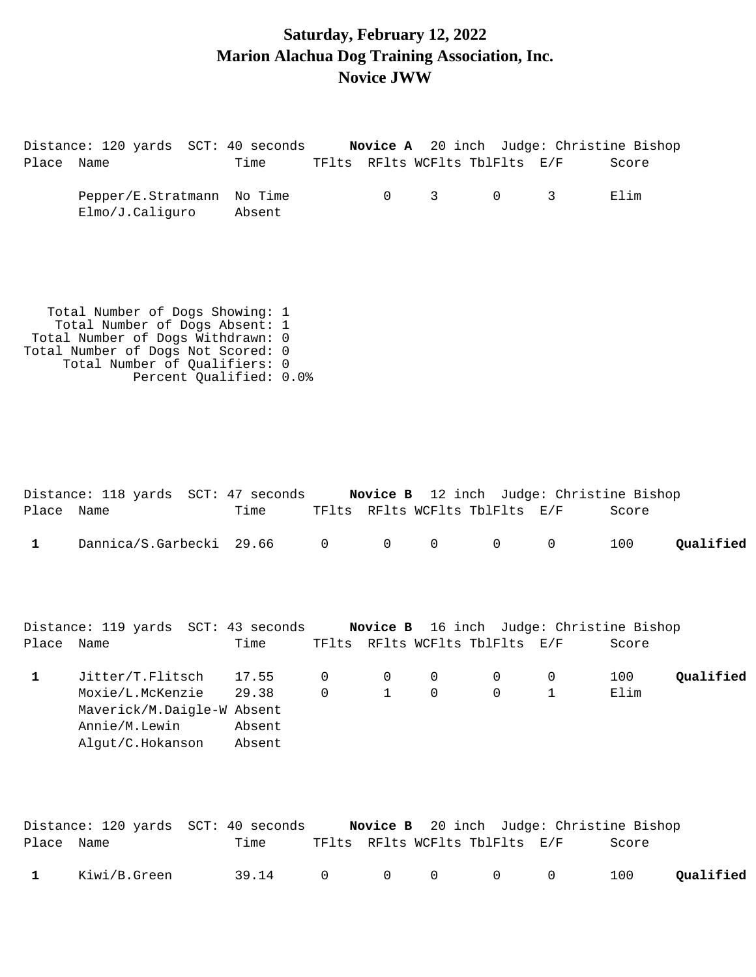### **Saturday, February 12, 2022 Marion Alachua Dog Training Association, Inc. Novice JWW**

Distance: 120 yards SCT: 40 seconds **Novice A** 20 inch Judge: Christine Bishop Place Name Time TFlts RFlts WCFlts TblFlts E/F Score Pepper/E.Stratmann No Time 0 3 0 3 Elim Elmo/J.Caliguro Absent Total Number of Dogs Showing: 1 Total Number of Dogs Absent: 1 Total Number of Dogs Withdrawn: 0 Total Number of Dogs Not Scored: 0 Total Number of Qualifiers: 0 Percent Qualified: 0.0%

|            | Distance: 118 yards SCT: 47 seconds                                                                     |                                    |                         |                                |                            |                                | <b>Novice B</b> 12 inch Judge: Christine Bishop |             |           |
|------------|---------------------------------------------------------------------------------------------------------|------------------------------------|-------------------------|--------------------------------|----------------------------|--------------------------------|-------------------------------------------------|-------------|-----------|
| Place Name |                                                                                                         | Time                               |                         |                                |                            | TFlts RFlts WCFlts TblFlts E/F |                                                 | Score       |           |
| 1          | Dannica/S.Garbecki 29.66                                                                                |                                    | $\mathbf 0$             | $\mathbf 0$                    | $\mathbf 0$                | $\overline{0}$                 | 0                                               | 100         | Qualified |
| Place Name | Distance: 119 yards SCT: 43 seconds                                                                     | Time                               |                         |                                |                            | TFlts RFlts WCFlts TblFlts E/F | Novice B 16 inch Judge: Christine Bishop        | Score       |           |
| 1          | Jitter/T.Flitsch<br>Moxie/L.McKenzie<br>Maverick/M.Daigle-W Absent<br>Annie/M.Lewin<br>Alqut/C.Hokanson | 17.55<br>29.38<br>Absent<br>Absent | $\mathbf 0$<br>$\Omega$ | $\overline{0}$<br>$\mathbf{1}$ | $\overline{0}$<br>$\Omega$ | $\overline{0}$<br>$\Omega$     | 0<br>$\mathbf{1}$                               | 100<br>Elim | Qualified |

|              |              | Distance: 120 yards  SCT: 40 seconds |  |                                | Novice B 20 inch Judge: Christine Bishop |           |
|--------------|--------------|--------------------------------------|--|--------------------------------|------------------------------------------|-----------|
| Place Name   |              | Time                                 |  | TFlts RFlts WCFlts TblFlts E/F | Score                                    |           |
| $\mathbf{1}$ | Kiwi/B.Green | 39.14 0 0 0 0 0                      |  |                                | 100                                      | Qualified |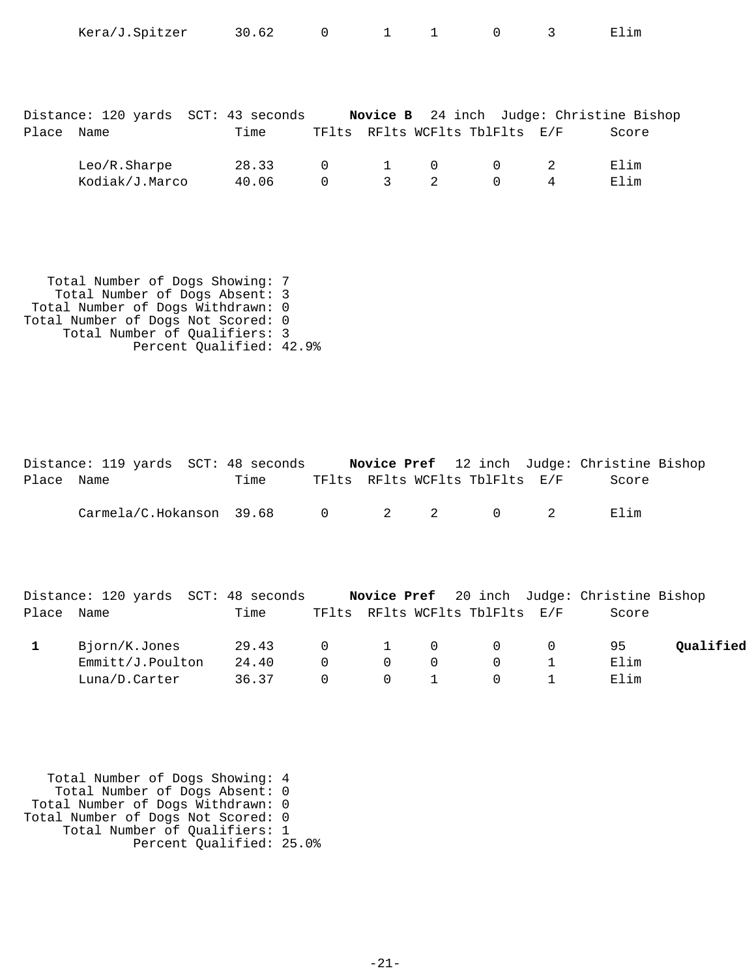| Place | Distance: 120 yards SCT: 43 seconds<br>Name | Time           |                            |   |                | TFlts RFlts WCFlts TblFlts E/F             |   | Novice B 24 inch Judge: Christine Bishop<br>Score |
|-------|---------------------------------------------|----------------|----------------------------|---|----------------|--------------------------------------------|---|---------------------------------------------------|
|       | Leo/R.Sharpe<br>Kodiak/J.Marco              | 28.33<br>40.06 | $\overline{0}$<br>$\Omega$ | 3 | $\overline{2}$ | $1 \qquad 0 \qquad 0 \qquad 2$<br>$\Omega$ | 4 | Elim<br>Elim                                      |

Kera/J.Spitzer 30.62 0 1 1 0 3 Elim

 Total Number of Dogs Showing: 7 Total Number of Dogs Absent: 3 Total Number of Dogs Withdrawn: 0 Total Number of Dogs Not Scored: 0 Total Number of Qualifiers: 3 Percent Qualified: 42.9%

|            | Distance: 119 yards SCT: 48 seconds |      |  |                                | <b>Novice Pref</b> 12 inch Judge: Christine Bishop |  |
|------------|-------------------------------------|------|--|--------------------------------|----------------------------------------------------|--|
| Place Name |                                     | Time |  | TFlts RFlts WCFlts TblFlts E/F | Score                                              |  |
|            | Carmela/C.Hokanson 39.68 0 2 2 0 2  |      |  |                                | Flim                                               |  |

|            | Distance: 120 yards SCT: 48 seconds |       |                |                                              |          |                                       | <b>Novice Pref</b> 20 inch Judge: Christine Bishop |           |
|------------|-------------------------------------|-------|----------------|----------------------------------------------|----------|---------------------------------------|----------------------------------------------------|-----------|
| Place Name |                                     | Time  |                |                                              |          | TFlts RFlts WCFlts TblFlts E/F        | Score                                              |           |
|            | Bjorn/K.Jones                       | 29.43 |                |                                              |          | $\begin{matrix}0&1&0&0&0\end{matrix}$ | 95                                                 | Oualified |
|            | Emmitt/J.Poulton                    | 24.40 | $\overline{0}$ | $\bigcap$                                    | $\Omega$ | $\overline{0}$                        | Elim                                               |           |
|            | Luna/D.Carter                       | 36.37 | $\Omega$       | $\begin{array}{ccc} & & 0 & & 1 \end{array}$ |          | $\overline{0}$                        | 田]im                                               |           |

| Total Number of Dogs Showing: 4    |  |
|------------------------------------|--|
| Total Number of Dogs Absent: 0     |  |
| Total Number of Dogs Withdrawn: 0  |  |
| Total Number of Dogs Not Scored: 0 |  |
| Total Number of Qualifiers: 1      |  |
| Percent Qualified: 25.0%           |  |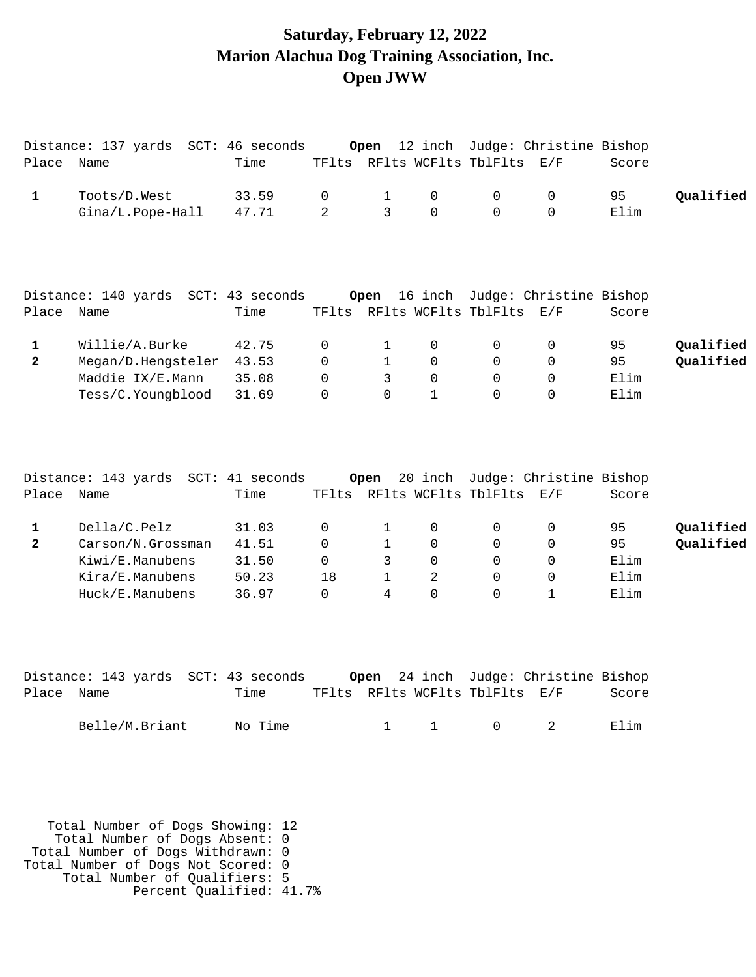### **Saturday, February 12, 2022 Marion Alachua Dog Training Association, Inc. Open JWW**

| Name                                                                                       | Time                                      |                                             |                                                                                                                   |                                              |                                                   |                                                                | Score                                                                                        |                                                                               |
|--------------------------------------------------------------------------------------------|-------------------------------------------|---------------------------------------------|-------------------------------------------------------------------------------------------------------------------|----------------------------------------------|---------------------------------------------------|----------------------------------------------------------------|----------------------------------------------------------------------------------------------|-------------------------------------------------------------------------------|
| Toots/D.West<br>Gina/L.Pope-Hall                                                           | 33.59<br>47.71                            | $\mathbf 0$<br>2                            | $\mathbf{1}$<br>3                                                                                                 | $\mathbf 0$<br>$\Omega$                      | 0<br>$\Omega$                                     | 0<br>$\Omega$                                                  | 95<br>Elim                                                                                   | Qualified                                                                     |
| Name                                                                                       | Time                                      | TFlts                                       |                                                                                                                   |                                              |                                                   |                                                                | Score                                                                                        |                                                                               |
| Willie/A.Burke<br>Megan/D.Hengsteler<br>Maddie IX/E.Mann<br>Tess/C.Youngblood              | 42.75<br>43.53<br>35.08<br>31.69          | 0<br>$\Omega$<br>$\Omega$<br>$\Omega$       | $\mathbf{1}$<br>$\mathbf{1}$<br>3<br>$\Omega$                                                                     | 0<br>$\Omega$<br>$\mathbf 0$<br>$\mathbf{1}$ | $\mathbf 0$<br>$\Omega$<br>0<br>$\Omega$          | 0<br>$\Omega$<br>$\mathbf 0$<br>0                              | 95<br>95<br>Elim<br>Elim                                                                     | Qualified<br>Qualified                                                        |
| Name                                                                                       | Time                                      |                                             |                                                                                                                   |                                              |                                                   |                                                                | Score                                                                                        |                                                                               |
| Della/C.Pelz<br>Carson/N.Grossman<br>Kiwi/E.Manubens<br>Kira/E.Manubens<br>Huck/E.Manubens | 31.03<br>41.51<br>31.50<br>50.23<br>36.97 | 0<br>$\Omega$<br>$\Omega$<br>18<br>$\Omega$ | 1<br>$\mathbf{1}$<br>3<br>1<br>$\overline{4}$                                                                     | 0<br>$\Omega$<br>$\Omega$<br>2<br>$\Omega$   | 0<br>$\Omega$<br>$\Omega$<br>$\Omega$<br>$\Omega$ | 0<br>$\overline{0}$<br>$\mathbf 0$<br>$\Omega$<br>$\mathbf{1}$ | 95<br>95<br>Elim<br>Elim<br>Elim                                                             | Qualified<br>Qualified                                                        |
|                                                                                            |                                           |                                             | Distance: 137 yards SCT: 46 seconds<br>Distance: 140 yards SCT: 43 seconds<br>Distance: 143 yards SCT: 41 seconds | Open<br>Open<br>Open                         | 12 inch<br>16 inch<br>20 inch                     |                                                                | TFlts RFlts WCFlts TblFlts E/F<br>RFlts WCFlts TblFlts E/F<br>TFlts RFlts WCFlts TblFlts E/F | Judge: Christine Bishop<br>Judge: Christine Bishop<br>Judge: Christine Bishop |

|            | Distance: 143 yards SCT: 43 seconds |         |  |                                | Open 24 inch Judge: Christine Bishop |       |
|------------|-------------------------------------|---------|--|--------------------------------|--------------------------------------|-------|
| Place Name |                                     | Time    |  | TFlts RFlts WCFlts TblFlts E/F |                                      | Score |
|            | Belle/M.Briant                      | No Time |  | $1 \quad 1 \quad 0 \quad 2$    |                                      | Flim  |
|            |                                     |         |  |                                |                                      |       |

 Total Number of Dogs Showing: 12 Total Number of Dogs Absent: 0 Total Number of Dogs Withdrawn: 0 Total Number of Dogs Not Scored: 0 Total Number of Qualifiers: 5 Percent Qualified: 41.7%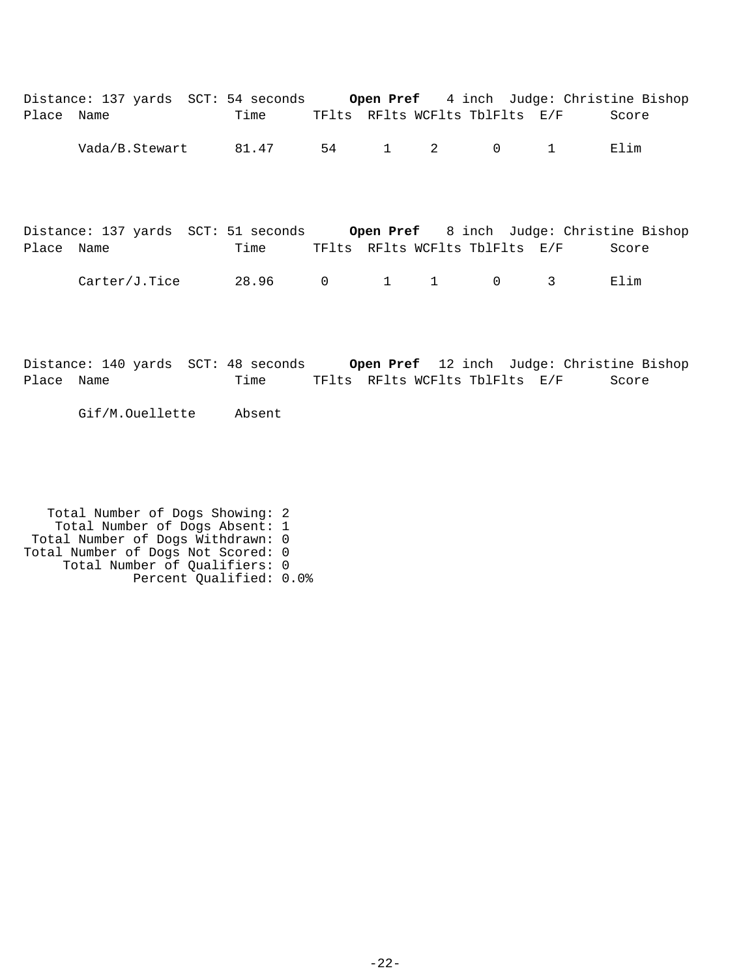| Place Name | Distance: 137 yards SCT: 54 seconds | Time  |                |             | TFlts RFlts WCFlts TblFlts E/F |                         | <b>Open Pref</b> 4 inch Judge: Christine Bishop<br>Score |
|------------|-------------------------------------|-------|----------------|-------------|--------------------------------|-------------------------|----------------------------------------------------------|
|            | Vada/B.Stewart                      | 81.47 |                | 54 1 2      | $\overline{0}$                 | $\overline{1}$          | Elim                                                     |
| Place Name | Distance: 137 yards SCT: 51 seconds | Time  |                |             | TFlts RFlts WCFlts TblFlts E/F |                         | <b>Open Pref</b> 8 inch Judge: Christine Bishop<br>Score |
|            | Carter/J.Tice                       | 28.96 | $\overline{0}$ | $1 \quad 1$ | $\overline{0}$                 | $\overline{\mathbf{3}}$ | Elim                                                     |

Distance: 140 yards SCT: 48 seconds **Open Pref** 12 inch Judge: Christine Bishop Place Name Time TFlts RFlts WCFlts TblFlts E/F Score

Gif/M.Ouellette Absent

 Total Number of Dogs Showing: 2 Total Number of Dogs Absent: 1 Total Number of Dogs Withdrawn: 0 Total Number of Dogs Not Scored: 0 Total Number of Qualifiers: 0 Percent Qualified: 0.0%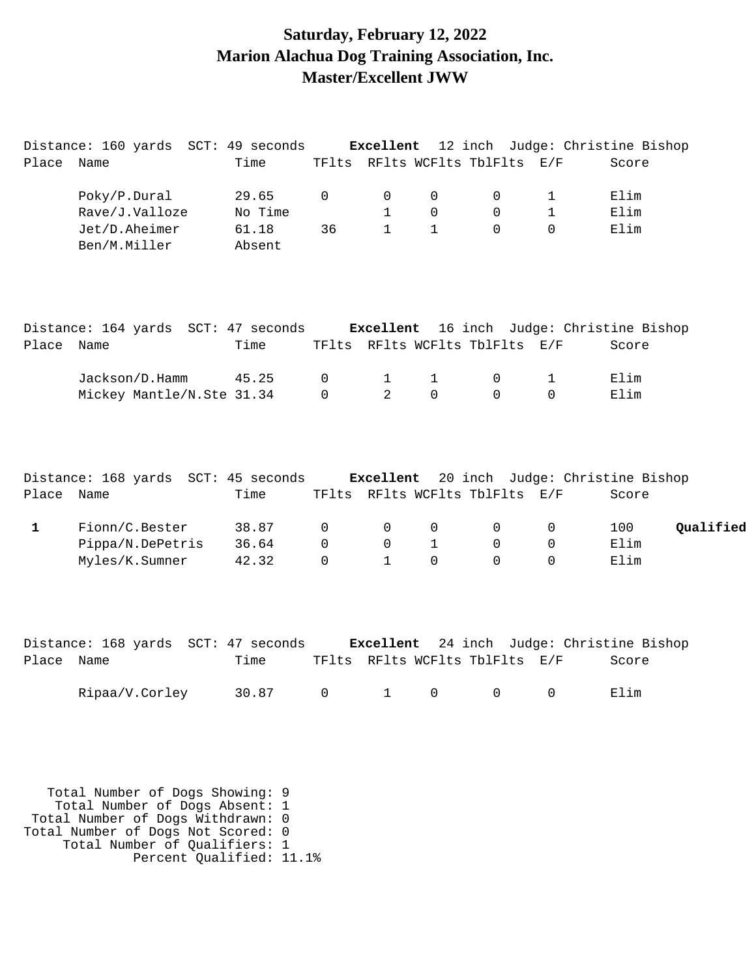### **Saturday, February 12, 2022 Marion Alachua Dog Training Association, Inc. Master/Excellent JWW**

|              | Distance: 160 yards SCT: 49 seconds                                           |         |              |                |              |                                |              | Excellent 12 inch Judge: Christine Bishop |           |
|--------------|-------------------------------------------------------------------------------|---------|--------------|----------------|--------------|--------------------------------|--------------|-------------------------------------------|-----------|
| Place Name   |                                                                               | Time    |              |                |              | TFlts RFlts WCFlts TblFlts E/F |              | Score                                     |           |
|              | Poky/P.Dural                                                                  | 29.65   | 0            | 0              | 0            | 0                              | 1            | Elim                                      |           |
|              | Rave/J.Valloze                                                                | No Time |              | $\mathbf{1}$   | $\mathbf 0$  | $\mathsf{O}$                   | $\mathbf 1$  | Elim                                      |           |
|              | Jet/D.Aheimer                                                                 | 61.18   | 36           | $\mathbf{1}$   | $\mathbf{1}$ | $\Omega$                       | 0            | Elim                                      |           |
|              | Ben/M.Miller                                                                  | Absent  |              |                |              |                                |              |                                           |           |
|              | Distance: 164 yards SCT: 47 seconds Excellent 16 inch Judge: Christine Bishop |         |              |                |              |                                |              |                                           |           |
| Place Name   |                                                                               | Time    |              |                |              | TFlts RFlts WCFlts TblFlts E/F |              | Score                                     |           |
|              | Jackson/D.Hamm                                                                | 45.25   | 0            | $\mathbf 1$    | $\mathbf 1$  | 0                              | 1            | Elim                                      |           |
|              | Mickey Mantle/N.Ste 31.34                                                     |         | $\mathsf{O}$ | $\overline{a}$ | 0            | $\mathbf 0$                    | $\Omega$     | Elim                                      |           |
| Place Name   | Distance: 168 yards SCT: 45 seconds                                           | Time    |              |                |              | TFlts RFlts WCFlts TblFlts E/F |              | Excellent 20 inch Judge: Christine Bishop |           |
|              |                                                                               |         |              |                |              |                                |              | Score                                     |           |
| $\mathbf{1}$ | Fionn/C.Bester                                                                | 38.87   | 0            | 0              | $\mathbf 0$  | 0                              | 0            | 100                                       | Qualified |
|              | Pippa/N.DePetris                                                              | 36.64   | 0            | $\mathbf 0$    | $\mathbf{1}$ | $\mathbf 0$                    | $\mathbf{0}$ | Elim                                      |           |
|              | Myles/K.Sumner                                                                | 42.32   | 0            | $\mathbf{1}$   | $\Omega$     | $\Omega$                       | 0            | Elim                                      |           |
|              | Distance: 168 yards SCT: 47 seconds                                           |         |              |                |              |                                |              | Excellent 24 inch Judge: Christine Bishop |           |
| Place Name   |                                                                               | Time    |              |                |              | TFlts RFlts WCFlts TblFlts E/F |              | Score                                     |           |
|              | Ripaa/V.Corley                                                                | 30.87   | 0            | $\mathbf 1$    | 0            | 0                              | $\mathbf 0$  | Elim                                      |           |

 Total Number of Dogs Showing: 9 Total Number of Dogs Absent: 1 Total Number of Dogs Withdrawn: 0 Total Number of Dogs Not Scored: 0 Total Number of Qualifiers: 1 Percent Qualified: 11.1%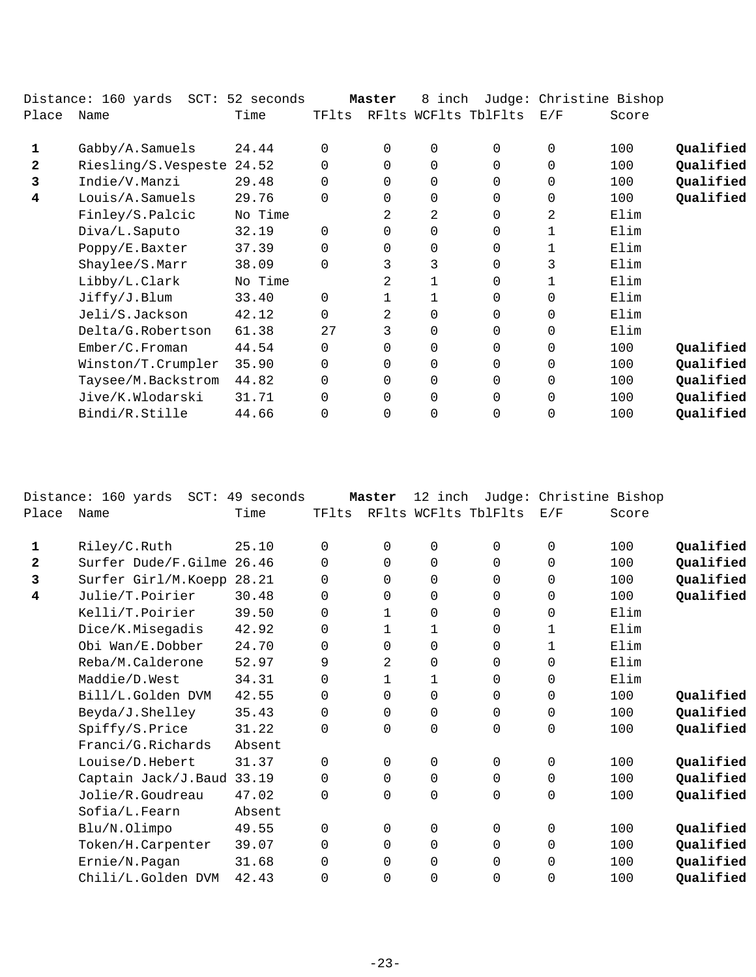|              | Distance: 160 yards SCT: 52 seconds |         |          | Master   | 8 inch         |                      | Judge: Christine Bishop |       |           |
|--------------|-------------------------------------|---------|----------|----------|----------------|----------------------|-------------------------|-------|-----------|
| Place        | Name                                | Time    | TFlts    |          |                | RFlts WCFlts TblFlts | E/F                     | Score |           |
| 1            | Gabby/A.Samuels                     | 24.44   | $\Omega$ | $\Omega$ | $\mathbf 0$    | $\Omega$             | $\Omega$                | 100   | Qualified |
| $\mathbf{2}$ | Riesling/S.Vespeste                 | 24.52   | 0        | 0        | $\mathbf 0$    | 0                    | 0                       | 100   | Qualified |
| 3            | Indie/V.Manzi                       | 29.48   | 0        | 0        | $\mathbf 0$    | $\Omega$             | $\Omega$                | 100   | Qualified |
| 4            | Louis/A.Samuels                     | 29.76   | $\Omega$ | 0        | $\mathbf 0$    | $\Omega$             | $\Omega$                | 100   | Qualified |
|              | Finley/S.Palcic                     | No Time |          | 2        | 2              | $\Omega$             | 2                       | Elim  |           |
|              | Diva/L.Saputo                       | 32.19   | $\Omega$ | 0        | $\mathbf 0$    | 0                    | 1                       | Elim  |           |
|              | Poppy/E.Baxter                      | 37.39   | 0        | 0        | $\mathbf 0$    | $\Omega$             | 1                       | Elim  |           |
|              | Shaylee/S.Marr                      | 38.09   | $\Omega$ | 3        | 3              | $\Omega$             | 3                       | Elim  |           |
|              | Libby/L.Clark                       | No Time |          | 2        |                | $\Omega$             | 1                       | Elim  |           |
|              | Jiffy/J.Blum                        | 33.40   | $\Omega$ |          |                | $\Omega$             | $\Omega$                | Elim  |           |
|              | Jeli/S.Jackson                      | 42.12   | 0        | 2        | $\mathbf 0$    | $\Omega$             | $\Omega$                | Elim  |           |
|              | Delta/G.Robertson                   | 61.38   | 27       | 3        | $\mathbf 0$    | $\Omega$             | 0                       | Elim  |           |
|              | Ember/C.Froman                      | 44.54   | 0        | 0        | $\mathbf 0$    | 0                    | 0                       | 100   | Qualified |
|              | Winston/T.Crumpler                  | 35.90   | 0        | 0        | $\mathbf 0$    | 0                    | 0                       | 100   | Qualified |
|              | Taysee/M.Backstrom                  | 44.82   | 0        | $\Omega$ | $\mathbf 0$    | $\Omega$             | $\Omega$                | 100   | Qualified |
|              | Jive/K.Wlodarski                    | 31.71   | $\Omega$ | $\Omega$ | $\mathbf 0$    | $\Omega$             | $\Omega$                | 100   | Qualified |
|              | Bindi/R.Stille                      | 44.66   | 0        | 0        | $\overline{0}$ | 0                    | 0                       | 100   | Qualified |
|              |                                     |         |          |          |                |                      |                         |       |           |

|              | Distance: 160 yards<br>$SCT$ : | 49 seconds |          | Master   | 12 inch     |                      | Judge: Christine Bishop |       |           |
|--------------|--------------------------------|------------|----------|----------|-------------|----------------------|-------------------------|-------|-----------|
| Place        | Name                           | Time       | TFlts    |          |             | RFlts WCFlts TblFlts | E/F                     | Score |           |
| 1            | Riley/C.Ruth                   | 25.10      | $\Omega$ | $\Omega$ | $\mathbf 0$ | $\Omega$             | $\mathbf 0$             | 100   | Qualified |
| $\mathbf{2}$ | Surfer Dude/F.Gilme 26.46      |            | $\Omega$ | 0        | $\mathbf 0$ | $\Omega$             | $\mathbf 0$             | 100   | Qualified |
| 3            | Surfer Girl/M.Koepp 28.21      |            | $\Omega$ | $\Omega$ | $\mathbf 0$ | $\Omega$             | $\Omega$                | 100   | Qualified |
| 4            | Julie/T.Poirier                | 30.48      | $\Omega$ | $\Omega$ | $\mathbf 0$ | $\Omega$             | $\Omega$                | 100   | Qualified |
|              | Kelli/T.Poirier                | 39.50      | $\Omega$ | 1        | $\mathbf 0$ | $\Omega$             | $\Omega$                | Elim  |           |
|              | Dice/K.Misegadis               | 42.92      | 0        | 1        | 1           | $\Omega$             | 1                       | Elim  |           |
|              | Obi Wan/E.Dobber               | 24.70      | 0        | 0        | $\mathbf 0$ | 0                    | 1                       | Elim  |           |
|              | Reba/M.Calderone               | 52.97      | 9        | 2        | $\mathbf 0$ | 0                    | 0                       | Elim  |           |
|              | Maddie/D.West                  | 34.31      | 0        | 1        | 1           | 0                    | 0                       | Elim  |           |
|              | Bill/L.Golden DVM              | 42.55      | $\Omega$ | 0        | $\mathbf 0$ | 0                    | 0                       | 100   | Qualified |
|              | Beyda/J.Shelley                | 35.43      | 0        | 0        | $\mathbf 0$ | 0                    | $\mathbf 0$             | 100   | Qualified |
|              | Spiffy/S.Price                 | 31.22      | $\Omega$ | $\Omega$ | $\mathbf 0$ | $\Omega$             | $\mathbf 0$             | 100   | Qualified |
|              | Franci/G.Richards              | Absent     |          |          |             |                      |                         |       |           |
|              | Louise/D. Hebert               | 31.37      | $\Omega$ | $\Omega$ | $\mathbf 0$ | $\Omega$             | $\mathbf 0$             | 100   | Qualified |
|              | Captain Jack/J.Baud            | 33.19      | $\Omega$ | $\Omega$ | $\mathbf 0$ | $\Omega$             | $\mathbf 0$             | 100   | Qualified |
|              | Jolie/R.Goudreau               | 47.02      | 0        | 0        | $\mathbf 0$ | 0                    | $\mathbf 0$             | 100   | Qualified |
|              | Sofia/L.Fearn                  | Absent     |          |          |             |                      |                         |       |           |
|              | Blu/N.Olimpo                   | 49.55      | 0        | 0        | 0           | 0                    | 0                       | 100   | Qualified |
|              | Token/H.Carpenter              | 39.07      | $\Omega$ | $\Omega$ | $\mathbf 0$ | $\Omega$             | $\mathbf 0$             | 100   | Qualified |
|              | Ernie/N.Pagan                  | 31.68      | 0        | 0        | 0           | 0                    | 0                       | 100   | Qualified |
|              | Chili/L.Golden DVM             | 42.43      | $\Omega$ | 0        | $\mathbf 0$ | $\overline{0}$       | $\mathbf 0$             | 100   | Qualified |
|              |                                |            |          |          |             |                      |                         |       |           |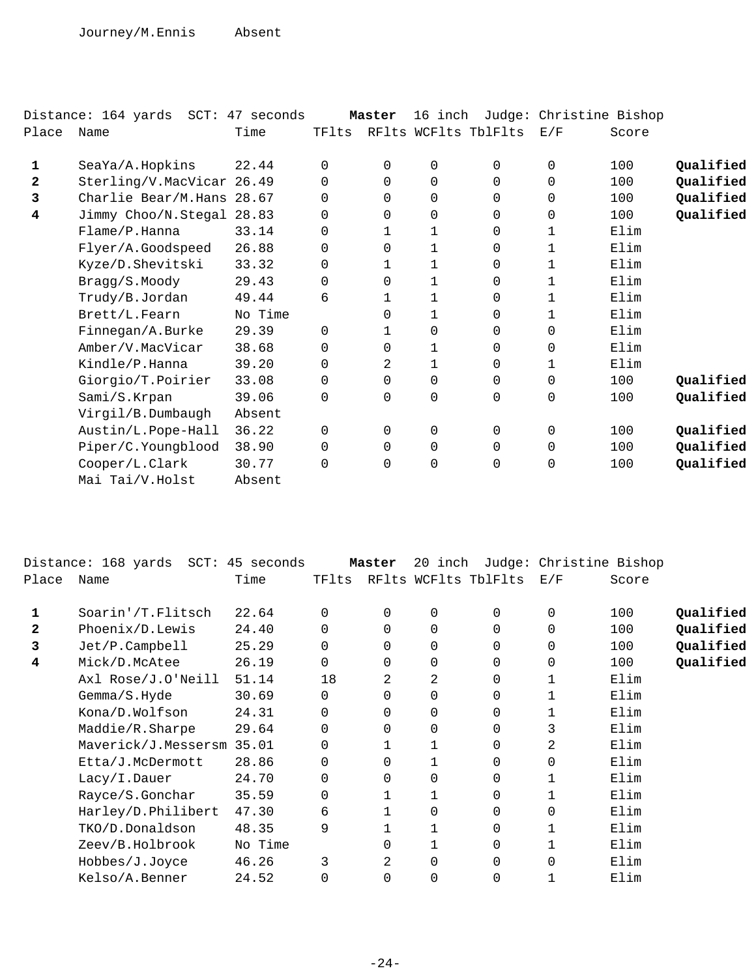|       | Distance: 164 yards SCT: 47 seconds |         |          | Master   | 16 inch             |                      | Judge: Christine Bishop |       |           |
|-------|-------------------------------------|---------|----------|----------|---------------------|----------------------|-------------------------|-------|-----------|
| Place | Name                                | Time    | TFlts    |          |                     | RFlts WCFlts TblFlts | E/F                     | Score |           |
| 1     | SeaYa/A.Hopkins                     | 22.44   | $\Omega$ | $\Omega$ | $\mathbf 0$         | $\Omega$             | $\mathbf 0$             | 100   | Qualified |
| 2     | Sterling/V.MacVicar 26.49           |         | $\Omega$ | 0        | $\mathbf 0$         | $\Omega$             | $\Omega$                | 100   | Qualified |
| 3     | Charlie Bear/M.Hans 28.67           |         | 0        | 0        | $\mathbf 0$         | 0                    | 0                       | 100   | Qualified |
| 4     | Jimmy Choo/N.Stegal 28.83           |         | $\Omega$ | 0        | $\mathbf 0$         | $\Omega$             | $\mathbf 0$             | 100   | Qualified |
|       | Flame/P.Hanna                       | 33.14   | 0        | 1        | 1                   | $\Omega$             | 1                       | Elim  |           |
|       | Flyer/A.Goodspeed                   | 26.88   | 0        | 0        | 1                   | 0                    | 1                       | Elim  |           |
|       | Kyze/D.Shevitski                    | 33.32   | 0        | 1        | 1                   | 0                    | 1                       | Elim  |           |
|       | Bragg/S.Moody                       | 29.43   | 0        | 0        | 1                   | 0                    | 1                       | Elim  |           |
|       | Trudy/B.Jordan                      | 49.44   | 6        | 1        | 1                   | $\Omega$             | $\mathbf{1}$            | Elim  |           |
|       | Brett/L.Fearn                       | No Time |          | 0        | 1                   | 0                    | 1                       | Elim  |           |
|       | Finnegan/A.Burke                    | 29.39   | $\Omega$ |          | 0                   | 0                    | 0                       | Elim  |           |
|       | Amber/V.MacVicar                    | 38.68   | $\Omega$ | 0        | 1                   | $\Omega$             | 0                       | Elim  |           |
|       | Kindle/P.Hanna                      | 39.20   | $\Omega$ | 2        | 1                   | $\Omega$             | 1                       | Elim  |           |
|       | Giorgio/T.Poirier                   | 33.08   | $\Omega$ | $\Omega$ | $\mathbf 0$         | 0                    | $\Omega$                | 100   | Qualified |
|       | Sami/S.Krpan                        | 39.06   | $\Omega$ | 0        | $\mathsf{O}\xspace$ | 0                    | $\mathbf 0$             | 100   | Qualified |
|       | Virgil/B.Dumbaugh                   | Absent  |          |          |                     |                      |                         |       |           |
|       | Austin/L.Pope-Hall                  | 36.22   | $\Omega$ | $\Omega$ | $\mathbf 0$         | $\Omega$             | $\mathbf 0$             | 100   | Qualified |
|       | Piper/C.Youngblood                  | 38.90   | $\Omega$ | $\Omega$ | $\mathbf 0$         | $\Omega$             | $\Omega$                | 100   | Qualified |
|       | Cooper/L.Clark                      | 30.77   | $\Omega$ | 0        | 0                   | 0                    | 0                       | 100   | Qualified |
|       | Mai Tai/V.Holst                     | Absent  |          |          |                     |                      |                         |       |           |
|       |                                     |         |          |          |                     |                      |                         |       |           |

|              | Distance: 168 yards SCT: 45 seconds |         |    | Master   | 20 inch     |                                | Judge: Christine Bishop |       |           |
|--------------|-------------------------------------|---------|----|----------|-------------|--------------------------------|-------------------------|-------|-----------|
| Place        | Name                                | Time    |    |          |             | TFlts RFlts WCFlts TblFlts E/F |                         | Score |           |
| 1            | Soarin'/T.Flitsch                   | 22.64   | 0  | $\Omega$ | 0           | $\Omega$                       | 0                       | 100   | Qualified |
| $\mathbf{2}$ | Phoenix/D.Lewis                     | 24.40   | 0  | $\Omega$ | 0           | 0                              | $\Omega$                | 100   | Qualified |
| 3            | $Jet/P$ . Campbell                  | 25.29   | 0  | 0        | $\mathbf 0$ |                                | 0                       | 100   | Qualified |
| 4            | Mick/D.McAtee                       | 26.19   | 0  | 0        | $\mathbf 0$ | $\Omega$                       | 0                       | 100   | Qualified |
|              | Axl Rose/J.O'Neill                  | 51.14   | 18 | 2        | 2           | $\Omega$                       | $\mathbf 1$             | Elim  |           |
|              | Gemma/S.Hyde                        | 30.69   | 0  | $\Omega$ | $\mathbf 0$ | $\Omega$                       |                         | Elim  |           |
|              | Kona/D.Wolfson                      | 24.31   | 0  | $\Omega$ | $\mathbf 0$ | $\Omega$                       |                         | Elim  |           |
|              | Maddie/R.Sharpe                     | 29.64   | 0  | $\Omega$ | $\mathbf 0$ | $\Omega$                       | 3                       | Elim  |           |
|              | Maverick/J.Messersm 35.01           |         | 0  |          |             | $\Omega$                       | 2                       | Elim  |           |
|              | Etta/J.McDermott                    | 28.86   | 0  | $\Omega$ |             | $\Omega$                       | $\Omega$                | Elim  |           |
|              | Lacy/I.Dauer                        | 24.70   | 0  | $\Omega$ | 0           | $\Omega$                       |                         | Elim  |           |
|              | Rayce/S.Gonchar                     | 35.59   | 0  |          |             | $\Omega$                       |                         | Elim  |           |
|              | Harley/D.Philibert                  | 47.30   | 6  |          | 0           | $\Omega$                       | $\Omega$                | Elim  |           |
|              | TKO/D.Donaldson                     | 48.35   | 9  |          |             | 0                              |                         | Elim  |           |
|              | Zeev/B.Holbrook                     | No Time |    | $\Omega$ |             | $\Omega$                       |                         | Elim  |           |
|              | Hobbes/J.Joyce                      | 46.26   | 3  | 2        | $\Omega$    | $\Omega$                       | $\Omega$                | Elim  |           |
|              | Kelso/A.Benner                      | 24.52   | 0  | $\Omega$ | 0           | $\Omega$                       |                         | Elim  |           |
|              |                                     |         |    |          |             |                                |                         |       |           |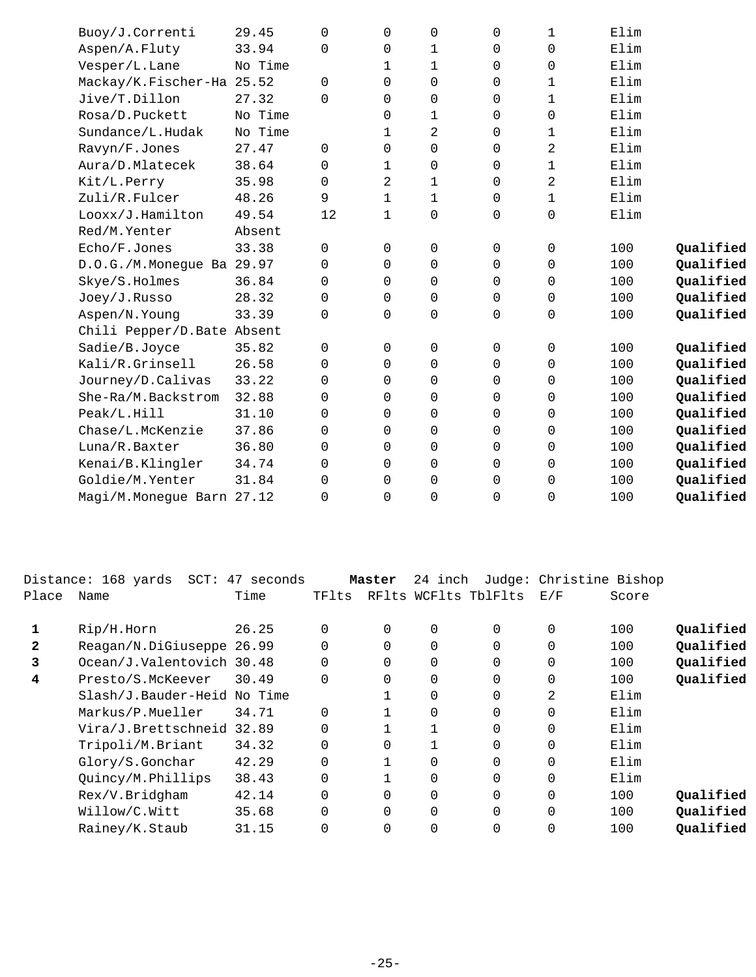| Buoy/J.Correnti            | 29.45   | $\Omega$ | 0            | 0                   | 0        | $\mathbf 1$ | Elim |           |
|----------------------------|---------|----------|--------------|---------------------|----------|-------------|------|-----------|
| Aspen/A.Fluty              | 33.94   | $\Omega$ | $\mathbf 0$  | 1                   | 0        | $\mathbf 0$ | Elim |           |
| Vesper/L.Lane              | No Time |          | $\mathbf{1}$ | $\mathbf{1}$        | 0        | $\mathbf 0$ | Elim |           |
| Mackay/K.Fischer-Ha 25.52  |         | $\Omega$ | $\Omega$     | $\mathbf 0$         | $\Omega$ | $\mathbf 1$ | Elim |           |
| Jive/T.Dillon              | 27.32   | 0        | 0            | 0                   | 0        | $\mathbf 1$ | Elim |           |
| Rosa/D.Puckett             | No Time |          | 0            | 1                   | $\Omega$ | $\mathbf 0$ | Elim |           |
| Sundance/L.Hudak           | No Time |          | 1            | $\overline{a}$      | 0        | 1           | Elim |           |
| Ravyn/F.Jones              | 27.47   | 0        | 0            | 0                   | 0        | 2           | Elim |           |
| Aura/D.Mlatecek            | 38.64   | 0        | 1            | 0                   | $\Omega$ | $\mathbf 1$ | Elim |           |
| Kit/L.Perry                | 35.98   | $\Omega$ | 2            | 1                   | $\Omega$ | 2           | Elim |           |
| Zuli/R.Fulcer              | 48.26   | 9        | $\mathbf 1$  | $\mathbf 1$         | 0        | $\mathbf 1$ | Elim |           |
| Looxx/J.Hamilton           | 49.54   | 12       | $\mathbf 1$  | $\mathsf 0$         | 0        | $\mathsf 0$ | Elim |           |
| Red/M.Yenter               | Absent  |          |              |                     |          |             |      |           |
| Echo/F.Jones               | 33.38   | 0        | 0            | $\mathsf 0$         | 0        | $\mathsf 0$ | 100  | Qualified |
| D.O.G./M.Monegue Ba 29.97  |         | $\Omega$ | $\Omega$     | 0                   | 0        | $\mathbf 0$ | 100  | Qualified |
| Skye/S.Holmes              | 36.84   | 0        | $\Omega$     | 0                   | 0        | $\mathbf 0$ | 100  | Qualified |
| Joey/J.Russo               | 28.32   | $\Omega$ | $\Omega$     | 0                   | 0        | 0           | 100  | Qualified |
| Aspen/N.Young              | 33.39   | $\Omega$ | $\Omega$     | 0                   | 0        | $\mathbf 0$ | 100  | Qualified |
| Chili Pepper/D.Bate Absent |         |          |              |                     |          |             |      |           |
| Sadie/B.Joyce              | 35.82   | 0        | $\mathbf 0$  | 0                   | 0        | 0           | 100  | Qualified |
| Kali/R.Grinsell            | 26.58   | 0        | $\mathbf 0$  | 0                   | 0        | $\mathbf 0$ | 100  | Qualified |
| Journey/D.Calivas          | 33.22   | 0        | $\Omega$     | 0                   | 0        | $\mathbf 0$ | 100  | Qualified |
| She-Ra/M.Backstrom         | 32.88   | 0        | 0            | 0                   | 0        | $\mathbf 0$ | 100  | Qualified |
| Peak/L.Hill                | 31.10   | $\Omega$ | $\Omega$     | 0                   | $\Omega$ | 0           | 100  | Qualified |
| Chase/L.McKenzie           | 37.86   | $\Omega$ | $\Omega$     | 0                   | 0        | 0           | 100  | Qualified |
| Luna/R.Baxter              | 36.80   | 0        | $\Omega$     | 0                   | 0        | 0           | 100  | Qualified |
| Kenai/B.Klingler           | 34.74   | 0        | $\mathbf 0$  | 0                   | 0        | $\mathbf 0$ | 100  | Qualified |
| Goldie/M. Yenter           | 31.84   | 0        | $\Omega$     | $\mathsf{O}\xspace$ | 0        | $\mathbf 0$ | 100  | Qualified |
| Magi/M.Monegue Barn 27.12  |         | 0        | 0            | $\mathbf 0$         | 0        | $\mathbf 0$ | 100  | Qualified |
|                            |         |          |              |                     |          |             |      |           |

|              | Distance: 168 yards         | SCT: 47 seconds |          | Master   | 24 inch |                      | Judge: Christine Bishop |       |           |
|--------------|-----------------------------|-----------------|----------|----------|---------|----------------------|-------------------------|-------|-----------|
| Place        | Name                        | Time            | TFlts    |          |         | RFlts WCFlts TblFlts | E/F                     | Score |           |
|              |                             |                 |          |          |         |                      |                         |       |           |
|              | Rip/H.Horn                  | 26.25           | $\Omega$ | 0        | 0       | $\Omega$             | 0                       | 100   | Qualified |
| $\mathbf{2}$ | Reagan/N.DiGiuseppe 26.99   |                 |          | $\Omega$ | 0       | $\Omega$             | $\Omega$                | 100   | Qualified |
| 3            | Ocean/J.Valentovich 30.48   |                 | $\Omega$ | $\Omega$ | 0       | $\Omega$             | $\Omega$                | 100   | Qualified |
| 4            | Presto/S.McKeever           | 30.49           | $\Omega$ | $\Omega$ | 0       | $\overline{0}$       | 0                       | 100   | Qualified |
|              | Slash/J.Bauder-Heid No Time |                 |          |          | 0       | 0                    | 2                       | Elim  |           |
|              | Markus/P.Mueller            | 34.71           | $\Omega$ |          | 0       | $\Omega$             | 0                       | Elim  |           |
|              | Vira/J.Brettschneid 32.89   |                 | $\Omega$ |          |         | $\Omega$             | $\Omega$                | Elim  |           |
|              | Tripoli/M.Briant            | 34.32           | $\Omega$ |          |         | $\Omega$             | $\Omega$                | Elim  |           |
|              | Glory/S.Gonchar             | 42.29           | $\Omega$ |          | 0       | $\Omega$             | $\Omega$                | Elim  |           |
|              | Quincy/M.Phillips           | 38.43           | $\Omega$ |          | 0       | $\Omega$             | $\Omega$                | Elim  |           |
|              | Rex/V.Bridgham              | 42.14           | $\Omega$ |          | 0       | $\Omega$             | $\Omega$                | 100   | Qualified |
|              | Willow/C.Witt               | 35.68           | $\Omega$ | $\Omega$ | 0       | $\Omega$             | $\Omega$                | 100   | Qualified |
|              | Rainey/K.Staub              | 31.15           | $\Omega$ | $\Omega$ | 0       | 0                    | 0                       | 100   | Qualified |
|              |                             |                 |          |          |         |                      |                         |       |           |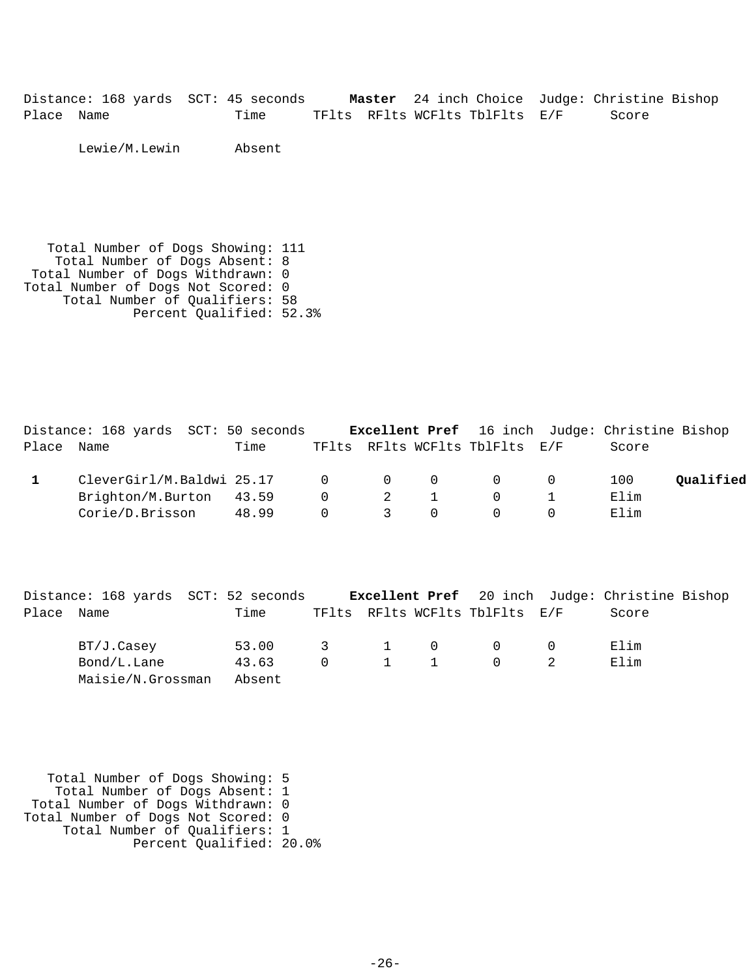Distance: 168 yards SCT: 45 seconds **Master** 24 inch Choice Judge: Christine Bishop Place Name Time TFlts RFlts WCFlts TblFlts E/F Score

Lewie/M.Lewin Absent

 Total Number of Dogs Showing: 111 Total Number of Dogs Absent: 8 Total Number of Dogs Withdrawn: 0 Total Number of Dogs Not Scored: 0 Total Number of Qualifiers: 58 Percent Qualified: 52.3%

|       | Distance: 168 yards SCT: 50 seconds |       |          |                                        |                                | <b>Excellent Pref</b> 16 inch Judge: Christine Bishop |           |
|-------|-------------------------------------|-------|----------|----------------------------------------|--------------------------------|-------------------------------------------------------|-----------|
| Place | Name                                | Time  |          |                                        | TFlts RFlts WCFlts TblFlts E/F | Score                                                 |           |
|       | CleverGirl/M.Baldwi 25.17 0 0 0 0 0 |       |          |                                        |                                | 100                                                   | Oualified |
|       | Brighton/M.Burton 43.59             |       |          | $\begin{array}{ccc} 0 & 2 \end{array}$ | $\overline{0}$                 | Elim                                                  |           |
|       | Corie/D.Brisson                     | 48.99 | $\Omega$ | $\overline{\mathbf{3}}$                |                                | Elim                                                  |           |

|            | Distance: 168 yards SCT: 52 seconds |                 |          |             |                                | <b>Excellent Pref</b> 20 inch Judge: Christine Bishop |  |
|------------|-------------------------------------|-----------------|----------|-------------|--------------------------------|-------------------------------------------------------|--|
| Place Name |                                     | Time            |          |             | TFlts RFlts WCFlts TblFlts E/F | Score                                                 |  |
|            | BT/J.Casey                          | 53.00 3 1 0 0 0 |          |             |                                | Elim                                                  |  |
|            | Bond/L.Lane                         | 43.63           | $\Omega$ | $1 \quad 1$ | $\overline{0}$                 | Elim                                                  |  |
|            | Maisie/N.Grossman                   | Absent          |          |             |                                |                                                       |  |

 Total Number of Dogs Showing: 5 Total Number of Dogs Absent: 1 Total Number of Dogs Withdrawn: 0 Total Number of Dogs Not Scored: 0 Total Number of Qualifiers: 1 Percent Qualified: 20.0%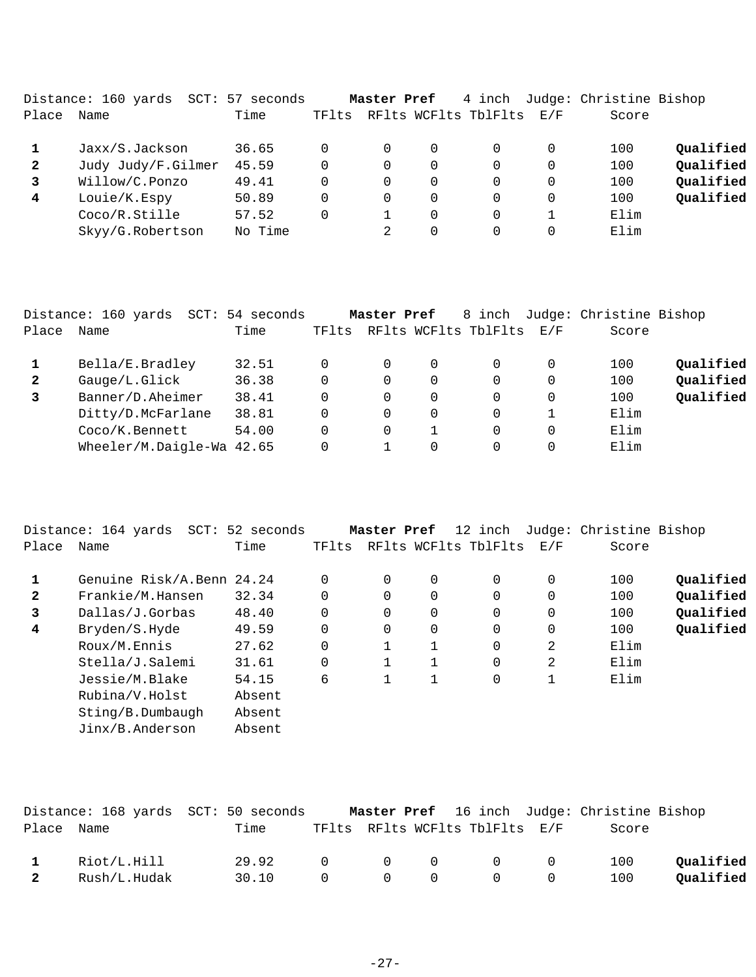|              | Distance: 160 yards<br>SCT: | 57 seconds |       | Master Pref |             | 4 inch               |     | Judge: Christine Bishop |           |
|--------------|-----------------------------|------------|-------|-------------|-------------|----------------------|-----|-------------------------|-----------|
| Place        | Name                        | Time       | TFlts |             |             | RFlts WCFlts TblFlts | E/F | Score                   |           |
|              | Jaxx/S.Jackson              | 36.65      |       | 0           | 0           | $\Omega$             |     | 100                     | Qualified |
| $\mathbf{2}$ | Judy Judy/F.Gilmer          | 45.59      | 0     | 0           | 0           | 0                    |     | 100                     | Qualified |
| 3            | Willow/C.Ponzo              | 49.41      | 0     | 0           | $\mathbf 0$ | $\Omega$             |     | 100                     | Qualified |
| 4            | Louie/K.Espy                | 50.89      | 0     | 0           | $\Omega$    | $\Omega$             |     | 100                     | Qualified |
|              | Coco/R.Stille               | 57.52      |       |             | $\Omega$    | $\Omega$             |     | Elim                    |           |
|              | Skyy/G.Robertson            | No Time    |       |             | $\Omega$    | 0                    |     | Elim                    |           |
|              |                             |            |       |             |             |                      |     |                         |           |

|              | Distance: 160 yards       | SCT: 54 seconds |       | Master Pref |          | 8 inch               |     | Judge: Christine Bishop |           |
|--------------|---------------------------|-----------------|-------|-------------|----------|----------------------|-----|-------------------------|-----------|
| Place        | Name                      | Time            | TFlts |             |          | RFlts WCFlts TblFlts | E/F | Score                   |           |
|              | Bella/E.Bradley           | 32.51           | 0     | $\Omega$    | 0        |                      | 0   | 100                     | Qualified |
| $\mathbf{2}$ | Gauge/L.Glick             | 36.38           | 0     | 0           | 0        |                      | 0   | 100                     | Qualified |
|              | Banner/D.Aheimer          | 38.41           | 0     | 0           | 0        |                      | 0   | 100                     | Qualified |
|              | Ditty/D.McFarlane         | 38.81           | 0     | 0           | $\Omega$ |                      |     | Elim                    |           |
|              | Coco/K.Bennett            | 54.00           | 0     | 0           |          |                      | 0   | Elim                    |           |
|              | Wheeler/M.Daigle-Wa 42.65 |                 | 0     |             | 0        |                      | 0   | Elim                    |           |

|                | Distance: 164 yards<br>SCT: | 52 seconds |          | Master Pref |   | 12 inch              |     | Judge: Christine Bishop |           |
|----------------|-----------------------------|------------|----------|-------------|---|----------------------|-----|-------------------------|-----------|
| Place          | Name                        | Time       | TFlts    |             |   | RFlts WCFlts TblFlts | E/F | Score                   |           |
|                | Genuine Risk/A.Benn 24.24   |            | $\Omega$ | $\Omega$    | 0 | 0                    | 0   | 100                     | Oualified |
|                |                             |            |          |             |   |                      |     |                         |           |
| $\overline{2}$ | Frankie/M.Hansen            | 32.34      | $\Omega$ | 0           | 0 | 0                    | 0   | 100                     | Oualified |
| 3              | Dallas/J.Gorbas             | 48.40      | $\Omega$ | $\Omega$    | 0 | $\Omega$             | 0   | 100                     | Qualified |
| 4              | Bryden/S.Hyde               | 49.59      | $\Omega$ | $\Omega$    | 0 | $\Omega$             | 0   | 100                     | Qualified |
|                | Roux/M.Ennis                | 27.62      | $\Omega$ |             |   | $\Omega$             | 2   | Elim                    |           |
|                | Stella/J.Salemi             | 31.61      | $\Omega$ |             |   | 0                    | 2   | Elim                    |           |
|                | Jessie/M.Blake              | 54.15      | 6        |             |   | $\mathbf 0$          |     | Elim                    |           |
|                | Rubina/V.Holst              | Absent     |          |             |   |                      |     |                         |           |
|                | Sting/B.Dumbaudh            | Absent     |          |             |   |                      |     |                         |           |
|                | Jinx/B.Anderson             | Absent     |          |             |   |                      |     |                         |           |
|                |                             |            |          |             |   |                      |     |                         |           |

|            |              | Distance: 168 yards SCT: 50 seconds |                |                                 |                                                    | <b>Master Pref</b> 16 inch Judge: Christine Bishop |           |
|------------|--------------|-------------------------------------|----------------|---------------------------------|----------------------------------------------------|----------------------------------------------------|-----------|
| Place Name |              | Time                                |                |                                 | TFlts RFlts WCFlts TblFlts E/F                     | Score                                              |           |
|            | Riot/L.Hill  | 29.92                               | $\cap$         |                                 | $\begin{matrix} 0 & 0 & 0 & 0 \end{matrix}$        | 100                                                | Oualified |
|            | Rush/L.Hudak | 30.10                               | $\overline{0}$ | $\begin{matrix}0&0\end{matrix}$ | $\begin{array}{ccc} & & & 0 & \quad & \end{array}$ | 100                                                | Oualified |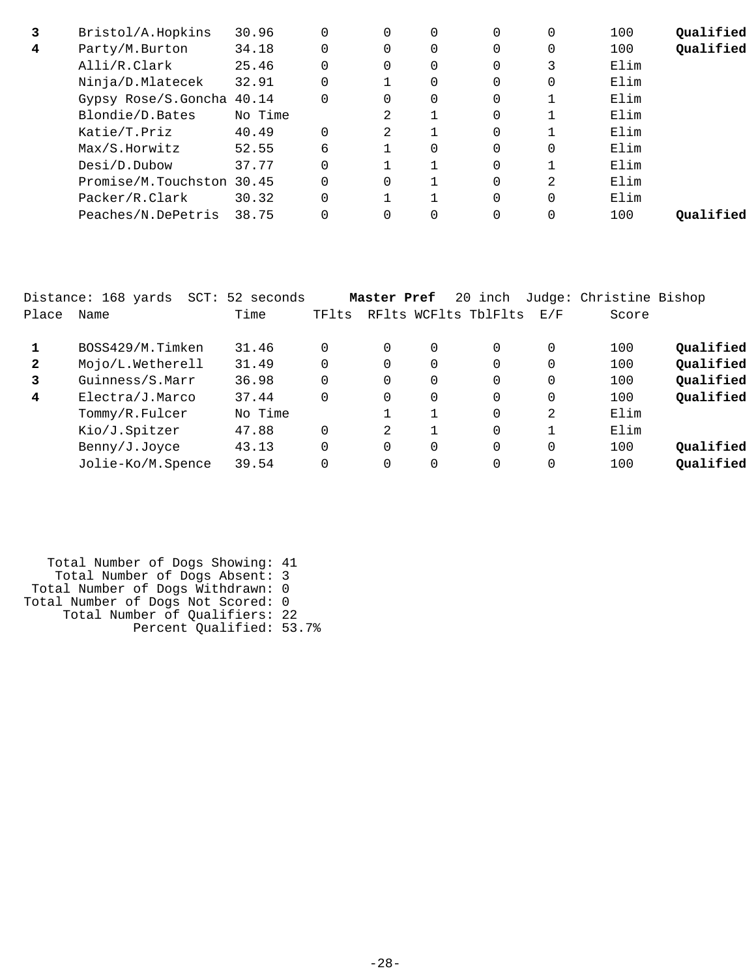| 3 | Bristol/A.Hopkins         | 30.96   |          | 0        | 0        | $\Omega$ | 0        | 100  | Qualified |
|---|---------------------------|---------|----------|----------|----------|----------|----------|------|-----------|
| 4 | Party/M.Burton            | 34.18   |          | 0        | 0        | $\Omega$ | 0        | 100  | Qualified |
|   | Alli/R.Clark              | 25.46   | $\Omega$ | 0        | $\Omega$ | $\Omega$ | 3        | Elim |           |
|   | Ninja/D.Mlatecek          | 32.91   |          |          | $\Omega$ | 0        | 0        | Elim |           |
|   | Gypsy Rose/S.Goncha 40.14 |         | $\Omega$ | $\Omega$ | $\Omega$ | $\Omega$ |          | Elim |           |
|   | Blondie/D.Bates           | No Time |          | 2        |          | $\Omega$ |          | Elim |           |
|   | Katie/T.Priz              | 40.49   | $\Omega$ | 2        |          | $\Omega$ |          | Elim |           |
|   | Max/S.Horwitz             | 52.55   | 6        |          | $\Omega$ | $\Omega$ | $\Omega$ | Elim |           |
|   | Desi/D.Dubow              | 37.77   |          |          |          | $\Omega$ |          | Elim |           |
|   | Promise/M.Touchston 30.45 |         |          | 0        |          | $\Omega$ | 2        | Elim |           |
|   | Packer/R.Clark            | 30.32   |          |          |          | $\Omega$ |          | Elim |           |
|   | Peaches/N.DePetris        | 38.75   |          |          | 0        | 0        |          | 100  | Oualified |
|   |                           |         |          |          |          |          |          |      |           |

|              | Distance: 168 yards<br>$SCT$ : | 52 seconds |          | Master Pref |          | 20 inch              |     | Judge: Christine Bishop |           |
|--------------|--------------------------------|------------|----------|-------------|----------|----------------------|-----|-------------------------|-----------|
| Place        | Name                           | Time       | TFlts    |             |          | RFlts WCFlts TblFlts | E/F | Score                   |           |
|              | BOSS429/M.Timken               | 31.46      | $\Omega$ | 0           | $\Omega$ | $\Omega$             | 0   | 100                     | Qualified |
| $\mathbf{2}$ | Mojo/L.Wetherell               | 31.49      | $\Omega$ | 0           | $\Omega$ | $\Omega$             | 0   | 100                     | Qualified |
| 3            | Guinness/S.Marr                | 36.98      | $\Omega$ | 0           | $\Omega$ | $\Omega$             | 0   | 100                     | Qualified |
| 4            | Electra/J.Marco                | 37.44      | 0        | 0           | $\Omega$ | $\Omega$             | 0   | 100                     | Qualified |
|              | Tommy/R.Fulcer                 | No Time    |          |             | 1        | $\Omega$             | 2   | Elim                    |           |
|              | Kio/J.Spitzer                  | 47.88      | $\Omega$ | 2           | 1        | $\Omega$             |     | Elim                    |           |
|              | Benny/J.Joyce                  | 43.13      | $\Omega$ | 0           | $\Omega$ | $\Omega$             | 0   | 100                     | Qualified |
|              | Jolie-Ko/M.Spence              | 39.54      | 0        | 0           | $\Omega$ | $\Omega$             |     | 100                     | Qualified |
|              |                                |            |          |             |          |                      |     |                         |           |

| Total Number of Dogs Showing: 41   |  |
|------------------------------------|--|
| Total Number of Dogs Absent: 3     |  |
| Total Number of Dogs Withdrawn: 0  |  |
| Total Number of Dogs Not Scored: 0 |  |
| Total Number of Qualifiers: 22     |  |
| Percent Qualified: 53.7%           |  |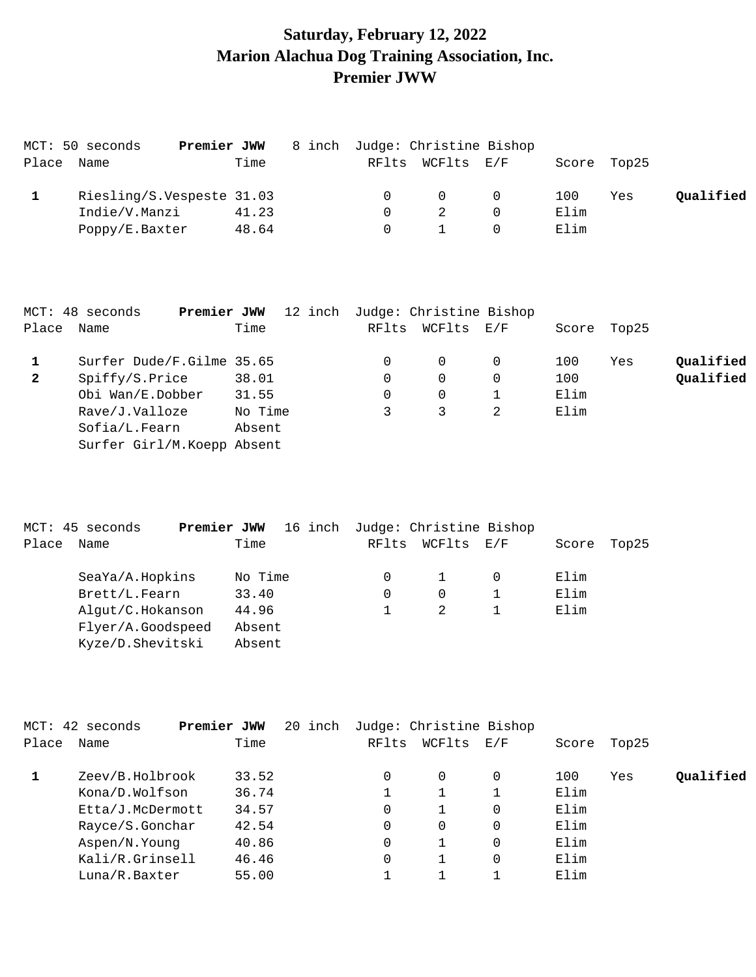# **Saturday, February 12, 2022 Marion Alachua Dog Training Association, Inc. Premier JWW**

|       | MCT: 50 seconds | Premier JWW               | 8 inch Judge: Christine Bishop |                  |          |      |             |           |
|-------|-----------------|---------------------------|--------------------------------|------------------|----------|------|-------------|-----------|
| Place | Name            | Time                      |                                | RFlts WCFlts E/F |          |      | Score Top25 |           |
|       |                 | Riesling/S.Vespeste 31.03 |                                | $\Omega$         | $\Omega$ | 100  | Yes         | Oualified |
|       | Indie/V.Manzi   | 41.23                     |                                |                  |          | Elim |             |           |
|       | Poppy/E.Baxter  | 48.64                     |                                |                  |          | Elim |             |           |

|              | MCT: 48 seconds<br>Premier JWW | 12 inch | Judge: Christine Bishop |          |          |             |     |           |
|--------------|--------------------------------|---------|-------------------------|----------|----------|-------------|-----|-----------|
| Place Name   |                                | Time    | RFlts                   | WCFlts   | E/F      | Score Top25 |     |           |
|              | Surfer Dude/F.Gilme 35.65      |         |                         | $\Omega$ |          | 100         | Yes | Qualified |
| $\mathbf{2}$ | Spiffy/S.Price                 | 38.01   |                         | $\Omega$ | $\Omega$ | 100         |     | Qualified |
|              | Obi Wan/E.Dobber               | 31.55   |                         | $\Omega$ |          | Elim        |     |           |
|              | Rave/J.Valloze                 | No Time |                         |          |          | Elim        |     |           |
|              | Sofia/L.Fearn                  | Absent  |                         |          |          |             |     |           |
|              | Surfer Girl/M.Koepp Absent     |         |                         |          |          |             |     |           |

|       | MCT: 45 seconds<br>Premier JWW | 16 inch | Judge: Christine Bishop |            |       |       |
|-------|--------------------------------|---------|-------------------------|------------|-------|-------|
| Place | Name                           | Time    | RFlts                   | WCFlts E/F | Score | Top25 |
|       | SeaYa/A.Hopkins                | No Time |                         |            | Elim  |       |
|       | Brett/L.Fearn                  | 33.40   | 0                       | 0          | Elim  |       |
|       | Alqut/C.Hokanson               | 44.96   |                         |            | Elim  |       |
|       | Flyer/A.Goodspeed              | Absent  |                         |            |       |       |
|       | Kyze/D.Shevitski               | Absent  |                         |            |       |       |

|       | MCT: 42 seconds  | Premier JWW | 20 inch |          | Judge: Christine Bishop |     |       |       |           |
|-------|------------------|-------------|---------|----------|-------------------------|-----|-------|-------|-----------|
| Place | Name             | Time        |         | RFlts    | WCFlts                  | E/F | Score | Top25 |           |
|       | Zeev/B.Holbrook  | 33.52       |         | 0        | 0                       | 0   | 100   | Yes   | Qualified |
|       | Kona/D.Wolfson   | 36.74       |         |          |                         |     | Elim  |       |           |
|       | Etta/J.McDermott | 34.57       |         | $\Omega$ |                         | 0   | Elim  |       |           |
|       | Rayce/S.Gonchar  | 42.54       |         | $\Omega$ | 0                       |     | Elim  |       |           |
|       | Aspen/N.Young    | 40.86       |         | $\Omega$ |                         | 0   | Elim  |       |           |
|       | Kali/R.Grinsell  | 46.46       |         | $\Omega$ |                         | 0   | Elim  |       |           |
|       | Luna/R.Baxter    | 55.00       |         |          |                         |     | Elim  |       |           |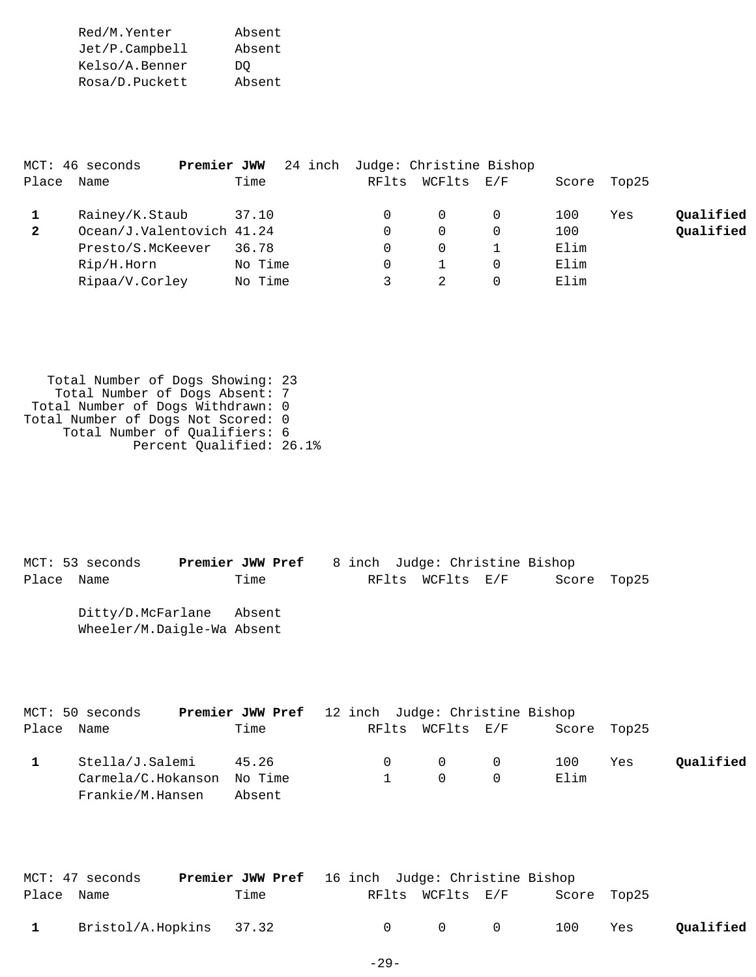Red/M.Yenter Absent Jet/P.Campbell Absent Kelso/A.Benner DQ Rosa/D.Puckett Absent

|              | MCT: 46 seconds           | 24 inch<br>Premier JWW |       | Judge: Christine Bishop |     |       |       |           |
|--------------|---------------------------|------------------------|-------|-------------------------|-----|-------|-------|-----------|
| Place        | Name                      | Time                   | RFlts | WCFlts                  | E/F | Score | Top25 |           |
|              | Rainey/K.Staub            | 37.10                  |       | 0                       |     | 100   | Yes   | Oualified |
| $\mathbf{2}$ | Ocean/J.Valentovich 41.24 |                        |       | $\Omega$                |     | 100   |       | Qualified |
|              | Presto/S.McKeever         | 36.78                  |       | 0                       |     | Elim  |       |           |
|              | Rip/H.Horn                | No Time                |       |                         |     | Elim  |       |           |
|              | Ripaa/V.Corley            | No Time                |       |                         |     | Elim  |       |           |

 Total Number of Dogs Showing: 23 Total Number of Dogs Absent: 7 Total Number of Dogs Withdrawn: 0 Total Number of Dogs Not Scored: 0 Total Number of Qualifiers: 6 Percent Qualified: 26.1%

MCT: 53 seconds **Premier JWW Pref** 8 inch Judge: Christine Bishop Place Name Time RFlts WCFlts E/F Score Top25 Ditty/D.McFarlane Absent Wheeler/M.Daigle-Wa Absent

|            | MCT: 50 seconds            | <b>Premier JWW Pref</b> 12 inch Judge: Christine Bishop |  |                                     |             |     |           |
|------------|----------------------------|---------------------------------------------------------|--|-------------------------------------|-------------|-----|-----------|
| Place Name |                            | Time                                                    |  | RFlts WCFlts E/F                    | Score Top25 |     |           |
|            | Stella/J.Salemi            | 45.26                                                   |  | $0 \qquad 0 \qquad 0$               | 100         | Yes | Qualified |
|            | Carmela/C.Hokanson No Time |                                                         |  | $\begin{matrix} 0 & 0 \end{matrix}$ | Elim        |     |           |
|            | Frankie/M.Hansen           | Absent                                                  |  |                                     |             |     |           |

|              | MCT: 47 seconds         | <b>Premier JWW Pref</b> 16 inch Judge: Christine Bishop |           |                                     |             |     |           |
|--------------|-------------------------|---------------------------------------------------------|-----------|-------------------------------------|-------------|-----|-----------|
| Place Name   |                         | Time                                                    |           | RFlts WCFlts E/F                    | Score Top25 |     |           |
| $\mathbf{1}$ | Bristol/A.Hopkins 37.32 |                                                         | $\bigcap$ | $\begin{matrix} 0 & 0 \end{matrix}$ | 100         | Yes | Qualified |